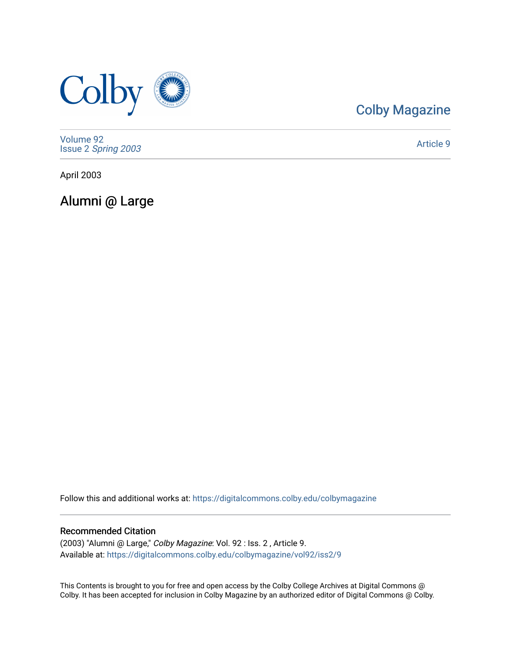

### [Colby Magazine](https://digitalcommons.colby.edu/colbymagazine)

[Volume 92](https://digitalcommons.colby.edu/colbymagazine/vol92) Issue 2 [Spring 2003](https://digitalcommons.colby.edu/colbymagazine/vol92/iss2) 

[Article 9](https://digitalcommons.colby.edu/colbymagazine/vol92/iss2/9) 

April 2003

Alumni @ Large

Follow this and additional works at: [https://digitalcommons.colby.edu/colbymagazine](https://digitalcommons.colby.edu/colbymagazine?utm_source=digitalcommons.colby.edu%2Fcolbymagazine%2Fvol92%2Fiss2%2F9&utm_medium=PDF&utm_campaign=PDFCoverPages)

### Recommended Citation

(2003) "Alumni @ Large," Colby Magazine: Vol. 92 : Iss. 2 , Article 9. Available at: [https://digitalcommons.colby.edu/colbymagazine/vol92/iss2/9](https://digitalcommons.colby.edu/colbymagazine/vol92/iss2/9?utm_source=digitalcommons.colby.edu%2Fcolbymagazine%2Fvol92%2Fiss2%2F9&utm_medium=PDF&utm_campaign=PDFCoverPages)

This Contents is brought to you for free and open access by the Colby College Archives at Digital Commons @ Colby. It has been accepted for inclusion in Colby Magazine by an authorized editor of Digital Commons @ Colby.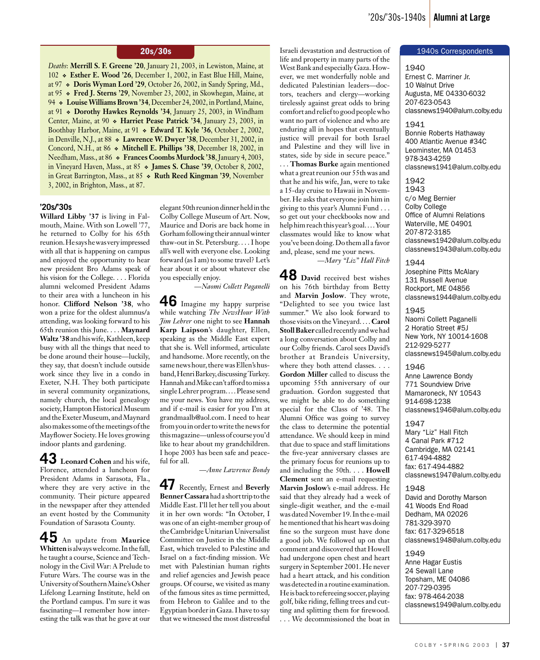*Deaths*: **Merrill S. F. Greene '20**, January 21, 2003, in Lewiston, Maine, at 102 **Esther E. Wood '26**, December 1, 2002, in East Blue Hill, Maine, at 97 **Doris Wyman Lord '29**, October 26, 2002, in Sandy Spring, Md., at 95 **Fred J. Sterns '29**, November 23, 2002, in Skowhegan, Maine, at 94 **• Louise Williams Brown '34, December 24, 2002, in Portland, Maine,** at 91 **Dorothy Hawkes Reynolds '34**, January 25, 2003, in Windham Center, Maine, at 90  $\bullet$  Harriet Pease Patrick '34, January 23, 2003, in Boothbay Harbor, Maine, at 91 **Edward T. Kyle '36**, October 2, 2002, in Denville, N.J., at 88 **Lawrence W. Dwyer '38**, December 31, 2002, in Concord, N.H., at 86 **Mitchell E. Phillips '38**, December 18, 2002, in Needham, Mass., at 86 **Frances Coombs Murdock '38**, January 4, 2003, in Vineyard Haven, Mass., at 85 **James S. Chase '39**, October 8, 2002, in Great Barrington, Mass., at 85 **Ruth Reed Kingman '39**, November 3, 2002, in Brighton, Mass., at 87.

#### **'20s/'30s**

**Willard Libby '37** is living in Falmouth, Maine. With son Lowell '77, he returned to Colby for his 65th reunion. He says he was very impressed with all that is happening on campus and enjoyed the opportunity to hear new president Bro Adams speak of his vision for the College. . . . Florida alumni welcomed President Adams to their area with a luncheon in his honor. **Clifford Nelson '38**, who won a prize for the oldest alumnus/a attending, was looking forward to his 65th reunion this June. . . . **Maynard Waltz '38** and his wife, Kathleen, keep busy with all the things that need to be done around their house—luckily, they say, that doesn't include outside work since they live in a condo in Exeter, N.H. They both participate in several community organizations, namely church, the local genealogy society, Hampton Historical Museum and the Exeter Museum, and Maynard also makes some of the meetings of the Mayflower Society. He loves growing indoor plants and gardening.

**43 Leonard Cohen** and his wife, Florence, attended a luncheon for President Adams in Sarasota, Fla., where they are very active in the community. Their picture appeared in the newspaper after they attended an event hosted by the Community Foundation of Sarasota County.

**45** An update from **Maurice Whitten** is always welcome. In the fall, he taught a course, Science and Technology in the Civil War: A Prelude to Future Wars. The course was in the University of Southern Maine's Osher Lifelong Learning Institute, held on the Portland campus. I'm sure it was fascinating—I remember how interesting the talk was that he gave at our

elegant 50th reunion dinner held in the Colby College Museum of Art. Now, Maurice and Doris are back home in Gorham following their annual winter thaw-out in St. Petersburg. . . . I hope all's well with everyone else. Looking forward (as I am) to some travel? Let's hear about it or about whatever else you especially enjoy.

*—Naomi Collett Paganelli*

**46** Imagine my happy surprise while watching *The NewsHour With Jim Lehrer* one night to see **Hannah Karp Laipson**'s daughter, Ellen, speaking as the Middle East expert that she is. Well informed, articulate and handsome. More recently, on the same news hour, there was Ellen's husband, Henri Barkey, discussing Turkey. Hannah and Mike can't afford to miss a single Lehrer program.... Please send me your news. You have my address, and if e-mail is easier for you I'm at grandmaalb@aol.com. I need to hear from you in order to write the news for thismagazine—unless of course you'd like to hear about my grandchildren. I hope 2003 has been safe and peaceful for all.

*—Anne Lawrence Bondy*

**47** Recently, Ernest and **Beverly Benner Cassara** had a short trip to the Middle East. I'll let her tell you about it in her own words: "In October, I was one of an eight-member group of the Cambridge Unitarian Universalist Committee on Justice in the Middle East, which traveled to Palestine and Israel on a fact-finding mission. We met with Palestinian human rights and relief agencies and Jewish peace groups. Of course, we visited as many of the famous sites as time permitted, from Hebron to Galilee and to the Egyptian border in Gaza. I have to say that we witnessed the most distressful

20s/30s **1940s** 1940s 15 and destruction of **1940s Correspondents** life and property in many parts of the West Bank and especially Gaza. However, we met wonderfully noble and dedicated Palestinian leaders—doctors, teachers and clergy—working tirelessly against great odds to bring comfort and relief to good people who want no part of violence and who are enduring all in hopes that eventually justice will prevail for both Israel and Palestine and they will live in states, side by side in secure peace."

. . . **Thomas Burke** again mentioned what a great reunion our 55th was and that he and his wife, Jan, were to take a 15-day cruise to Hawaii in November. He asks that everyone join him in giving to this year's Alumni Fund . . . so get out your checkbooks now and help him reach this year's goal. . . . Your classmates would like to know what you've been doing. Do them all a favor and, please, send me your news.

*—Mary "Liz" Hall Fitch*

**48 David** received best wishes on his 76th birthday from Betty and **Marvin Joslow**. They wrote, "Delighted to see you twice last summer." We also look forward to those visits on the Vineyard. . . . **Carol Stoll Baker** called recently and we had a long conversation about Colby and our Colby friends. Carol sees David's brother at Brandeis University, where they both attend classes. . . . **Gordon Miller** called to discuss the upcoming 55th anniversary of our graduation. Gordon suggested that we might be able to do something special for the Class of '48. The Alumni Office was going to survey the class to determine the potential attendance. We should keep in mind that due to space and staff limitations the five-year anniversary classes are the primary focus for reunions up to and including the 50th. . . . **Howell Clement** sent an e-mail requesting **Marvin Joslow**'s e-mail address. He said that they already had a week of single-digit weather, and the e-mail was dated November 19. In the e-mail he mentioned that his heart was doing fine so the surgeon must have done a good job. We followed up on that comment and discovered that Howell had undergone open chest and heart surgery in September 2001. He never had a heart attack, and his condition was detected in a routine examination. He is back to refereeing soccer, playing golf, bike riding, felling trees and cutting and splitting them for firewood. . . . We decommissioned the boat in

1940 Ernest C. Marriner Jr. 10 Walnut Drive Augusta, ME 04330-6032 207-623-0543 classnews1940@alum.colby.edu

#### 1941

Bonnie Roberts Hathaway 400 Atlantic Avenue #34C Leominster, MA 01453 978-343-4259 classnews1941@alum.colby.edu

1942 1943 c/o Meg Bernier Colby College Office of Alumni Relations Waterville, ME 04901 207-872-3185 classnews1942@alum.colby.edu classnews1943@alum.colby.edu

1944 Josephine Pitts McAlary 131 Russell Avenue Rockport, ME 04856 classnews1944@alum.colby.edu

1945 Naomi Collett Paganelli 2 Horatio Street #5J New York, NY 10014-1608 212-929-5277 classnews1945@alum.colby.edu

1946 Anne Lawrence Bondy 771 Soundview Drive Mamaroneck, NY 10543 914-698-1238 classnews1946@alum.colby.edu

1947 Mary "Liz" Hall Fitch 4 Canal Park #712 Cambridge, MA 02141 617-494-4882 fax: 617-494-4882 classnews1947@alum.colby.edu

#### 1948

David and Dorothy Marson 41 Woods End Road Dedham, MA 02026 781-329-3970 fax: 617-329-6518 classnews1948@alum.colby.edu

1949 Anne Hagar Eustis 24 Sewall Lane Topsham, ME 04086 207-729-0395 fax: 978-464-2038 classnews1949@alum.colby.edu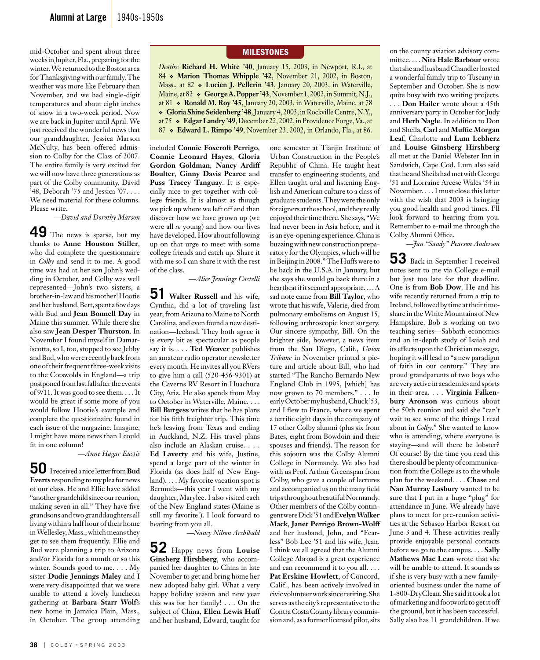mid-October and spent about three weeks in Jupiter, Fla., preparing for the winter. We returned to the Boston area for Thanksgiving with our family. The weather was more like February than November, and we had single-digit temperatures and about eight inches of snow in a two-week period. Now we are back in Jupiter until April. We just received the wonderful news that our granddaughter, Jessica Marson McNulty, has been offered admission to Colby for the Class of 2007. The entire family is very excited for we will now have three generations as part of the Colby community, David '48, Deborah '75 and Jessica '07. . . . We need material for these columns. Please write.

*—David and Dorothy Marson*

**49** The news is sparse, but my thanks to **Anne Houston Stiller**, who did complete the questionnaire in *Colby* and send it to me. A good time was had at her son John's wedding in October, and Colby was well represented—John's two sisters, a brother-in-law and his mother! Hootie and her husband, Bert, spent a few days with Bud and **Jean Bonnell Day** in Maine this summer. While there she also saw **Jean Desper Thurston**. In November I found myself in Damariscotta, so I, too, stopped to see Jebby and Bud, who were recently back from one of their frequent three-week visits to the Cotswolds in England—a trip postponed from last fall after the events of 9/11. It was good to see them. . . . It would be great if some more of you would follow Hootie's example and complete the questionnaire found in each issue of the magazine. Imagine, I might have more news than I could fit in one column!

*—Anne Hagar Eustis*

**50** I received a nice letter from **Bud Everts** responding to my plea for news of our class. He and Ellie have added "another grandchild since our reunion, making seven in all." They have five grandsons and two granddaughters all living within a half hour of their home in Wellesley, Mass., which means they get to see them frequently. Ellie and Bud were planning a trip to Arizona and/or Florida for a month or so this winter. Sounds good to me. . . . My sister **Dudie Jennings Maley** and I were very disappointed that we were unable to attend a lovely luncheon gathering at **Barbara Starr Wolf**'s new home in Jamaica Plain, Mass., in October. The group attending

#### **MILESTONES**

*Deaths*: **Richard H. White '40**, January 15, 2003, in Newport, R.I., at 84 **Marion Thomas Whipple '42**, November 21, 2002, in Boston, Mass., at 82 **Lucien J. Pellerin '43**, January 20, 2003, in Waterville, Maine, at 82  $\bullet$  George A. Popper '43, November 1, 2002, in Summit, N.J., at 81 **Ronald M. Roy '45**, January 20, 2003, in Waterville, Maine, at 78 **Gloria Shine Seidenberg '48**, January 4, 2003, in Rockville Centre, N.Y., at 75 **Edgar Landry '49**, December 22, 2002, in Providence Forge, Va., at 87 **Edward L. Rimpo '49**, November 23, 2002, in Orlando, Fla., at 86.

included **Connie Foxcroft Perrigo**, **Connie Leonard Hayes**, **Gloria Gordon Goldman**, **Nancy Ardiff Boulter**, **Ginny Davis Pearce** and **Puss Tracey Tanguay**. It is especially nice to get together with college friends. It is almost as though we pick up where we left off and then discover how we have grown up (we were all *so* young) and how our lives have developed. How about following up on that urge to meet with some college friends and catch up. Share it with me so I can share it with the rest of the class.

*—Alice Jennings Castelli*

**51 Walter Russell** and his wife, Cynthia, did a lot of traveling last year, from Arizona to Maine to North Carolina, and even found a new destination—Iceland. They both agree it is every bit as spectacular as people say it is. . . . **Ted Weaver** publishes an amateur radio operator newsletter every month. He invites all you RVers to give him a call (520-456-9301) at the Caverns RV Resort in Huachuca City, Ariz. He also spends from May to October in Waterville, Maine. . . . **Bill Burgess** writes that he has plans for his fifth freighter trip. This time he's leaving from Texas and ending in Auckland, N.Z. His travel plans also include an Alaskan cruise. . . . **Ed Laverty** and his wife, Justine, spend a large part of the winter in Florida (as does half of New England). . . . My favorite vacation spot is Bermuda—this year I went with my daughter, Marylee. I also visited each of the New England states (Maine is still my favorite!). I look forward to hearing from you all.

*—Nancy Nilson Archibald* 

**52** Happy news from **Louise Ginsberg Hirshberg**, who accompanied her daughter to China in late November to get and bring home her new adopted baby girl. What a very happy holiday season and new year this was for her family! . . . On the subject of China, **Ellen Lewis Huff**  and her husband, Edward, taught for one semester at Tianjin Institute of Urban Construction in the People's Republic of China. He taught heat transfer to engineering students, and Ellen taught oral and listening English and American culture to a class of graduate students. They were the only foreigners at the school, and they really enjoyed their time there. She says, "We had never been in Asia before, and it is an eye-opening experience. China is buzzing with new construction preparatory for the Olympics, which will be in Beijing in 2008." The Huffs were to be back in the U.S.A. in January, but she says she would go back there in a heartbeat if it seemed appropriate. . . . A sad note came from **Bill Taylor**, who wrote that his wife, Valerie, died from pulmonary embolisms on August 15, following arthroscopic knee surgery. Our sincere sympathy, Bill. On the brighter side, however, a news item from the San Diego, Calif., *Union Tribune* in November printed a picture and article about Bill, who had started "The Rancho Bernardo New England Club in 1995, [which] has now grown to 70 members." . . . In early October my husband, Chuck '53, and I flew to France, where we spent a terrific eight days in the company of 17 other Colby alumni (plus six from Bates, eight from Bowdoin and their spouses and friends). The reason for this sojourn was the Colby Alumni College in Normandy. We also had with us Prof. Arthur Greenspan from Colby, who gave a couple of lectures and accompanied us on the many field trips throughout beautiful Normandy. Other members of the Colby contingent were Dick '51 and **Evelyn Walker Mack**, **Janet Perrigo Brown-Wolff**  and her husband, John, and "Fearless" Bob Lee '51 and his wife, Jean. I think we all agreed that the Alumni College Abroad is a great experience and can recommend it to you all. . . . **Pat Erskine Howlett**, of Concord, Calif., has been actively involved in civic volunteer work since retiring. She serves as the city's representative to the Contra Costa County library commission and, as a former licensed pilot, sits

on the county aviation advisory committee. . . . **Nita Hale Barbour** wrote that she and husband Chandler hosted a wonderful family trip to Tuscany in September and October. She is now quite busy with two writing projects. . . . **Don Hailer** wrote about a 45th anniversary party in October for Judy and **Herb Nagle**. In addition to Don and Sheila, **Carl** and **Muffie Morgan Leaf**, Charlotte and **Lum Lebherz**  and **Louise Ginsberg Hirshberg**  all met at the Daniel Webster Inn in Sandwich, Cape Cod. Lum also said that he and Sheila had met with George '51 and Lorraine Arcese Wales '54 in November. . . . I must close this letter with the wish that 2003 is bringing you good health and good times. I'll look forward to hearing from you. Remember to e-mail me through the Colby Alumni Office.

*—Jan "Sandy" Pearson Anderson*

**53** Back in September I received notes sent to me via College e-mail but just too late for that deadline. One is from **Bob Dow**. He and his wife recently returned from a trip to Ireland, followed by time at their timeshare in the White Mountains of New Hampshire. Bob is working on two teaching series—Sabbath economics and an in-depth study of Isaiah and its effects upon the Christian message, hoping it will lead to "a new paradigm of faith in our century." They are proud grandparents of two boys who are very active in academics and sports in their area. . . . **Virginia Falkenbury Aronson** was curious about the 50th reunion and said she "can't wait to see some of the things I read about in *Colby*." She wanted to know who is attending, where everyone is staying—and will there be lobster? Of course! By the time you read this there should be plenty of communication from the College as to the whole plan for the weekend. . . . **Chase** and **Nan Murray Lasbury** wanted to be sure that I put in a huge "plug" for attendance in June. We already have plans to meet for pre-reunion activities at the Sebasco Harbor Resort on June 3 and 4. These activities really provide enjoyable personal contacts before we go to the campus. . . . **Sally Mathews Mac Lean** wrote that she will be unable to attend. It sounds as if she is very busy with a new familyoriented business under the name of 1-800-DryClean. She said it took a lot of marketing and footwork to get it off the ground, but it has been successful. Sally also has 11 grandchildren. If we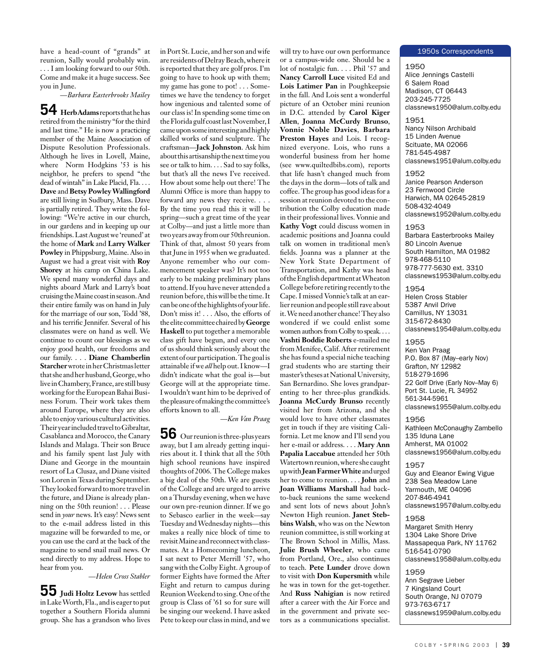have a head-count of "grands" at reunion, Sally would probably win. . . . I am looking forward to our 50th. Come and make it a huge success. See you in June.

*—Barbara Easterbrooks Mailey*

**54 Herb Adams** reports that he has retired from the ministry "for the third and last time." He is now a practicing member of the Maine Association of Dispute Resolution Professionals. Although he lives in Lovell, Maine, where Norm Hodgkins '53 is his neighbor, he prefers to spend "the dead of wintah" in Lake Placid, Fla. . . . **Dave** and **Betsy PowleyWallingford**  are still living in Sudbury, Mass. Dave is partially retired. They write the following: "We're active in our church, in our gardens and in keeping up our friendships. Last August we 'reuned' at the home of **Mark** and **Larry Walker Powley** in Phippsburg, Maine. Also in August we had a great visit with **Roy Shorey** at his camp on China Lake. We spend many wonderful days and nights aboard Mark and Larry's boat cruising the Maine coast in season. And their entire family was on hand in July for the marriage of our son, Todd '88, and his terrific Jennifer. Several of his classmates were on hand as well. We continue to count our blessings as we enjoy good health, our freedoms and our family. . . . **Diane Chamberlin Starcher** wrote in her Christmas letter that she and her husband, George, who live in Chambery, France, are still busy working for the European Bahai Business Forum. Their work takes them around Europe, where they are also able to enjoy various cultural activities. Their year included travel to Gibraltar, Casablanca and Morocco, the Canary Islands and Malaga. Their son Bruce and his family spent last July with Diane and George in the mountain resort of La Clusaz, and Diane visited son Loren in Texas during September. They looked forward to more travel in the future, and Diane is already planning on the 50th reunion! . . . Please send in *your* news. It's easy! News sent to the e-mail address listed in this magazine will be forwarded to me, or you can use the card at the back of the magazine to send snail mail news. Or send directly to my address. Hope to hear from you.

*—Helen Cross Stabler*

**55 Judi Holtz Levow** has settled in Lake Worth, Fla., and is eager to put together a Southern Florida alumni group. She has a grandson who lives in Port St. Lucie, and her son and wife are residents of Delray Beach, where it is reported that they are golf pros. I'm going to have to hook up with them; my game has gone to pot! . . . Sometimes we have the tendency to forget how ingenious and talented some of our class is! In spending some time on the Florida gulf coast last November, I came upon some interesting and highly skilled works of sand sculpture. The craftsman—**Jack Johnston**. Ask him about this artisanship the next time you see or talk to him. . . . Sad to say folks, but that's all the news I've received. How about some help out there! The Alumni Office is more than happy to forward any news they receive. . . . By the time you read this it will be spring—such a great time of the year at Colby—and just a little more than two years away from our 50threunion. Think of that, almost 50 years from that June in 1955 when we graduated. Anyone remember who our commencement speaker was? It's not too early to be making preliminary plans to attend. If you have never attended a reunion before, this will be the time. It can be one of the highlights of your life. Don't miss it! . . . Also, the efforts of the elite committee chaired by **George Haskell** to put together a memorable class gift have begun, and every one of us should think seriously about the extent of our participation. The goal is attainable if we *all* help out. I know—I didn't indicate what the goal is—but George will at the appropriate time. I wouldn't want him to be deprived of the pleasure of making the committee's efforts known to all.

*—Ken Van Praag*

**56** Our reunion is three-plus years away, but I am already getting inquiries about it. I think that all the 50th high school reunions have inspired thoughts of 2006. The College makes a big deal of the 50th. We are guests of the College and are urged to arrive on a Thursday evening, when we have our own pre-reunion dinner. If we go to Sebasco earlier in the week—say Tuesday and Wednesday nights—this makes a really nice block of time to revisit Maine and reconnect with classmates. At a Homecoming luncheon, I sat next to Peter Merrill '57, who sang with the Colby Eight. A group of former Eights have formed the After Eight and return to campus during Reunion Weekend to sing. One of the group is Class of '61 so for sure will be singing our weekend. I have asked Pete to keep our class in mind, and we

will try to have our own performance or a campus-wide one. Should be a lot of nostalgic fun. . . . Phil '57 and **Nancy Carroll Luce** visited Ed and **Lois Latimer Pan** in Poughkeepsie in the fall. And Lois sent a wonderful picture of an October mini reunion in D.C. attended by **Carol Kiger Allen**, **Joanna McCurdy Brunso**, **Vonnie Noble Davies**, **Barbara Preston Hayes** and Lois. I recognized everyone. Lois, who runs a wonderful business from her home (see www.quiltedbibs.com), reports that life hasn't changed much from the days in the dorm—lots of talk and coffee. The group has good ideas for a session at reunion devoted to the contribution the Colby education made in their professional lives. Vonnie and **Kathy Vogt** could discuss women in academic positions and Joanna could talk on women in traditional men's fields. Joanna was a planner at the New York State Department of Transportation, and Kathy was head of the English department at Wheaton College before retiring recently to the Cape. I missed Vonnie's talk at an earlier reunion and people still rave about it. We need another chance! They also wondered if we could enlist some women authors from Colby to speak. . . . **Vashti Boddie Roberts** e-mailed me from Menifee, Calif. After retirement she has found a special niche teaching grad students who are starting their master's theses at National University, San Bernardino. She loves grandparenting to her three-plus grandkids. **Joanna McCurdy Brunso** recently visited her from Arizona, and she would love to have other classmates get in touch if they are visiting California. Let me know and I'll send you her e-mail or address. . . . **Mary Ann Papalia Laccabue** attended her 50th Watertown reunion, where she caught up with **Jean Farmer White** and urged her to come to reunion. . . . **John** and **Joan Williams Marshall** had backto-back reunions the same weekend and sent lots of news about John's Newton High reunion. **Janet Stebbins Walsh**, who was on the Newton reunion committee, is still working at The Brown School in Millis, Mass. **Julie Brush Wheeler**, who came from Portland, Ore., also continues to teach. **Pete Lunder** drove down to visit with **Don Kupersmith** while he was in town for the get-together. And **Russ Nahigian** is now retired after a career with the Air Force and in the government and private sectors as a communications specialist.

#### 1950s Correspondents

1950 Alice Jennings Castelli 6 Salem Road Madison, CT 06443 203-245-7725 classnews1950@alum.colby.edu

1951 Nancy Nilson Archibald 15 Linden Avenue Scituate, MA 02066 781-545-4987 classnews1951@alum.colby.edu

1952 Janice Pearson Anderson 23 Fernwood Circle Harwich, MA 02645-2819 508-432-4049 classnews1952@alum.colby.edu

1953 Barbara Easterbrooks Mailey 80 Lincoln Avenue South Hamilton, MA 01982 978-468-5110 978-777-5630 ext. 3310 classnews1953@alum.colby.edu

1954 Helen Cross Stabler 5387 Anvil Drive Camillus, NY 13031 315-672-8430 classnews1954@alum.colby.edu

#### 1955 Ken Van Praag P.O. Box 87 (May–early Nov) Grafton, NY 12982 518-279-1696 22 Golf Drive (Early Nov–May 6) Port St. Lucie, FL 34952

561-344-5961 classnews1955@alum.colby.edu

1956 Kathleen McConaughy Zambello 135 Iduna Lane Amherst, MA 01002 classnews1956@alum.colby.edu

1957 Guy and Eleanor Ewing Vigue 238 Sea Meadow Lane Yarmouth, ME 04096 207-846-4941 classnews1957@alum.colby.edu

1958 Margaret Smith Henry 1304 Lake Shore Drive Massapequa Park, NY 11762 516-541-0790 classnews1958@alum.colby.edu

#### 1959 Ann Segrave Lieber 7 Kingsland Court South Orange, NJ 07079 973-763-6717 classnews1959@alum.colby.edu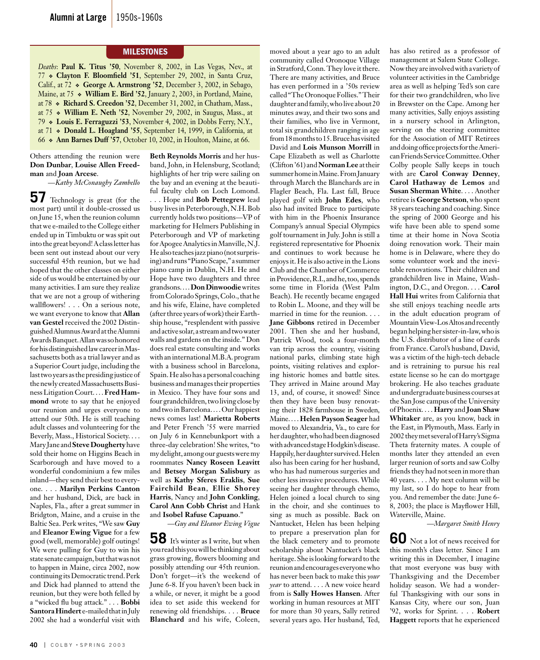#### **MILESTONES**

*Deaths*: **Paul K. Titus '50**, November 8, 2002, in Las Vegas, Nev., at 77 **Clayton F. Bloomfield '51**, September 29, 2002, in Santa Cruz, Calif., at 72 **George A. Armstrong '52**, December 3, 2002, in Sebago, Maine, at 75 **William E. Bird '52**, January 2, 2003, in Portland, Maine, at 78 **Richard S. Creedon '52**, December 31, 2002, in Chatham, Mass., at 75 **William E. Neth '52**, November 29, 2002, in Saugus, Mass., at 79 **Louis E. Ferraguzzi '53**, November 4, 2002, in Dobbs Ferry, N.Y., at 71 **Donald L. Hoagland '55**, September 14, 1999, in California, at 66 **Ann Barnes Duff '57**, October 10, 2002, in Houlton, Maine, at 66.

Others attending the reunion were **Don Dunbar**, **Louise Allen Freedman** and **Joan Arcese**.

*—Kathy McConaughy Zambello*

**57** Technology is great (for the most part) until it double-crossed us on June 15, when the reunion column that we e-mailed to the College either ended up in Timbuktu or was spit out into the great beyond! A class letter has been sent out instead about our very successful 45th reunion, but we had hoped that the other classes on either side of us would be entertained by our many activities. I am sure they realize that we are not a group of withering wallflowers! . . . On a serious note, we want everyone to know that **Allan van Gestel** received the 2002 Distinguished Alumnus Award at the Alumni Awards Banquet. Allan was so honored for his distinguished law career in Massachusetts both as a trial lawyer and as a Superior Court judge, including the last two years as the presiding justice of the newly created Massachusetts Business Litigation Court. . . . **Fred Hammond** wrote to say that he enjoyed our reunion and urges everyone to attend our 50th. He is still teaching adult classes and volunteering for the Beverly, Mass., Historical Society. . . . Mary Jane and **Steve Dougherty** have sold their home on Higgins Beach in Scarborough and have moved to a wonderful condominium a few miles inland—they send their best to everyone. . . . **Marilyn Perkins Canton**  and her husband, Dick, are back in Naples, Fla., after a great summer in Bridgton, Maine, and a cruise in the Baltic Sea. Perk writes, "We saw **Guy** and **Eleanor Ewing Vigue** for a few good (well, memorable) golf outings! We were pulling for Guy to win his state senate campaign, but that was not to happen in Maine, circa 2002, now continuing its Democratic trend. Perk and Dick had planned to attend the reunion, but they were both felled by a "wicked flu bug attack." . . . **Bobbi Santora Hindert** e-mailed that in July 2002 she had a wonderful visit with

**Beth Reynolds Morris** and her husband, John, in Helensburg, Scotland; highlights of her trip were sailing on the bay and an evening at the beautiful faculty club on Loch Lomond. . . . Hope and **Bob Pettegrew** lead busy lives in Peterborough, N.H. Bob currently holds two positions—VP of marketing for Helmers Publishing in Peterborough and VP of marketing for Apogee Analytics in Manville, N.J. He also teaches jazz piano (not surprising) and runs "Piano Scape," a summer piano camp in Dublin, N.H. He and Hope have two daughters and three grandsons. . . . **Don Dinwoodie** writes from Colorado Springs, Colo., that he and his wife, Elaine, have completed (after three years of work) their Earthship house, "resplendent with passive and active solar, a stream and two water walls and gardens on the inside." Don does real estate consulting and works with an international M.B.A. program with a business school in Barcelona, Spain. He also has a personal coaching business and manages their properties in Mexico. They have four sons and four grandchildren, two living close by and two in Barcelona. . . . Our happiest news comes last! **Marietta Roberts** and Peter French '55 were married on July 6 in Kennebunkport with a three-day celebration! She writes, "to my delight, among our guests were my roommates **Nancy Roseen Leavitt**  and **Betsey Morgan Salisbury** as well as **Kathy Sferes Eraklis**, **Sue Fairchild Bean**, **Ellie Shorey Harris**, Nancy and **John Conkling**, **Carol Ann Cobb Christ** and Hank and **Isobel Rafuse Capuano**."

*—Guy and Eleanor Ewing Vigue*

**58** It's winter as I write, but when you read this you will be thinking about grass growing, flowers blooming and possibly attending our 45th reunion. Don't forget—it's the weekend of June 6-8. If you haven't been back in a while, or never, it might be a good idea to set aside this weekend for renewing old friendships. . . . **Bruce Blanchard** and his wife, Coleen,

moved about a year ago to an adult community called Oronoque Village in Stratford, Conn. They love it there. There are many activities, and Bruce has even performed in a '50s review called "The Oronoque Follies." Their daughter and family, who live about 20 minutes away, and their two sons and their families, who live in Vermont, total six grandchildren ranging in age from 18 months to 15. Bruce has visited David and **Lois Munson Morrill** in Cape Elizabeth as well as Charlotte (Clifton '61) and **Norman Lee** at their summer home in Maine. From January through March the Blanchards are in Flagler Beach, Fla. Last fall, Bruce played golf with **John Edes**, who also had invited Bruce to participate with him in the Phoenix Insurance Company's annual Special Olympics golf tournament in July. John is still a registered representative for Phoenix and continues to work because he enjoys it. He is also active in the Lions Club and the Chamber of Commerce in Providence, R.I., and he, too, spends some time in Florida (West Palm Beach). He recently became engaged to Robin L. Moone, and they will be married in time for the reunion. . . . **Jane Gibbons** retired in December 2001. Then she and her husband, Patrick Wood, took a four-month van trip across the country, visiting national parks, climbing state high points, visiting relatives and exploring historic homes and battle sites. They arrived in Maine around May 13, and, of course, it snowed! Since then they have been busy renovating their 1828 farmhouse in Sweden, Maine. . . . **Helen Payson Seager** had moved to Alexandria, Va., to care for her daughter, who had been diagnosed with advanced stage Hodgkin's disease. Happily, her daughter survived. Helen also has been caring for her husband, who has had numerous surgeries and other less invasive procedures. While seeing her daughter through chemo, Helen joined a local church to sing in the choir, and she continues to sing as much as possible. Back on Nantucket, Helen has been helping to prepare a preservation plan for the black cemetery and to promote scholarship about Nantucket's black heritage. She is looking forward to the reunion and encourages everyone who has never been back to make this *your year* to attend. . . . A new voice heard from is **Sally Howes Hansen**. After working in human resources at MIT for more than 30 years, Sally retired several years ago. Her husband, Ted,

has also retired as a professor of management at Salem State College. Now they are involved with a variety of volunteer activities in the Cambridge area as well as helping Ted's son care for their two grandchildren, who live in Brewster on the Cape. Among her many activities, Sally enjoys assisting in a nursery school in Arlington, serving on the steering committee for the Association of MIT Retirees and doing office projects for the American Friends Service Committee. Other Colby people Sally keeps in touch with are **Carol Conway Denney**, **Carol Hathaway de Lemos** and **Susan Sherman White**. . . . Another retiree is **George Stetson**, who spent 38 years teaching and coaching. Since the spring of 2000 George and his wife have been able to spend some time at their home in Nova Scotia doing renovation work. Their main home is in Delaware, where they do some volunteer work and the inevitable renovations. Their children and grandchildren live in Maine, Washington, D.C., and Oregon. . . . **Carol Hall Hui** writes from California that she still enjoys teaching needle arts in the adult education program of Mountain View-Los Altos and recently began helping her sister-in-law, who is the U.S. distributor of a line of cards from France. Carol's husband, David, was a victim of the high-tech debacle and is retraining to pursue his real estate license so he can do mortgage brokering. He also teaches graduate and undergraduate business courses at the San Jose campus of the University of Phoenix. . . . **Harry** and **Joan Shaw Whitaker** are, as you know, back in the East, in Plymouth, Mass. Early in 2002 they met several of Harry's Sigma Theta fraternity mates. A couple of months later they attended an even larger reunion of sorts and saw Colby friends they had not seen in more than 40 years. . . . My next column will be my last, so I do hope to hear from you. And remember the date: June 6- 8, 2003; the place is Mayflower Hill, Waterville, Maine.

*—Margaret Smith Henry*

**60** Not a lot of news received for this month's class letter. Since I am writing this in December, I imagine that most everyone was busy with Thanksgiving and the December holiday season. We had a wonderful Thanksgiving with our sons in Kansas City, where our son, Juan '92, works for Sprint. . . . **Robert Haggett** reports that he experienced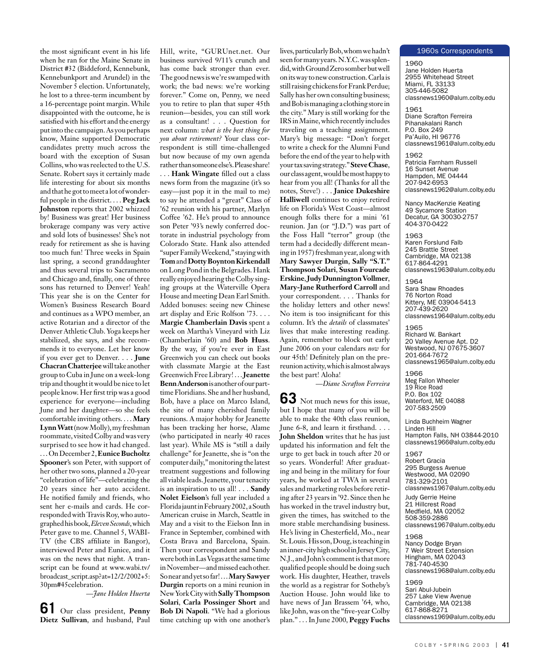the most significant event in his life when he ran for the Maine Senate in District #32 (Biddeford, Kennebunk, Kennebunkport and Arundel) in the November 5 election. Unfortunately, he lost to a three-term incumbent by a 16-percentage point margin. While disappointed with the outcome, he is satisfied with his effort and the energy put into the campaign. As you perhaps know, Maine supported Democratic candidates pretty much across the board with the exception of Susan Collins, who was reelected to the U.S. Senate. Robert says it certainly made life interesting for about six months and that he got to meet a lot of wonderful people in the district. . . . **Peg Jack Johnston** reports that 2002 whizzed by! Business was great! Her business brokerage company was very active and sold lots of businesses! She's not ready for retirement as she is having too much fun! Three weeks in Spain last spring, a second granddaughter and thus several trips to Sacramento and Chicago and, finally, one of three sons has returned to Denver! Yeah! This year she is on the Center for Women's Business Research Board and continues as a WPO member, an active Rotarian and a director of the Denver Athletic Club. Yoga keeps her stabilized, she says, and she recommends it to everyone. Let her know if you ever get to Denver. . . . **June Chacran Chatterjee** will take another group to Cuba in June on a week-long trip and thought it would be nice to let people know. Her first trip was a good experience for everyone—including June and her daughter—so she feels comfortable inviting others. . . . **Mary Lynn Watt** (now Molly), my freshman roommate, visited Colby and was very surprised to see how it had changed. . . . On December 2, **Eunice Bucholtz Spooner**'s son Peter, with support of her other two sons, planned a 20-year "celebration of life"—celebrating the 20 years since her auto accident. He notified family and friends, who sent her e-mails and cards. He corresponded with Travis Roy, who autographed his book, *Eleven Seconds*, which Peter gave to me. Channel 5, WABI-TV (the CBS affiliate in Bangor), interviewed Peter and Eunice, and it was on the news that night. A transcript can be found at www.wabi.tv/ broadcast\_script.asp?at=12/2/2002+5: 30pm#45celebration.

*—Jane Holden Huerta*

**61** Our class president, **Penny Dietz Sullivan**, and husband, Paul

Hill, write, "GURUnet.net. Our business survived 9/11's crunch and has come back stronger than ever. The good news is we're swamped with work; the bad news: we're working forever." Come on, Penny, we need you to retire to plan that super 45th reunion—besides, you can still work as a consultant! . . . Question for next column: *what is the best thing for you about retirement?* Your class correspondent is still time-challenged but now because of my own agenda rather than someone else's. Please share! . . . **Hank Wingate** filled out a class news form from the magazine (it's so easy—just pop it in the mail to me) to say he attended a "great" Class of '62 reunion with his partner, Marlyn Coffee '62. He's proud to announce son Peter '93's newly conferred doctorate in industrial psychology from Colorado State. Hank also attended "super Family Weekend," staying with **Tom** and **Dotty Boynton Kirkendall** on Long Pond in the Belgrades. Hank really enjoyed hearing the Colby singing groups at the Waterville Opera House and meeting Dean Earl Smith. Added bonuses: seeing new Chinese art display and Eric Rolfson '73. . . . **Margie Chamberlain Davis** spent a week on Martha's Vineyard with Liz (Chamberlain '60) and **Bob Huss**. By the way, if you're ever in East Greenwich you can check out books with classmate Margie at the East Greenwich Free Library! . . . **Jeanette Benn Anderson** is another of our parttime Floridians. She and her husband, Bob, have a place on Marco Island, the site of many cherished family reunions. A major hobby for Jeanette has been tracking her horse, Alame (who participated in nearly 40 races last year). While MS is "still a daily challenge" for Jeanette, she is "on the computer daily," monitoring the latest treatment suggestions and following all viable leads. Jeanette, your tenacity is an inspiration to us all! . . . **Sandy Nolet Eielson**'s full year included a Florida jaunt in February 2002, a South American cruise in March, Seattle in May and a visit to the Eielson Inn in France in September, combined with Costa Brava and Barcelona, Spain. Then your correspondent and Sandy were both in Las Vegas at the same time in November—and missed each other. So near and yet so far! . . . **Mary Sawyer Durgin** reports on a mini reunion in New York City with **Sally Thompson Solari**, **Carla Possinger Short** and **Bob Di Napoli**. "We had a glorious time catching up with one another's

lives, particularly Bob, whom we hadn't seen for many years. N.Y.C. was splendid, with Ground Zero somber but well on its way to new construction. Carla is still raising chickens for Frank Perdue; Sally has her own consulting business; and Bob is managing a clothing store in the city." Mary is still working for the IRS in Maine, which recently includes traveling on a teaching assignment. Mary's big message: "Don't forget to write a check for the Alumni Fund before the end of the year to help with your tax saving strategy." **Steve Chase**, our class agent, would be most happy to hear from you all! (Thanks for all the notes, Steve!) . . . **Janice Dukeshire Halliwell** continues to enjoy retired life on Florida's West Coast—almost enough folks there for a mini '61 reunion. Jan (or "J.D.") was part of the Foss Hall "terror" group (the term had a decidedly different meaning in 1957) freshman year, along with **Mary Sawyer Durgin**, **Sally "S.T." Thompson Solari**, **Susan Fourcade Erskine**, **Judy Dunnington Vollmer**, **Mary-Jane Rutherford Carroll** and your correspondent. . . . Thanks for the holiday letters and other news! No item is too insignificant for this column. It's the *details* of classmates' lives that make interesting reading. Again, remember to block out early June 2006 on your calendars *now* for our 45th! Definitely plan on the prereunion activity, which is almost always the best part! Aloha!

*—Diane Scrafton Ferreira*

**63** Not much news for this issue, but I hope that many of you will be able to make the 40th class reunion, June 6-8, and learn it firsthand. . . . **John Sheldon** writes that he has just updated his information and felt the urge to get back in touch after 20 or so years. Wonderful! After graduating and being in the military for four years, he worked at TWA in several sales and marketing roles before retiring after 23 years in '92. Since then he has worked in the travel industry but, given the times, has switched to the more stable merchandising business. He's living in Chesterfield, Mo., near St. Louis. His son, Doug, is teaching in an inner-city high school in Jersey City, N.J., and John's comment is that more qualified people should be doing such work. His daughter, Heather, travels the world as a registrar for Sotheby's Auction House. John would like to have news of Jan Brassem '64, who, like John, was on the "five-year Colby plan." . . . In June 2000, **Peggy Fuchs** 

#### 1960s Correspondents

1960 Jane Holden Huerta 2955 Whitehead Street Miami, FL 33133 305-446-5082 classnews1960@alum.colby.edu

1961 Diane Scrafton Ferreira Pihanakalani Ranch P.O. Box 249 Pa'Auilo, HI 96776 classnews1961@alum.colby.edu

1962 Patricia Farnham Russell 16 Sunset Avenue Hampden, ME 04444 207-942-6953 classnews1962@alum.colby.edu

Nancy MacKenzie Keating 49 Sycamore Station Decatur, GA 30030-2757 404-370-0422

1963 Karen Forslund Falb 245 Brattle Street Cambridge, MA 02138 617-864-4291 classnews1963@alum.colby.edu

1964 Sara Shaw Rhoades 76 Norton Road Kittery, ME 03904-5413 207-439-2620 classnews1964@alum.colby.edu

1965 Richard W. Bankart 20 Valley Avenue Apt. D2 Westwood, NJ 07675-3607 201-664-7672 classnews1965@alum.colby.edu

1966 Meg Fallon Wheeler 19 Rice Road P.O. Box 102 Waterford, ME 04088 207-583-2509

Linda Buchheim Wagner Linden Hill Hampton Falls, NH 03844-2010 classnews1966@alum.colby.edu

1967 Robert Gracia 295 Burgess Avenue Westwood, MA 02090 781-329-2101 classnews1967@alum.colby.edu

Judy Gerrie Heine 21 Hillcrest Road Medfield, MA 02052 508-359-2886 classnews1967@alum.colby.edu

1968 Nancy Dodge Bryan 7 Weir Street Extension Hingham, MA 02043 781-740-4530 classnews1968@alum.colby.edu

1969 Sari Abul-Jubein 257 Lake View Avenue Cambridge, MA 02138 617-868-8271 classnews1969@alum.colby.edu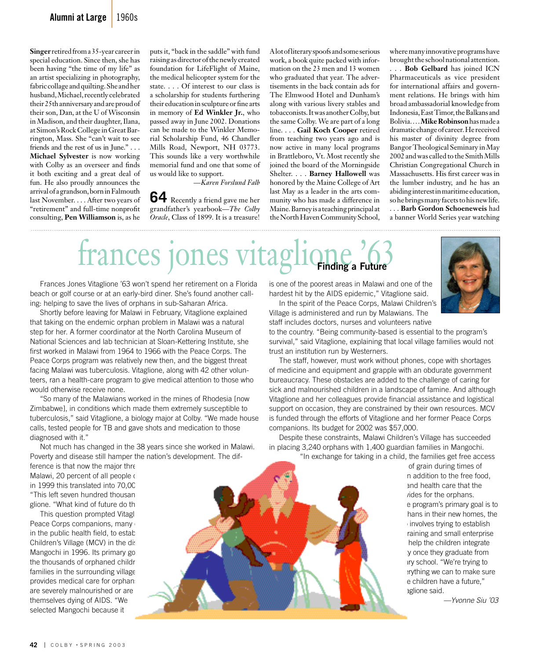**Singer** retired from a 35-year career in special education. Since then, she has been having "the time of my life" as an artist specializing in photography, fabric collage and quilting. She and her husband, Michael, recently celebrated their 25th anniversary and are proud of their son, Dan, at the U of Wisconsin in Madison, and their daughter, Ilana, at Simon's Rock College in Great Barrington, Mass. She "can't wait to see friends and the rest of us in June." . . . **Michael Sylvester** is now working with Colby as an overseer and finds it both exciting and a great deal of fun. He also proudly announces the arrival of a grandson, born in Falmouth last November. . . . After two years of "retirement" and full-time nonprofit consulting, **Pen Williamson** is, as he

puts it, "back in the saddle" with fund raising as director of the newly created foundation for LifeFlight of Maine, the medical helicopter system for the state. . . . Of interest to our class is a scholarship for students furthering their education in sculpture or fine arts in memory of **Ed Winkler Jr.**, who passed away in June 2002. Donations can be made to the Winkler Memorial Scholarship Fund, 46 Chandler Mills Road, Newport, NH 03773. This sounds like a very worthwhile memorial fund and one that some of us would like to support.

*—Karen Forslund Falb* **64** Recently a friend gave me her grandfather's yearbook—*The Colby* 

*Oracle*, Class of 1899. It is a treasure!

A lot of literary spoofs and some serious work, a book quite packed with information on the 23 men and 13 women who graduated that year. The advertisements in the back contain ads for The Elmwood Hotel and Dunham's along with various livery stables and tobacconists. It was another Colby, but the same Colby. We are part of a long line. . . . **Gail Koch Cooper** retired from teaching two years ago and is now active in many local programs in Brattleboro, Vt. Most recently she joined the board of the Morningside Shelter. . . . **Barney Hallowell** was honored by the Maine College of Art last May as a leader in the arts community who has made a difference in Maine. Barney is a teaching principal at the North Haven Community School,

where many innovative programs have brought the school national attention.

. . . **Bob Gelbard** has joined ICN Pharmaceuticals as vice president for international affairs and government relations. He brings with him broad ambassadorial knowledge from Indonesia, East Timor, the Balkans and Bolivia. . . . **Mike Robinson** has made a dramatic change of career. He received his master of divinity degree from Bangor Theological Seminary in May 2002 and was called to the Smith Mills Christian Congregational Church in Massachusetts. His first career was in the lumber industry, and he has an abiding interest in maritime education, so he brings many facets to his new life. . . . **Barb Gordon Schoeneweis** had a banner World Series year watching

## frances jones **Finding a Future**

 Frances Jones Vitaglione '63 won't spend her retirement on a Florida beach or golf course or at an early-bird diner. She's found another calling: helping to save the lives of orphans in sub-Saharan Africa.

 Shortly before leaving for Malawi in February, Vitaglione explained that taking on the endemic orphan problem in Malawi was a natural step for her. A former coordinator at the North Carolina Museum of National Sciences and lab technician at Sloan-Kettering Institute, she first worked in Malawi from 1964 to 1966 with the Peace Corps. The Peace Corps program was relatively new then, and the biggest threat facing Malawi was tuberculosis. Vitaglione, along with 42 other volunteers, ran a health-care program to give medical attention to those who would otherwise receive none.

 "So many of the Malawians worked in the mines of Rhodesia [now Zimbabwe], in conditions which made them extremely susceptible to tuberculosis," said Vitaglione, a biology major at Colby. "We made house calls, tested people for TB and gave shots and medication to those diagnosed with it."

 Not much has changed in the 38 years since she worked in Malawi. Poverty and disease still hamper the nation's development. The dif-

ference is that now the major threat Malawi, 20 percent of all people of in 1999 this translated into 70,00 "This left seven hundred thousan glione. "What kind of future do the

This question prompted Vitagli Peace Corps companions, many in the public health field, to establish Children's Village (MCV) in the district of Mangochi in 1996. Its primary go the thousands of orphaned childr families in the surrounding village provides medical care for orphans are severely malnourished or are themselves dying of AIDS. "We selected Mangochi because it

is one of the poorest areas in Malawi and one of the hardest hit by the AIDS epidemic," Vitaglione said.

 In the spirit of the Peace Corps, Malawi Children's Village is administered and run by Malawians. The staff includes doctors, nurses and volunteers native

to the country. "Being community-based is essential to the program's survival," said Vitaglione, explaining that local village families would not trust an institution run by Westerners.

 The staff, however, must work without phones, cope with shortages of medicine and equipment and grapple with an obdurate government bureaucracy. These obstacles are added to the challenge of caring for sick and malnourished children in a landscape of famine. And although Vitaglione and her colleagues provide financial assistance and logistical support on occasion, they are constrained by their own resources. MCV is funded through the efforts of Vitaglione and her former Peace Corps companions. Its budget for 2002 was \$57,000.

 Despite these constraints, Malawi Children's Village has succeeded in placing 3,240 orphans with 1,400 guardian families in Mangochi. "In exchange for taking in a child, the families get free access

> of grain during times of n addition to the free food, and health care that the rides for the orphans. e program's primary goal is to hans in their new homes, the involves trying to establish raining and small enterprise help the children integrate **y** once they graduate from ary school. "We're trying to erything we can to make sure e children have a future," aglione said.

> > *—Yvonne Siu '03*

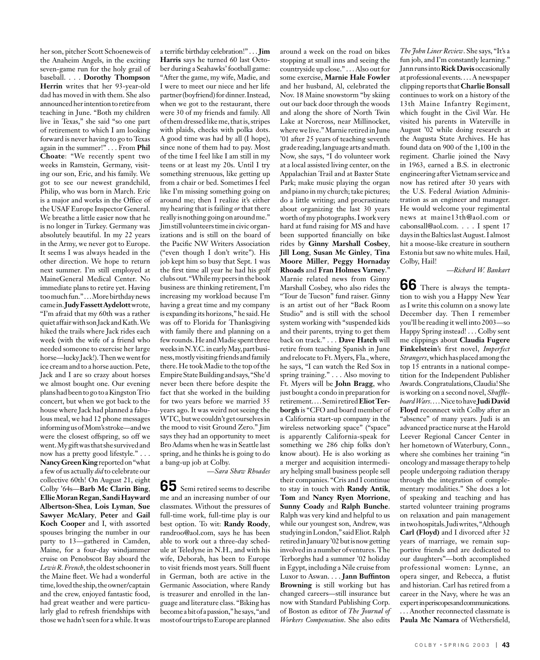her son, pitcher Scott Schoeneweis of the Anaheim Angels, in the exciting seven-game run for the holy grail of baseball. . . . **Dorothy Thompson Herrin** writes that her 93-year-old dad has moved in with them. She also announced her intention to retire from teaching in June. "Both my children live in Texas," she said "so one part of retirement to which I am looking forward is never having to go to Texas again in the summer!" . . . From **Phil Choate**: "We recently spent two weeks in Ramstein, Germany, visiting our son, Eric, and his family. We got to see our newest grandchild, Philip, who was born in March. Eric is a major and works in the Office of the USAF Europe Inspector General. We breathe a little easier now that he is no longer in Turkey. Germany was absolutely beautiful. In my 22 years in the Army, we never got to Europe. It seems I was always headed in the other direction. We hope to return next summer. I'm still employed at MaineGeneral Medical Center. No immediate plans to retire yet. Having too much fun." . . . More birthday news came in. **Judy Fassett Aydelott** wrote, "I'm afraid that my 60th was a rather quiet affair with son Jack and Kath. We hiked the trails where Jack rides each week (with the wife of a friend who needed someone to exercise her large horse—lucky Jack!). Then we went for ice cream and to a horse auction. Pete, Jack and I are so crazy about horses we almost bought one. Our evening plans had been to go to a Kingston Trio concert, but when we got back to the house where Jack had planned a fabulous meal, we had 12 phone messages informing us of Mom's stroke—and we were the closest offspring, so off we went. My gift was that she survived and now has a pretty good lifestyle." . . . **Nancy Green King** reported on "what a few of us actually *did* to celebrate our collective 60th! On August 21, eight Colby '64s—**Barb Mc Clarin Bing**, **Ellie Moran Regan**, **Sandi Hayward Albertson-Shea**, **Lois Lyman**, **Sue Sawyer McAlary**, **Peter** and **Gail Koch Cooper** and I, with assorted spouses bringing the number in our party to 13—gathered in Camden, Maine, for a four-day windjammer cruise on Penobscot Bay aboard the *Lewis R. French*, the oldest schooner in the Maine fleet. We had a wonderful time, loved the ship, the owner/captain and the crew, enjoyed fantastic food, had great weather and were particularly glad to refresh friendships with those we hadn't seen for a while. It was

a terrific birthday celebration!" . . . **Jim Harris** says he turned 60 last October during a Seahawks' football game: "After the game, my wife, Madie, and I were to meet our niece and her life partner (boyfriend) for dinner. Instead, when we got to the restaurant, there were 30 of my friends and family. All of them dressed like me, that is, stripes with plaids, checks with polka dots. A good time was had by all (I hope), since none of them had to pay. Most of the time I feel like I am still in my teens or at least my 20s. Until I try something strenuous, like getting up from a chair or bed. Sometimes I feel like I'm missing something going on around me; then I realize it's either my hearing that is failing *or* that there really is nothing going on around me." Jim still volunteers time in civic organizations and is still on the board of the Pacific NW Writers Association ("even though I don't write"). His job kept him so busy that Sept. 1 was the first time all year he had his golf clubs out. "While my peers in the book business are thinking retirement, I'm increasing my workload because I'm having a great time and my company is expanding its horizons," he said. He was off to Florida for Thanksgiving with family there and planning on a few rounds. He and Madie spent three weeks in N.Y.C. in early May, part business, mostly visiting friends and family there. He took Madie to the top of the Empire State Building and says, "She'd never been there before despite the fact that she worked in the building for two years before we married 35 years ago. It was weird not seeing the WTC, but we couldn't get ourselves in the mood to visit Ground Zero." Jim says they had an opportunity to meet Bro Adams when he was in Seattle last spring, and he thinks he is going to do a bang-up job at Colby.

*—Sara Shaw Rhoades*

**65** Semi retired seems to describe me and an increasing number of our classmates. Without the pressures of full-time work, full-time play is our best option. To wit: **Randy Roody**, randroo@aol.com, says he has been able to work out a three-day schedule at Teledyne in N.H., and with his wife, Deborah, has been to Europe to visit friends most years. Still fluent in German, both are active in the Germanic Association, where Randy is treasurer and enrolled in the language and literature class. "Biking has become a bit of a passion," he says, "and most of our trips to Europe are planned

around a week on the road on bikes stopping at small inns and seeing the countryside up close." . . . Also out for some exercise, **Marnie Hale Fowler** and her husband, Al, celebrated the Nov. 18 Maine snowstorm "by skiing out our back door through the woods and along the shore of North Twin Lake at Norcross, near Millinocket, where we live." Marnie retired in June '01 after 25 years of teaching seventh grade reading, language arts and math. Now, she says, "I do volunteer work at a local assisted living center, on the Appalachian Trail and at Baxter State Park; make music playing the organ and piano in my church; take pictures; do a little writing; and procrastinate about organizing the last 30 years worth of my photographs. I work very hard at fund raising for MS and have been supported financially on bike rides by **Ginny Marshall Cosbey**, **Jill Long**, **Susan Mc Ginley**, **Tina Moore Miller**, **Peggy Hornaday Rhoads** and **Fran Holmes Varney**." Marnie related news from Ginny Marshall Cosbey, who also rides the "Tour de Tucson" fund raiser. Ginny is an artist out of her "Back Room Studio" and is still with the school system working with "suspended kids and their parents, trying to get them back on track." . . . **Dave Hatch** will retire from teaching Spanish in June and relocate to Ft. Myers, Fla., where, he says, "I can watch the Red Sox in spring training." . . . Also moving to Ft. Myers will be **John Bragg**, who just bought a condo in preparation for retirement. . . . Semi retired **Eliot Terborgh** is "CFO and board member of a California start-up company in the wireless networking space" ("space" is apparently California-speak for something we 286 chip folks don't know about). He is also working as a merger and acquisition intermediary helping small business people sell their companies. "Cris and I continue to stay in touch with **Randy Antik**, **Tom** and **Nancy Ryen Morrione**, **Sunny Coady** and **Ralph Bunche**. Ralph was very kind and helpful to us while our youngest son, Andrew, was studying in London," said Eliot. Ralph retired in January '02 but is now getting involved in a number of ventures. The Terborghs had a summer '02 holiday in Egypt, including a Nile cruise from Luxor to Aswan. . . . **Jann Buffinton Browning** is still working but has changed careers—still insurance but now with Standard Publishing Corp. of Boston as editor of *The Journal of Workers Compensation*. She also edits

*The John Liner Review*. She says, "It's a fun job, and I'm constantly learning." Jann runs into **Rick Davis** occasionally at professional events. . . . A newspaper clipping reports that **Charlie Bonsall** continues to work on a history of the 13th Maine Infantry Regiment, which fought in the Civil War. He visited his parents in Waterville in August '02 while doing research at the Augusta State Archives. He has found data on 900 of the 1,100 in the regiment. Charlie joined the Navy in 1963, earned a B.S. in electronic engineering after Vietnam service and now has retired after 30 years with the U.S. Federal Aviation Administration as an engineer and manager. He would welcome your regimental news at maine13th@aol.com or cabonsall@aol.com. . . . I spent 17 days in the Baltics last August. I almost hit a moose-like creature in southern Estonia but saw no white mules. Hail, Colby, Hail!

*—Richard W. Bankart*

**66** There is always the temptation to wish you a Happy New Year as I write this column on a snowy late December day. Then I remember you'll be reading it well into 2003—so Happy Spring instead! . . . Colby sent me clippings about **Claudia Fugere Finkelstein**'s first novel, *Imperfect Strangers*, which has placed among the top  $15$  entrants in a national competition for the Independent Publisher Awards. Congratulations, Claudia! She is working on a second novel, *Shuffleboard Wars*. . . . Nice to have **Judi David Floyd** reconnect with Colby after an "absence" of many years. Judi is an advanced practice nurse at the Harold Leever Regional Cancer Center in her hometown of Waterbury, Conn., where she combines her training "in oncology and massage therapy to help people undergoing radiation therapy through the integration of complementary modalities." She does a lot of speaking and teaching and has started volunteer training programs on relaxation and pain management in two hospitals. Judi writes, "Although **Carl (Floyd)** and I divorced after 32 years of marriage, we remain supportive friends and are dedicated to our daughters"—both accomplished professional women: Lynne, an opera singer, and Rebecca, a flutist and historian. Carl has retired from a career in the Navy, where he was an expert in periscopes and communications. . . . Another reconnected classmate is **Paula Mc Namara** of Wethersfield,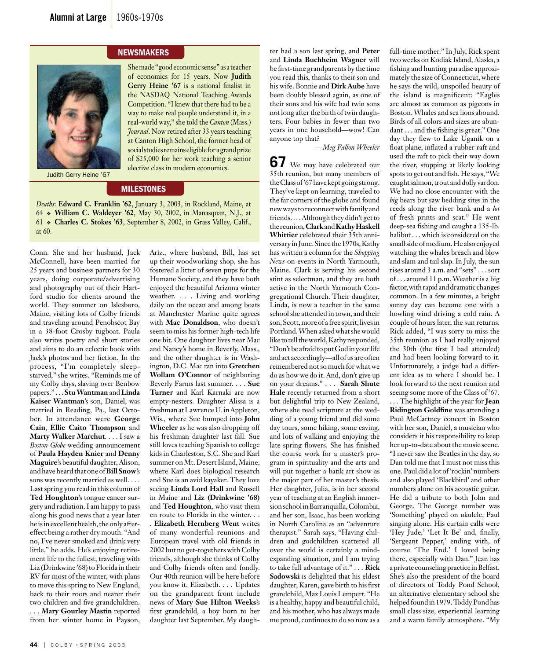#### **NEWSMAKERS**



She made "good economic sense" as a teacher of economics for 15 years. Now **Judith Gerry Heine '67** is a national finalist in the NASDAQ National Teaching Awards Competition. "I knew that there had to be a way to make real people understand it, in a real-world way," she told the *Canton* (Mass.) *Journal*. Now retired after 33 years teaching at Canton High School, the former head of social studies remains eligible for a grand prize of \$25,000 for her work teaching a senior elective class in modern economics.

Judith Gerry Heine '67

### **MILESTONES**

*Deaths*: **Edward C. Franklin '62**, January 3, 2003, in Rockland, Maine, at 64 **William C. Waldeyer '62**, May 30, 2002, in Manasquan, N.J., at 61 **Charles C. Stokes '63**, September 8, 2002, in Grass Valley, Calif., at 60.

Conn. She and her husband, Jack McConnell, have been married for 25 years and business partners for 30 years, doing corporate/advertising and photography out of their Hartford studio for clients around the world. They summer on Islesboro, Maine, visiting lots of Colby friends and traveling around Penobscot Bay in a 38-foot Crosby tugboat. Paula also writes poetry and short stories and aims to do an eclectic book with Jack's photos and her fiction. In the process, "I'm completely sleepstarved," she writes. "Reminds me of my Colby days, slaving over Benbow papers." . . . **Stu Wantman** and **Linda Kaiser Wantman**'s son, Daniel, was married in Reading, Pa., last October. In attendance were **George Cain**, **Ellie Caito Thompson** and **Marty Walker Marchut**. . . . I saw a *Boston Globe* wedding announcement of **Paula Hayden Knier** and **Denny Maguire**'s beautiful daughter, Alison, and have heard that one of **Bill Snow**'s sons was recently married as well. . . . Last spring you read in this column of **Ted Houghton**'s tongue cancer surgery and radiation. I am happy to pass along his good news that a year later he is in excellent health, the only aftereffect being a rather dry mouth. "And no, I've never smoked and drink very little," he adds. He's enjoying retirement life to the fullest, traveling with Liz (Drinkwine '68) to Florida in their RV for most of the winter, with plans to move this spring to New England, back to their roots and nearer their two children and five grandchildren. . . . **Mary Gourley Mastin** reported from her winter home in Payson,

Ariz., where husband, Bill, has set up their woodworking shop, she has fostered a litter of seven pups for the Humane Society, and they have both enjoyed the beautiful Arizona winter weather. . . . Living and working daily on the ocean and among boats at Manchester Marine quite agrees with **Mac Donaldson**, who doesn't seem to miss his former high-tech life one bit. One daughter lives near Mac and Nancy's home in Beverly, Mass., and the other daughter is in Washington, D.C. Mac ran into **Gretchen Wollam O'Connor** of neighboring Beverly Farms last summer. . . . **Sue Turner** and Karl Karnaki are now empty-nesters. Daughter Alissa is a freshman at Lawrence U. in Appleton, Wis., where Sue bumped into **John Wheeler** as he was also dropping off his freshman daughter last fall. Sue still loves teaching Spanish to college kids in Charleston, S.C. She and Karl summer on Mt. Desert Island, Maine, where Karl does biological research and Sue is an avid kayaker. They love seeing **Linda Lord Hall** and Russell in Maine and **Liz (Drinkwine '68)** and **Ted Houghton**, who visit them en route to Florida in the winter. . .

. **Elizabeth Hernberg Went** writes of many wonderful reunions and European travel with old friends in 2002 but no get-togethers with Colby friends, although she thinks of Colby and Colby friends often and fondly. Our 40th reunion will be here before you know it, Elizabeth. . . . Updates on the grandparent front include news of **Mary Sue Hilton Weeks**'s first grandchild, a boy born to her daughter last September. My daugh-

ter had a son last spring, and **Peter** and **Linda Buchheim Wagner** will be first-time grandparents by the time you read this, thanks to their son and his wife. Bonnie and **Dirk Aube** have been doubly blessed again, as one of their sons and his wife had twin sons not long after the birth of twin daughters. Four babies in fewer than two years in one household—wow! Can anyone top that?

*—Meg Fallon Wheeler*

**67** We may have celebrated our 35th reunion, but many members of the Class of '67 have kept going strong. They've kept on learning, traveled to the far corners of the globe and found new ways to reconnect with family and friends. . . .Although they didn't get to the reunion, **Clark** and **Kathy Haskell Whittier** celebrated their 35th anniversary in June. Since the 1970s, Kathy has written a column for the *Shopping News* on events in North Yarmouth, Maine. Clark is serving his second stint as selectman, and they are both active in the North Yarmouth Congregational Church. Their daughter, Linda, is now a teacher in the same school she attended in town, and their son, Scott, more of a free spirit, lives in Portland. When asked what she would like to tell the world, Kathy responded, "Don't be afraid to put God in your life and act accordingly—all of us are often remembered not so much for what we do as how we do it. And, don't give up on your dreams." . . . **Sarah Shute Hale** recently returned from a short but delightful trip to New Zealand, where she read scripture at the wedding of a young friend and did some day tours, some hiking, some caving, and lots of walking and enjoying the late spring flowers. She has finished the course work for a master's program in spirituality and the arts and will put together a batik art show as the major part of her master's thesis. Her daughter, Julia, is in her second year of teaching at an English immersion school in Barranquilla, Colombia, and her son, Isaac, has been working in North Carolina as an "adventure therapist." Sarah says, "Having children and godchildren scattered all over the world is certainly a mindexpanding situation, and I am trying to take full advantage of it." . . . **Rick Sadowski** is delighted that his eldest daughter, Karen, gave birth to his first grandchild, Max Louis Lempert. "He is a healthy, happy and beautiful child, and his mother, who has always made me proud, continues to do so now as a

full-time mother." In July, Rick spent two weeks on Kodiak Island, Alaska, a fishing and hunting paradise approximately the size of Connecticut, where he says the wild, unspoiled beauty of the island is magnificent: "Eagles are almost as common as pigeons in Boston. Whales and sea lions abound. Birds of all colors and sizes are abundant . . . and the fishing is great." One day they flew to Lake Uganik on a float plane, inflated a rubber raft and used the raft to pick their way down the river, stopping at likely looking spots to get out and fish. He says, "We caught salmon, trout and dolly vardon. We had no close encounter with the *big* bears but saw bedding sites in the reeds along the river bank and a *lot*  of fresh prints and scat." He went deep-sea fishing and caught a 135-lb. halibut . . . which is considered on the small side of medium. He also enjoyed watching the whales breach and blow and slam and tail slap. In July, the sun rises around 3 a.m. and "sets" . . . sort of . . . around 11 p.m. Weather is a big factor, with rapid and dramatic changes common. In a few minutes, a bright sunny day can become one with a howling wind driving a cold rain. A couple of hours later, the sun returns. Rick added, "I was sorry to miss the 35th reunion as I had really enjoyed the 30th (the first I had attended) and had been looking forward to it. Unfortunately, a judge had a different idea as to where I should be. I look forward to the next reunion and seeing some more of the Class of '67. . . . The highlight of the year for **Jean Ridington Goldfine** was attending a Paul McCartney concert in Boston with her son, Daniel, a musician who considers it his responsibility to keep her up-to-date about the music scene. "I never saw the Beatles in the day, so Dan told me that I must not miss this one. Paul did a lot of 'rockin' numbers and also played 'Blackbird' and other numbers alone on his acoustic guitar. He did a tribute to both John and George. The George number was 'Something' played on ukulele, Paul singing alone. His curtain calls were 'Hey Jude,' 'Let It Be' and, finally, 'Sergeant Pepper,' ending with, of course 'The End.' I loved being there, especially with Dan." Jean has a private counseling practice in Belfast. She's also the president of the board

of directors of Toddy Pond School, an alternative elementary school she helped found in 1979. Toddy Pond has small class size, experiential learning and a warm family atmosphere. "My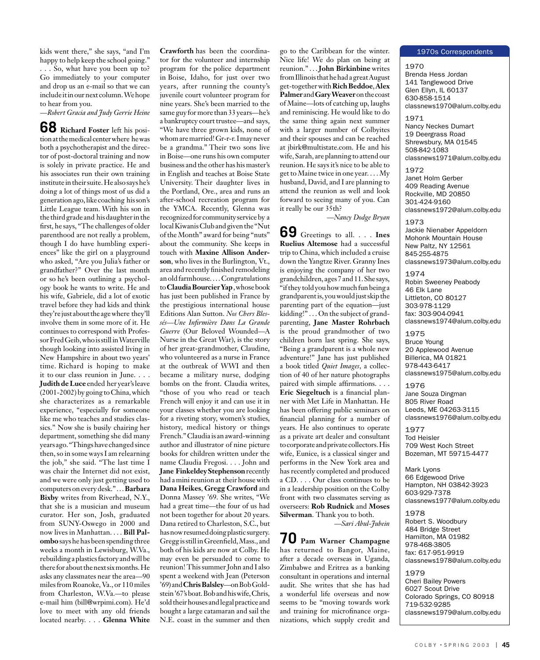kids went there," she says, "and I'm happy to help keep the school going." . . . So, what have you been up to? Go immediately to your computer and drop us an e-mail so that we can include it in our next column. We hope to hear from you.

*—Robert Gracia and Judy Gerrie Heine*

**68 Richard Foster** left his position at the medical center where he was both a psychotherapist and the director of post-doctoral training and now is solely in private practice. He and his associates run their own training institute in their suite.He also says he's doing a lot of things most of us did a generation ago, like coaching his son's Little League team. With his son in the third grade and his daughter in the first, he says, "The challenges of older parenthood are not really a problem, though I do have humbling experiences" like the girl on a playground who asked, "Are you Julia's father or grandfather?" Over the last month or so he's been outlining a psychology book he wants to write. He and his wife, Gabriele, did a lot of exotic travel before they had kids and think they're just about the age where they'll involve them in some more of it. He continues to correspond with Professor Fred Geib, who is still in Waterville though looking into assisted living in New Hampshire in about two years' time. Richard is hoping to make it to our class reunion in June. . . . **Judith de Luce** ended her year's leave (2001-2002) by going to China, which she characterizes as a remarkable experience, "especially for someone like me who teaches and studies classics." Now she is busily chairing her department, something she did many years ago. "Things have changed since then, so in some ways I am relearning the job," she said. "The last time I was chair the Internet did not exist, and we were only just getting used to computers on every desk." . . . **Barbara Bixby** writes from Riverhead, N.Y., that she is a musician and museum curator. Her son, Josh, graduated from SUNY-Oswego in 2000 and now lives in Manhattan. . . . **Bill Palombo** says he has been spending three weeks a month in Lewisburg, W.Va., rebuilding a plastics factory and will be there for about the next six months. He asks any classmates near the area—90 miles from Roanoke, Va., or 110 miles from Charleston, W.Va.—to please e-mail him (bill@wrpimi.com). He'd love to meet with any old friends located nearby. . . . **Glenna White**  **Crawforth** has been the coordinator for the volunteer and internship program for the police department in Boise, Idaho, for just over two years, after running the county's juvenile court volunteer program for nine years. She's been married to the same guy for more than 33 years—he's a bankruptcy court trustee—and says, "We have three grown kids, none of whom are married! Gr-r-r. I may never be a grandma." Their two sons live in Boise—one runs his own computer business and the other has his master's in English and teaches at Boise State University. Their daughter lives in the Portland, Ore., area and runs an after-school recreation program for the YMCA. Recently, Glenna was recognized for community service by a local Kiwanis Club and given the "Nut of the Month" award for being "nuts" about the community. She keeps in touch with **Maxine Allison Anderson**, who lives in the Burlington, Vt., area and recently finished remodeling an old farmhouse. . . . Congratulations to **Claudia Bourcier Yap** , whose book has just been published in France by the prestigious international house Editions Alan Sutton. *Nos Chers Blessés—Une Infirmière Dans La Grande Guerre* (Our Beloved Wounded—A Nurse in the Great War), is the story of her great-grandmother, Claudine, who volunteered as a nurse in France at the outbreak of WWI and then became a military nurse, dodging bombs on the front. Claudia writes, "those of you who read or teach French will enjoy it and can use it in your classes whether you are looking for a riveting story, women's studies, history, medical history or things French." Claudia is an award-winning author and illustrator of nine picture books for children written under the name Claudia Fregosi. . . . John and **Jane Finkeldey Stephenson** recently had a mini reunion at their house with **Dana Heikes**, **Gregg Crawford** and Donna Massey '69. She writes, "We had a great time—the four of us had not been together for about 20 years. Dana retired to Charleston, S.C., but has now resumed doing plastic surgery. Gregg is still in Greenfield, Mass., and both of his kids are now at Colby. He may even be persuaded to come to reunion! This summer John and I also spent a weekend with Jean (Peterson '69) and **Chris Balsley**—on Bob Goldstein '67's boat. Bob and his wife, Chris, sold their houses and legal practice and bought a large catamaran and sail the N.E. coast in the summer and then

go to the Caribbean for the winter. Nice life! We do plan on being at reunion." . . . **John Birkinbine** writes from Illinois that he had a great August get-together with **Rich Beddoe**, **Alex Palmer** and **Gary Weaver** on the coast of Maine—lots of catching up, laughs and reminiscing. He would like to do the same thing again next summer with a larger number of Colbyites and their spouses and can be reached at jbirk@multistate.com. He and his wife, Sarah, are planning to attend our reunion. He says it's nice to be able to get to Maine twice in one year. . . . My husband, David, and I are planning to attend the reunion as well and look forward to seeing many of you. Can it really be our 35th?

*—Nancy Dodge Bryan*

**69** Greetings to all. . . . **Ines Ruelius Altemose** had a successful trip to China, which included a cruise down the Yangtze River. Granny Ines is enjoying the company of her two grandchildren, ages 7 and 11. She says, "if they told you how much fun being a grandparent is, you would just skip the parenting part of the equation—just kidding!" . . . On the subject of grandparenting, **Jane Master Rohrbach**  is the proud grandmother of two children born last spring. She says, "Being a grandparent is a whole new adventure!" Jane has just published a book titled *Quiet Images*, a collection of 40 of her nature photographs paired with simple affirmations. . . . **Eric Siegeltuch** is a financial planner with Met Life in Manhattan. He has been offering public seminars on financial planning for a number of years. He also continues to operate as a private art dealer and consultant to corporate and private collectors. His wife, Eunice, is a classical singer and performs in the New York area and has recently completed and produced a CD. . . . Our class continues to be in a leadership position on the Colby front with two classmates serving as overseers: **Rob Rudnick** and **Moses Silverman**. Thank you to both.

*—Sari Abul-Jubein*

**70 Pam Warner Champagne** has returned to Bangor, Maine, after a decade overseas in Uganda, Zimbabwe and Eritrea as a banking consultant in operations and internal audit. She writes that she has had a wonderful life overseas and now seems to be "moving towards work and training for microfinance organizations, which supply credit and

#### 1970s Correspondents

1970 Brenda Hess Jordan 141 Tanglewood Drive Glen Ellyn, IL 60137 630-858-1514 classnews1970@alum.colby.edu

1971 Nancy Neckes Dumart 19 Deergrass Road Shrewsbury, MA 01545 508-842-1083 classnews1971@alum.colby.edu

1972 Janet Holm Gerber 409 Reading Avenue Rockville, MD 20850 301-424-9160 classnews1972@alum.colby.edu

1973 Jackie Nienaber Appeldorn Mohonk Mountain House New Paltz, NY 12561 845-255-4875 classnews1973@alum.colby.edu

1974 Robin Sweeney Peabody 46 Elk Lane Littleton, CO 80127 303-978-1129 fax: 303-904-0941 classnews1974@alum.colby.edu

1975 Bruce Young 20 Applewood Avenue Billerica, MA 01821 978-443-6417 classnews1975@alum.colby.edu

1976 Jane Souza Dingman 805 River Road Leeds, ME 04263-3115 classnews1976@alum.colby.edu

1977 Tod Heisler 709 West Koch Street Bozeman, MT 59715-4477

Mark Lyons 66 Edgewood Drive Hampton, NH 03842-3923 603-929-7378 classnews1977@alum.colby.edu

1978 Robert S. Woodbury 484 Bridge Street Hamilton, MA 01982 978-468-3805 fax: 617-951-9919 classnews1978@alum.colby.edu

1979 Cheri Bailey Powers 6027 Scout Drive Colorado Springs, CO 80918 719-532-9285 classnews1979@alum.colby.edu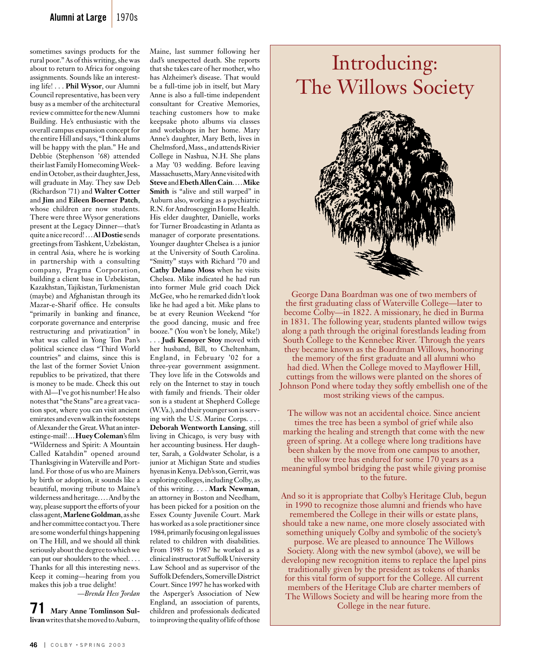sometimes savings products for the rural poor." As of this writing, she was about to return to Africa for ongoing assignments. Sounds like an interesting life! . . . **Phil Wysor**, our Alumni Council representative, has been very busy as a member of the architectural review c ommittee for the new Alumni Building. He's enthusiastic with the overall campus expansion concept for the entire Hill and says, "I think alums will be happy with the plan." He and Debbie (Stephenson '68) attended their last Family Homecoming Weekend in October, as their daughter, Jess, will graduate in May. They saw Deb (Richardson '71) and **Walter Cotter** and **Jim** and **Eileen Boerner Patch**, whose children are now students. There were three Wysor generations present at the Legacy Dinner—that's quite a nice record! . . . **Al Dostie** sends greetings from Tashkent, Uzbekistan, in central Asia, where he is working in partnership with a consulting company, Pragma Corporation, building a client base in Uzbekistan, Kazakhstan, Tajikistan, Turkmenistan (maybe) and Afghanistan through its Mazar-e-Sharif office. He consults "primarily in banking and finance, corporate governance and enterprise restructuring and privatization" in what was called in Yong Ton Pan's political science class "Third World countries" and claims, since this is the last of the former Soviet Union republics to be privatized, that there is money to be made. Check this out with Al—I've got his number! He also notes that "the Stans" are a great vacation spot, where you can visit ancient emirates and even walk in the footsteps of Alexander the Great. What an interesting e-mail! . . . **Huey Coleman**'s film "Wilderness and Spirit: A Mountain Called Katahdin" opened around Thanksgiving in Waterville and Portland. For those of us who are Mainers by birth or adoption, it sounds like a beautiful, moving tribute to Maine's wilderness and heritage. . . . And by the way, please support the efforts of your class agent, **Marlene Goldman**, as she and her committee contact you. There are some wonderful things happening on The Hill, and we should all think seriously about the degree to which we can put our shoulders to the wheel. . . . Thanks for all this interesting news. Keep it coming—hearing from you makes this job a true delight!

*—Brenda Hess Jordan*

**71 Mary Anne Tomlinson Sullivan** writes that she moved to Auburn,

Maine, last summer following her dad's unexpected death. She reports that she takes care of her mother, who has Alzheimer's disease. That would be a full-time job in itself, but Mary Anne is also a full-time independent consultant for Creative Memories, teaching customers how to make keepsake photo albums via classes and workshops in her home. Mary Anne's daughter, Mary Beth, lives in Chelmsford, Mass., and attends Rivier College in Nashua, N.H. She plans a May '03 wedding. Before leaving Massachusetts, Mary Anne visited with **Steve** and **Ebeth Allen Cain**. . . . **Mike Smith** is "alive and still warped" in Auburn also, working as a psychiatric R.N. for Androscoggin Home Health. His elder daughter, Danielle, works for Turner Broadcasting in Atlanta as manager of corporate presentations. Younger daughter Chelsea is a junior at the University of South Carolina. "Smitty" stays with Richard '70 and **Cathy Delano Moss** when he visits Chelsea. Mike indicated he had run into former Mule grid coach Dick McGee, who he remarked didn't look like he had aged a bit. Mike plans to be at every Reunion Weekend "for the good dancing, music and free booze." (You won't be lonely, Mike!) . . . **Judi Kenoyer Stoy** moved with her husband, Bill, to Cheltenham, England, in February '02 for a three-year government assignment. They love life in the Cotswolds and rely on the Internet to stay in touch with family and friends. Their older son is a student at Shepherd College (W.Va.), and their younger son is serving with the U.S. Marine Corps. . . . **Deborah Wentworth Lansing**, still living in Chicago, is very busy with her accounting business. Her daughter, Sarah, a Goldwater Scholar, is a junior at Michigan State and studies hyenas in Kenya. Deb's son, Gerrit, was exploring colleges, including Colby, as of this writing. . . . **Mark Newman**, an attorney in Boston and Needham, has been picked for a position on the Essex County Juvenile Court. Mark has worked as a sole practitioner since 1984, primarily focusing on legal issues related to children with disabilities. From 1985 to 1987 he worked as a clinical instructor at Suffolk University Law School and as supervisor of the Suffolk Defenders, Somerville District Court. Since 1997 he has worked with the Asperger's Association of New England, an association of parents, children and professionals dedicated to improving the quality of life of those

## Introducing: The Willows Society



George Dana Boardman was one of two members of the first graduating class of Waterville College—later to become Colby—in 1822. A missionary, he died in Burma in 1831. The following year, students planted willow twigs along a path through the original forestlands leading from South College to the Kennebec River. Through the years they became known as the Boardman Willows, honoring the memory of the first graduate and all alumni who had died. When the College moved to Mayflower Hill, cuttings from the willows were planted on the shores of Johnson Pond where today they softly embellish one of the most striking views of the campus.

The willow was not an accidental choice. Since ancient times the tree has been a symbol of grief while also marking the healing and strength that come with the new green of spring. At a college where long traditions have been shaken by the move from one campus to another, the willow tree has endured for some 170 years as a meaningful symbol bridging the past while giving promise to the future.

And so it is appropriate that Colby's Heritage Club, begun in 1990 to recognize those alumni and friends who have remembered the College in their wills or estate plans, should take a new name, one more closely associated with something uniquely Colby and symbolic of the society's purpose. We are pleased to announce The Willows Society. Along with the new symbol (above), we will be developing new recognition items to replace the lapel pins traditionally given by the president as tokens of thanks for this vital form of support for the College. All current members of the Heritage Club are charter members of The Willows Society and will be hearing more from the College in the near future.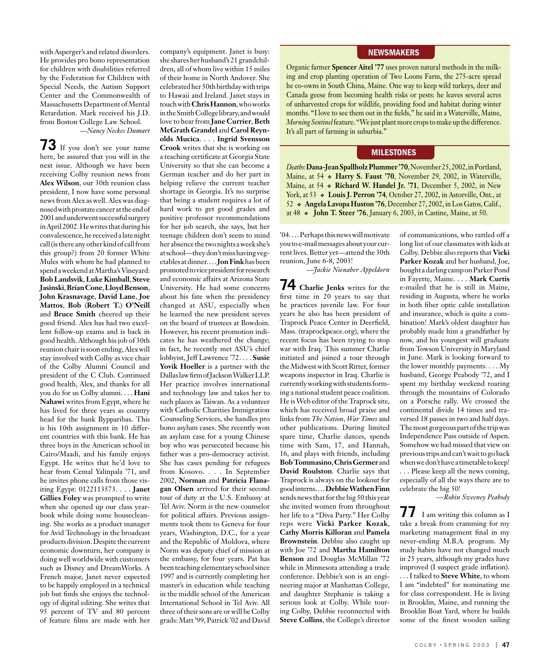with Asperger's and related disorders. He provides pro bono representation for children with disabilities referred by the Federation for Children with Special Needs, the Autism Support Center and the Commonwealth of Massachusetts Department of Mental Retardation. Mark received his J.D. from Boston College Law School.

*—Nancy Neckes Dumart*

**73** If you don't see your name here, be assured that you will in the next issue. Although we have been receiving Colby reunion news from **Alex Wilson**, our 30th reunion class president, I now have some personal news from Alex as well. Alex was diagnosed with prostate cancer at the end of 2001 and underwent successful surgery in April 2002. He writes that during his convalescence, he received a late night call (is there any other kind of call from this group?) from 20 former White Mules with whom he had planned to spend a weekend at Martha's Vineyard: **Bob Landsvik**, **Luke Kimball**, **Steve Jasinski**, **Brian Cone**, **Lloyd Benson**, **John Krasnavage**, **David Lane**, **Joe Mattos**, **Bob** (**Robert T.**) **O'Neill** and **Bruce Smith** cheered up their good friend. Alex has had two excellent follow-up exams and is back in good health. Although his job of 30th reunion chair is soon ending, Alex will stay involved with Colby as vice chair of the Colby Alumni Council and president of the C Club. Continued good health, Alex, and thanks for all you do for us Colby alumni. . . . **Hani Nahawi** writes from Egypt, where he has lived for three years as country head for the bank Bypparibas. This is his 10th assignment in 10 different countries with this bank. He has three boys in the American school in Cairo/Maadi, and his family enjoys Egypt. He writes that he'd love to hear from Cemal Yalinpala '71, and he invites phone calls from those visiting Egypt: 0122113573. . . . **Janet Gillies Foley** was prompted to write when she opened up our class yearbook while doing some housecleaning. She works as a product manager for Avid Technology in the broadcast products division. Despite the current economic downturn, her company is doing well worldwide with customers such as Disney and DreamWorks. A French major, Janet never expected to be happily employed in a technical job but finds she enjoys the technology of digital editing. She writes that 95 percent of TV and 80 percent of feature films are made with her

company's equipment. Janet is busy: she shares her husband's 21 grandchildren, all of whom live within 15 miles of their home in North Andover. She celebrated her 50th birthday with trips to Hawaii and Ireland. Janet stays in touch with **Chris Hannon**, who works in the Smith College library, and would love to hear from **Jane Currier**, **Beth McGrath Grandel** and **Carol Reynolds Mucica**. . . . **Ingrid Svensson Crook** writes that she is working on a teaching certificate at Georgia State University so that she can become a German teacher and do her part in helping relieve the current teacher shortage in Georgia. It's no surprise that being a student requires a lot of hard work to get good grades and positive professor recommendations for her job search, she says, but her teenage children don't seem to mind her absence the two nights a week she's at school—they don't miss having vegetables at dinner. . . . **Jon Fink** has been promoted to vice president for research and economic affairs at Arizona State University. He had some concerns about his fate when the presidency changed at ASU, especially when he learned the new president serves on the board of trustees at Bowdoin. However, his recent promotion indicates he has weathered the change; in fact, he recently met ASU's chief lobbyist, Jeff Lawrence '72. . . . **Susie Yovik Hoeller** is a partner with the Dallas law firm of Jackson Walker LLP. Her practice involves international and technology law and takes her to such places as Taiwan. As a volunteer with Catholic Charities Immigration Counseling Services, she handles pro bono asylum cases. She recently won an asylum case for a young Chinese boy who was persecuted because his father was a pro-democracy activist. She has cases pending for refugees from Kosovo. . . . In September 2002, **Norman** and **Patricia Flanagan Olsen** arrived for their second tour of duty at the U.S. Embassy at Tel Aviv. Norm is the new counselor for political affairs. Previous assignments took them to Geneva for four years, Washington, D.C., for a year and the Republic of Moldova, where Norm was deputy chief of mission at the embassy, for four years. Pat has been teaching elementary school since 1997 and is currently completing her master's in education while teaching in the middle school of the American International School in Tel Aviv. All three of their sons are or will be Colby grads: Matt '99, Patrick '02 and David

#### **NEWSMAKERS**

Organic farmer **Spencer Aitel '77** uses proven natural methods in the milking and crop planting operation of Two Loons Farm, the 275-acre spread he co-owns in South China, Maine. One way to keep wild turkeys, deer and Canada geese from becoming health risks or pests: he leaves several acres of unharvested crops for wildlife, providing food and habitat during winter months. "I love to see them out in the fields," he said in a Waterville, Maine, *Morning Sentinel* feature. "We just plant more crops to make up the difference. It's all part of farming in suburbia."

#### **MILESTONES**

*Deaths*: **Dana-Jean Spallholz Plummer '70**, November 25, 2002, in Portland, Maine, at 54 **Harry S. Faust '70**, November 29, 2002, in Waterville, Maine, at 54 **Richard W. Handel Jr. '71**, December 5, 2002, in New York, at 53  $\bullet$  Louis J. Perron '74, October 27, 2002, in Astorville, Ont., at 52 **Angela Lavopa Huston '76**, December 27, 2002, in Los Gatos, Calif., at 48  **John T. Steer '76**, January 6, 2003, in Castine, Maine, at 50.

'04. . . . Perhaps this news will motivate you to e-mail messages about your current lives. Better yet—attend the 30th reunion, June 6-8, 2003!

*—Jackie Nienaber Appeldorn*

**74 Charlie Jenks** writes for the first time in 20 years to say that he practices juvenile law. For four years he also has been president of Traprock Peace Center in Deerfield, Mass. (traprockpeace.org), where the recent focus has been trying to stop war with Iraq. This summer Charlie initiated and joined a tour through the Midwest with Scott Ritter, former weapons inspector in Iraq. Charlie is currently working with students forming a national student peace coalition. He is Web editor of the Traprock site, which has received broad praise and links from *The Nation*, *War Times* and other publications. During limited spare time, Charlie dances, spends time with Sam, 17, and Hannah, 16, and plays with friends, including **Bob Tommasino**, **Chris Germer** and **David Roulston**. Charlie says that Traprock is always on the lookout for good interns. . . . **Debbie Wathen Finn** sends news that for the big 50 this year she invited women from throughout her life to a "Diva Party." Her Colby reps were **Vicki Parker Kozak**, **Cathy Morris Killoran** and **Pamela Brownstein**. Debbie also caught up with Joe '72 and **Martha Hamilton Benson** and Douglas McMillan '72 while in Minnesota attending a trade conference. Debbie's son is an engineering major at Manhattan College, and daughter Stephanie is taking a serious look at Colby. While touring Colby, Debbie reconnected with **Steve Collins**, the College's director

of communications, who rattled off a long list of our classmates with kids at Colby. Debbie also reports that **Vicki Parker Kozak** and her husband, Joe, bought a darling camp on Parker Pond in Fayette, Maine. . . . **Mark Curtis**  e-mailed that he is still in Maine, residing in Augusta, where he works in both fiber optic cable installation and insurance, which is quite a combination! Mark's oldest daughter has probably made him a grandfather by now, and his youngest will graduate from Towson University in Maryland in June. Mark is looking forward to the lower monthly payments. . . . My husband, George Peabody '72, and I spent my birthday weekend roaring through the mountains of Colorado on a Porsche rally. We crossed the continental divide 14 times and traversed 18 passes in two and half days. The most gorgeous part of the trip was Independence Pass outside of Aspen. Somehow we had missed that view on previous trips and can't wait to go back when we don't have a timetable to keep! . . . Please keep all the news coming, especially of all the ways there are to celebrate the big 50!

*—Robin Sweeney Peabody*

*11* I am writing this column as I take a break from cramming for my marketing management final in my never-ending M.B.A. program. My study habits have not changed much in 25 years, although my grades have improved (I suspect grade inflation).

. . . I talked to **Steve White**, to whom I am "indebted" for nominating me for class correspondent. He is living in Brooklin, Maine, and running the Brooklin Boat Yard, where he builds some of the finest wooden sailing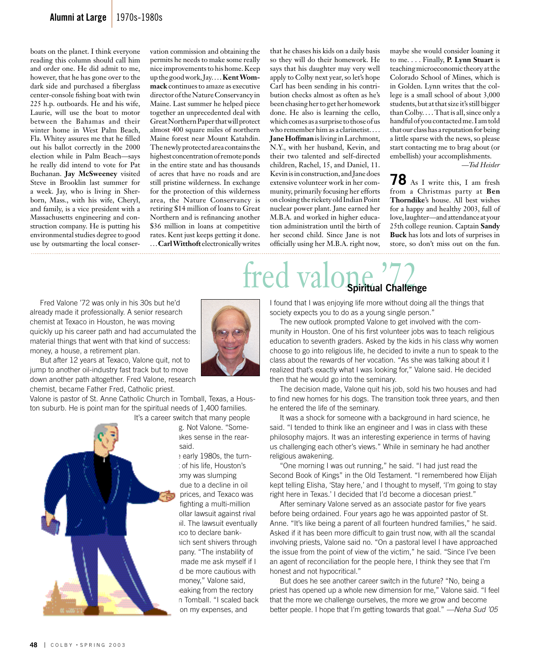#### **Alumni at Large** 1970s-1980s

boats on the planet. I think everyone reading this column should call him and order one. He did admit to me, however, that he has gone over to the dark side and purchased a fiberglass center-console fishing boat with twin 225 h.p. outboards. He and his wife, Laurie, will use the boat to motor between the Bahamas and their winter home in West Palm Beach, Fla. Whitey assures me that he filled out his ballot correctly in the 2000 election while in Palm Beach—says he really did intend to vote for Pat Buchanan. **Jay McSweeney** visited Steve in Brooklin last summer for a week. Jay, who is living in Sherborn, Mass., with his wife, Cheryl, and family, is a vice president with a Massachusetts engineering and construction company. He is putting his environmental studies degree to good use by outsmarting the local conser-

vation commission and obtaining the permits he needs to make some really nice improvements to his home. Keep up the good work, Jay. . . . **Kent Wommack** continues to amaze as executive director of the Nature Conservancy in Maine. Last summer he helped piece together an unprecedented deal with Great Northern Paper that will protect almost 400 square miles of northern Maine forest near Mount Katahdin. The newly protected area contains the highest concentration of remote ponds in the entire state and has thousands of acres that have no roads and are still pristine wilderness. In exchange for the protection of this wilderness area, the Nature Conservancy is retiring \$14 million of loans to Great Northern and is refinancing another \$36 million in loans at competitive rates. Kent just keeps getting it done. . . . **Carl Witthoft** electronically writes

that he chases his kids on a daily basis so they will do their homework. He says that his daughter may very well apply to Colby next year, so let's hope Carl has been sending in his contribution checks almost as often as he's been chasing her to get her homework done. He also is learning the cello, which comes as a surprise to those of us who remember him as a clarinetist. . . . **Jane Hoffman** is living in Larchmont, N.Y., with her husband, Kevin, and their two talented and self-directed children, Rachel, 15, and Daniel, 11. Kevin is in construction, and Jane does extensive volunteer work in her community, primarily focusing her efforts on closing the rickety old Indian Point nuclear power plant. Jane earned her M.B.A. and worked in higher education administration until the birth of her second child. Since Jane is not officially using her M.B.A. right now, maybe she would consider loaning it to me. . . . Finally, **P. Lynn Stuart** is teaching microeconomic theory at the Colorado School of Mines, which is in Golden. Lynn writes that the college is a small school of about 3,000 students, but at that size it's still bigger than Colby. . . . That is all, since only a handful of you contacted me. I am told that our class has a reputation for being a little sparse with the news, so please start contacting me to brag about (or embellish) your accomplishments.

*—Tod Heisler*

**78** As I write this, I am fresh from a Christmas party at **Ben Thorndike**'s house. All best wishes for a happy and healthy 2003, full of love, laughter—and attendance at your 25th college reunion. Captain **Sandy Buck** has lots and lots of surprises in store, so don't miss out on the fun.

# fred valone <sup>772</sup>

 Fred Valone '72 was only in his 30s but he'd already made it professionally. A senior research chemist at Texaco in Houston, he was moving quickly up his career path and had accumulated the material things that went with that kind of success: money, a house, a retirement plan.

 But after 12 years at Texaco, Valone quit, not to jump to another oil-industry fast track but to move down another path altogether. Fred Valone, research chemist, became Father Fred, Catholic priest.

Valone is pastor of St. Anne Catholic Church in Tomball, Texas, a Houston suburb. He is point man for the spiritual needs of 1,400 families.



It's a career switch that many people g. Not Valone. "Someakes sense in the rearsaid.

> : early 1980s, the turn-: of his life, Houston's omy was slumping due to a decline in oil prices, and Texaco was fighting a multi-million ollar lawsuit against rival vil. The lawsuit eventually ico to declare bankrich sent shivers through pany. "The instability of made me ask myself if I d be more cautious with money," Valone said, eaking from the rectory in Tomball. "I scaled back on my expenses, and

I found that I was enjoying life more without doing all the things that society expects you to do as a young single person."

 The new outlook prompted Valone to get involved with the community in Houston. One of his first volunteer jobs was to teach religious education to seventh graders. Asked by the kids in his class why women choose to go into religious life, he decided to invite a nun to speak to the class about the rewards of her vocation. "As she was talking about it I realized that's exactly what I was looking for," Valone said. He decided then that he would go into the seminary.

 The decision made, Valone quit his job, sold his two houses and had to find new homes for his dogs. The transition took three years, and then he entered the life of the seminary.

 It was a shock for someone with a background in hard science, he said. "I tended to think like an engineer and I was in class with these philosophy majors. It was an interesting experience in terms of having us challenging each other's views." While in seminary he had another religious awakening.

 "One morning I was out running," he said. "I had just read the Second Book of Kings" in the Old Testament. "I remembered how Elijah kept telling Elisha, 'Stay here,' and I thought to myself, 'I'm going to stay right here in Texas.' I decided that I'd become a diocesan priest."

 After seminary Valone served as an associate pastor for five years before being ordained. Four years ago he was appointed pastor of St. Anne. "It's like being a parent of all fourteen hundred families," he said. Asked if it has been more difficult to gain trust now, with all the scandal involving priests, Valone said no. "On a pastoral level I have approached the issue from the point of view of the victim," he said. "Since I've been an agent of reconciliation for the people here, I think they see that I'm honest and not hypocritical."

 But does he see another career switch in the future? "No, being a priest has opened up a whole new dimension for me," Valone said. "I feel that the more we challenge ourselves, the more we grow and become better people. I hope that I'm getting towards that goal." *—Neha Sud '05*

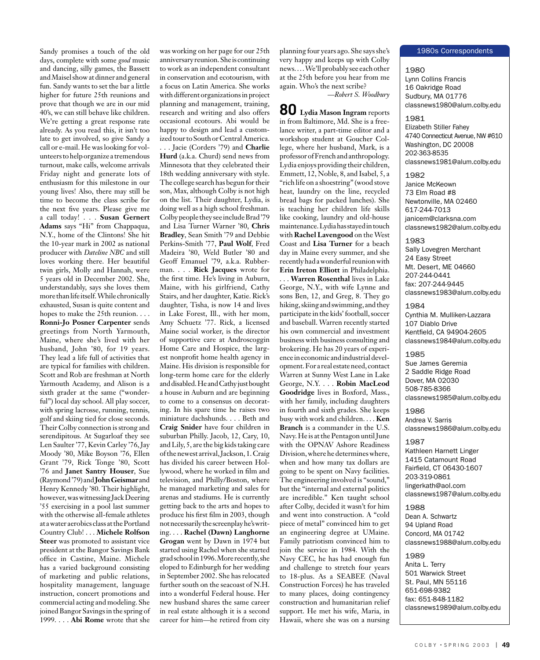Sandy promises a touch of the old days, complete with some *good* music and dancing, silly games, the Bassett and Maisel show at dinner and general fun. Sandy wants to set the bar a little higher for future 25th reunions and prove that though we are in our mid 40's, we can still behave like children. We're getting a great response rate already. As you read this, it isn't too late to get involved, so give Sandy a call or e-mail. He was looking for volunteers to help organize a tremendous turnout, make calls, welcome arrivals Friday night and generate lots of enthusiasm for this milestone in our young lives! Also, there may still be time to become the class scribe for the next five years. Please give me a call today! . . . **Susan Gernert Adams** says "Hi" from Chappaqua, N.Y., home of the Clintons! She hit the 10-year mark in 2002 as national producer with *Dateline NBC* and still loves working there. Her beautiful twin girls, Molly and Hannah, were 5 years old in December 2002. She, understandably, says she loves them more than life itself. While chronically exhausted, Susan is quite content and hopes to make the 25th reunion. . . . **Ronni-Jo Posner Carpenter** sends greetings from North Yarmouth, Maine, where she's lived with her husband, John '80, for 19 years. They lead a life full of activities that are typical for families with children. Scott and Rob are freshman at North Yarmouth Academy, and Alison is a sixth grader at the same ("wonderful") local day school. All play soccer, with spring lacrosse, running, tennis, golf and skiing tied for close seconds. Their Colby connection is strong and serendipitous. At Sugarloaf they see Len Saulter '77, Kevin Carley '76, Jay Moody '80, Mike Boyson '76, Ellen Grant '79, Rick Tonge '80, Scott '76 and **Janet Santry Houser**, Sue (Raymond '79) and **John Geismar** and Henry Kennedy '80. Their highlight, however, was witnessing Jack Deering '55 exercising in a pool last summer with the otherwise all-female athletes at a water aerobics class at the Portland Country Club! . . . **Michele Rolfson Steer** was promoted to assistant vice president at the Bangor Savings Bank office in Castine, Maine. Michele has a varied background consisting of marketing and public relations, hospitality management, language instruction, concert promotions and commercial acting and modeling. She joined Bangor Savings in the spring of 1999. . . . **Abi Rome** wrote that she

was working on her page for our 25th anniversary reunion. She is continuing to work as an independent consultant in conservation and ecotourism, with a focus on Latin America. She works with different organizations in project planning and management, training, research and writing and also offers occasional ecotours. Abi would be happy to design and lead a customized tour to South or Central America. . . . Jacie (Corders '79) and **Charlie Hurd** (a.k.a. Churd) send news from Minnesota that they celebrated their 18th wedding anniversary with style. The college search has begun for their son, Max, although Colby is not high on the list. Their daughter, Lydia, is doing well as a high school freshman. Colby people they see include Brad '79 and Lisa Turner Warner '80, **Chris Bradley**, Sean Smith '79 and Debbie Perkins-Smith '77, **Paul Wolf**, Fred Madeira '80, Weld Butler '80 and Geoff Emanuel '79, a.k.a. Rubberman. . . . **Rick Jacques** wrote for the first time. He's living in Auburn, Maine, with his girlfriend, Cathy Stairs, and her daughter, Katie. Rick's daughter, Tisha, is now 14 and lives in Lake Forest, Ill., with her mom, Amy Schuetz '77. Rick, a licensed Maine social worker, is the director of supportive care at Androscoggin Home Care and Hospice, the largest nonprofit home health agency in Maine. His division is responsible for long-term home care for the elderly and disabled. He and Cathy just bought a house in Auburn and are beginning to come to a consensus on decorating. In his spare time he raises two miniature dachshunds. . . . Beth and **Craig Snider** have four children in suburban Philly. Jacob, 12, Cary, 10, and Lily, 5, are the big kids taking care of the newest arrival, Jackson, 1. Craig has divided his career between Hollywood, where he worked in film and television, and Philly/Boston, where he managed marketing and sales for arenas and stadiums. He is currently getting back to the arts and hopes to produce his first film in 2003, though not necessarily the screenplay he's writing. . . . **Rachel (Dawn) Langhorne Grogan** went by Dawn in 1974 but started using Rachel when she started grad school in 1996. More recently, she eloped to Edinburgh for her wedding in September 2002. She has relocated further south on the seacoast of N.H. into a wonderful Federal house. Her new husband shares the same career in real estate although it is a second career for him—he retired from city

planning four years ago. She says she's very happy and keeps up with Colby news. . . . We'll probably see each other at the 25th before you hear from me again. Who's the next scribe?

*—Robert S. Woodbury*

**80 Lydia Mason Ingram** reports in from Baltimore, Md. She is a freelance writer, a part-time editor and a workshop student at Goucher College, where her husband, Mark, is a professor of French and anthropology. Lydia enjoys providing their children, Emmett, 12, Noble, 8, and Isabel, 5, a "rich life on a shoestring" (wood stove heat, laundry on the line, recycled bread bags for packed lunches). She is teaching her children life skills like cooking, laundry and old-house maintenance. Lydia has stayed in touch with **Rachel Lavengood** on the West Coast and **Lisa Turner** for a beach day in Maine every summer, and she recently had a wonderful reunion with **Erin Ireton Elliott** in Philadelphia. . . . **Warren Rosenthal** lives in Lake George, N.Y., with wife Lynne and sons Ben, 12, and Greg, 8. They go hiking, skiing and swimming, and they participate in the kids' football, soccer and baseball. Warren recently started his own commercial and investment business with business consulting and brokering. He has 20 years of experience in economic and industrial development. For a real estate need, contact Warren at Sunny West Lane in Lake George, N.Y. . . . **Robin MacLeod Goodridge** lives in Boxford, Mass., with her family, including daughters in fourth and sixth grades. She keeps busy with work and children. . . . **Ken Branch** is a commander in the U.S. Navy. He is at the Pentagon until June with the OPNAV Ashore Readiness Division, where he determines where, when and how many tax dollars are going to be spent on Navy facilities. The engineering involved is "sound," but the "internal and external politics are incredible." Ken taught school after Colby, decided it wasn't for him and went into construction. A "cold piece of metal" convinced him to get an engineering degree at UMaine. Family patriotism convinced him to join the service in 1984. With the Navy CEC, he has had enough fun and challenge to stretch four years to 18-plus. As a SEABEE (Naval Construction Forces) he has traveled to many places, doing contingency construction and humanitarian relief support. He met his wife, Maria, in Hawaii, where she was on a nursing

#### 1980s Correspondents

1980 Lynn Collins Francis 16 Oakridge Road Sudbury, MA 01776 classnews1980@alum.colby.edu

1981

Elizabeth Stiller Fahey 4740 Connecticut Avenue, NW #610 Washington, DC 20008 202-363-8535 classnews1981@alum.colby.edu

1982 Janice McKeown 73 Elm Road #8 Newtonville, MA 02460 617-244-7013 janicem@clarksna.com classnews1982@alum.colby.edu

1983 Sally Lovegren Merchant 24 Easy Street Mt. Desert, ME 04660 207-244-0441 fax: 207-244-9445 classnews1983@alum.colby.edu

1984 Cynthia M. Mulliken-Lazzara 107 Diablo Drive Kentfield, CA 94904-2605 classnews1984@alum.colby.edu

1985 Sue James Geremia 2 Saddle Ridge Road Dover, MA 02030 508-785-8366 classnews1985@alum.colby.edu

1986 Andrea V. Sarris classnews1986@alum.colby.edu

1987

Kathleen Harnett Linger 1415 Catamount Road Fairfield, CT 06430-1607 203-319-0861 lingerkath@aol.com classnews1987@alum.colby.edu

1988 Dean A. Schwartz 94 Upland Road Concord, MA 01742 classnews1988@alum.colby.edu

1989 Anita L. Terry 501 Warwick Street St. Paul, MN 55116 651-698-9382 fax: 651-848-1182 classnews1989@alum.colby.edu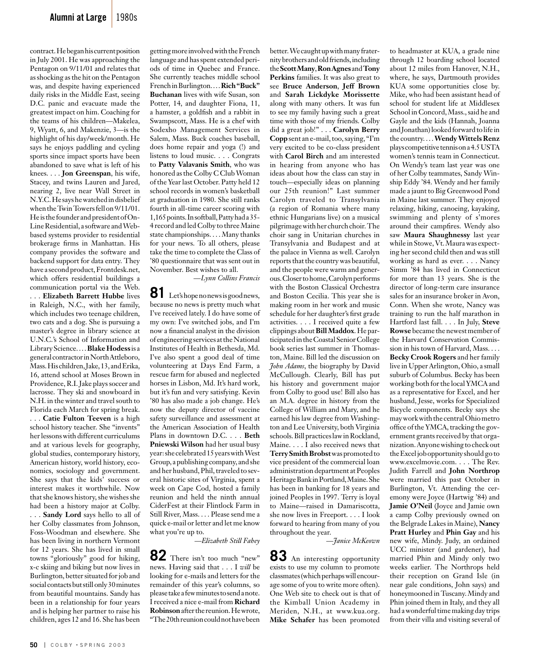contract. He began his current position in July 2001. He was approaching the Pentagon on 9/11/01 and relates that as shocking as the hit on the Pentagon was, and despite having experienced daily risks in the Middle East, seeing D.C. panic and evacuate made the greatest impact on him. Coaching for the teams of his children—Makelea, 9, Wyatt, 6, and Makenzie, 3—is the highlight of his day/week/month. He says he enjoys paddling and cycling sports since impact sports have been abandoned to save what is left of his knees. . . . **Jon Greenspan**, his wife, Stacey, and twins Lauren and Jared, nearing 2, live near Wall Street in N.Y.C. He says he watched in disbelief when the Twin Towers fell on 9/11/01. He is the founder and president of On-Line Residential, a software and Webbased systems provider to residential brokerage firms in Manhattan. His company provides the software and backend support for data entry. They have a second product, Frontdesk.net, which offers residential buildings a communication portal via the Web. . . . **Elizabeth Barrett Hubbe** lives in Raleigh, N.C., with her family, which includes two teenage children, two cats and a dog. She is pursuing a master's degree in library science at U.N.C.'s School of Information and Library Science. . . . **Blake Hodess** is a general contractor in North Attleboro, Mass. His children, Jake, 13, and Erika, 16, attend school at Moses Brown in Providence, R.I. Jake plays soccer and lacrosse. They ski and snowboard in N.H. in the winter and travel south to Florida each March for spring break. . . . **Catie Fulton Teeven** is a high

school history teacher. She "invents" her lessons with different curriculums and at various levels for geography, global studies, contemporary history, American history, world history, economics, sociology and government. She says that the kids' success or interest makes it worthwhile. Now that she knows history, she wishes she had been a history major at Colby.

. . . **Sandy Lord** says hello to all of her Colby classmates from Johnson, Foss-Woodman and elsewhere. She has been living in northern Vermont for 12 years. She has lived in small towns "gloriously" good for hiking, x-c skiing and biking but now lives in Burlington, better situated for job and social contacts but still only 30 minutes from beautiful mountains. Sandy has been in a relationship for four years and is helping her partner to raise his children, ages 12 and 16. She has been

getting more involved with the French language and has spent extended periods of time in Quebec and France. She currently teaches middle school French in Burlington. . . . **Rich "Buck" Buchanan** lives with wife Susan, son Potter, 14, and daughter Fiona, 11, a hamster, a goldfish and a rabbit in Swampscott, Mass. He is a chef with Sodexho Management Services in Salem, Mass. Buck coaches baseball, does home repair and yoga (!) and listens to loud music. . . . Congrats to **Patty Valavanis Smith**, who was honored as the Colby C Club Woman of the Year last October. Patty held 12 school records in women's basketball at graduation in 1980. She still ranks fourth in all-time career scoring with 1,165 points. In softball, Patty had a 35- 4 record and led Colby to three Maine state championships. . . . Many thanks for your news. To all others, please take the time to complete the Class of '80 questionnaire that was sent out in November. Best wishes to all.

*—Lynn Collins Francis*

81 Let's hope no news is good news, because no news is pretty much what I've received lately. I do have some of my own: I've switched jobs, and I'm now a financial analyst in the division of engineering services at the National Institutes of Health in Bethesda, Md. I've also spent a good deal of time volunteering at Days End Farm, a rescue farm for abused and neglected horses in Lisbon, Md. It's hard work, but it's fun and very satisfying. Kevin '80 has also made a job change. He's now the deputy director of vaccine safety surveillance and assessment at the American Association of Health Plans in downtown D.C. . . . **Beth Pniewski Wilson** had her usual busy year: she celebrated 15 years with West Group, a publishing company, and she and her husband, Phil, traveled to several historic sites of Virginia, spent a week on Cape Cod, hosted a family reunion and held the ninth annual CiderFest at their Flintlock Farm in Still River, Mass. . . . Please send me a quick e-mail or letter and let me know what you're up to.

*—Elizabeth Still Fahey*

**82** There isn't too much "new" news. Having said that . . . I *will* be looking for e-mails and letters for the remainder of this year's columns, so please take a few minutes to send a note. I received a nice e-mail from **Richard Robinson** after the reunion. He wrote, "The 20th reunion could not have been

better. We caught up with many fraternity brothers and old friends, including the **Scott Many**, **RonAgnes** and **Tony Perkins** families. It was also great to see **Bruce Anderson**, **Jeff Brown** and **Sarah Lickdyke Morissette** along with many others. It was fun to see my family having such a great time with those of my friends. Colby did a great job!" . . . **Carolyn Berry Copp** sent an e-mail, too, saying, "I'm very excited to be co-class president with **Carol Birch** and am interested in hearing from anyone who has ideas about how the class can stay in touch—especially ideas on planning our 25th reunion!" Last summer Carolyn traveled to Transylvania (a region of Romania where many ethnic Hungarians live) on a musical pilgrimage with her church choir. The choir sang in Unitarian churches in Transylvania and Budapest and at the palace in Vienna as well. Carolyn reports that the country was beautiful, and the people were warm and generous. Closer to home, Carolyn performs with the Boston Classical Orchestra and Boston Cecilia. This year she is making room in her work and music schedule for her daughter's first grade activities. . . . I received quite a few clippings about **Bill Maddox**. He participated in the Coastal Senior College book series last summer in Thomaston, Maine. Bill led the discussion on *John Adams*, the biography by David McCullough. Clearly, Bill has put his history and government major from Colby to good use! Bill also has an M.A. degree in history from the College of William and Mary, and he earned his law degree from Washington and Lee University, both Virginia schools. Bill practices law in Rockland, Maine. . . . I also received news that **Terry Smith Brobst** was promoted to vice president of the commercial loan administration department at Peoples Heritage Bank in Portland, Maine. She has been in banking for 18 years and joined Peoples in 1997. Terry is loyal to Maine—raised in Damariscotta, she now lives in Freeport. . . . I look forward to hearing from many of you throughout the year.

*—Janice McKeown*

**83** An interesting opportunity exists to use my column to promote classmates (which perhaps will encourage some of you to write more often). One Web site to check out is that of the Kimball Union Academy in Meriden, N.H., at www.kua.org. **Mike Schafer** has been promoted

to headmaster at KUA, a grade nine through 12 boarding school located about 12 miles from Hanover, N.H., where, he says, Dartmouth provides KUA some opportunities close by. Mike, who had been assistant head of school for student life at Middlesex School in Concord, Mass., said he and Gayle and the kids (Hannah, Joanna and Jonathan) looked forward to life in the country. . . . **Wendy Wittels Renz** plays competitive tennis on a 4.5 USTA women's tennis team in Connecticut. On Wendy's team last year was one of her Colby teammates, Sandy Winship Eddy '84. Wendy and her family made a jaunt to Big Greenwood Pond in Maine last summer. They enjoyed relaxing, hiking, canoeing, kayaking, swimming and plenty of s'mores around their campfires. Wendy also saw **Maura Shaughnessy** last year while in Stowe, Vt. Maura was expecting her second child then and was still working as hard as ever. . . . Nancy Simm '84 has lived in Connecticut for more than 13 years. She is the director of long-term care insurance sales for an insurance broker in Avon, Conn. When she wrote, Nancy was training to run the half marathon in Hartford last fall. . . . In July, **Steve Rowse** became the newest member of the Harvard Conservation Commission in his town of Harvard, Mass. . . . **Becky Crook Rogers** and her family live in Upper Arlington, Ohio, a small suburb of Columbus. Becky has been working both for the local YMCA and as a representative for Excel, and her husband, Jesse, works for Specialized Bicycle components. Becky says she may work with the central Ohio metro office of the YMCA, tracking the government grants received by that organization. Anyone wishing to check out the Excel job opportunity should go to www.excelmovie.com. . . . The Rev. Judith Farrell and **John Northrop** were married this past October in Burlington, Vt. Attending the ceremony were Joyce (Hartwig '84) and **Jamie O'Neil** (Joyce and Jamie own a camp Colby previously owned on the Belgrade Lakes in Maine), **Nancy Pratt Hurley** and **Phin Gay** and his new wife, Mindy. Judy, an ordained UCC minister (and gardener), had married Phin and Mindy only two weeks earlier. The Northrops held their reception on Grand Isle (in near gale conditions, John says) and honeymooned in Tuscany. Mindy and Phin joined them in Italy, and they all had a wonderful time making day trips from their villa and visiting several of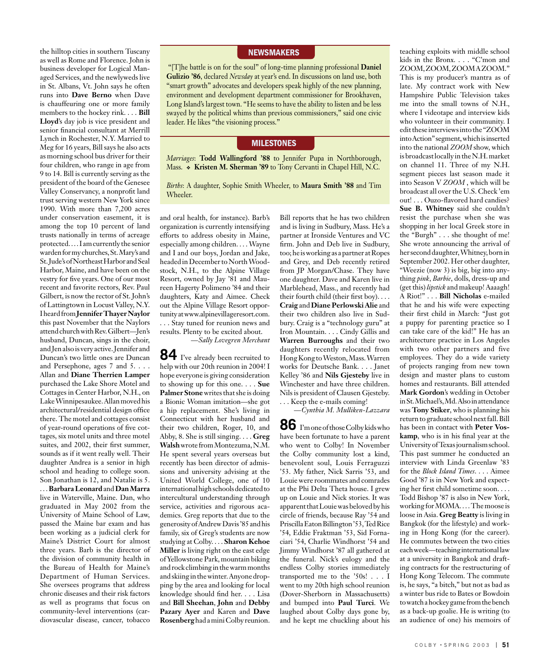the hilltop cities in southern Tuscany as well as Rome and Florence. John is business developer for Logical Managed Services, and the newlyweds live in St. Albans, Vt. John says he often runs into **Dave Berno** when Dave is chauffeuring one or more family members to the hockey rink. . . . **Bill Lloyd**'s day job is vice president and senior financial consultant at Merrill Lynch in Rochester, N.Y. Married to Meg for 16 years, Bill says he also acts as morning school bus driver for their four children, who range in age from 9 to 14. Bill is currently serving as the president of the board of the Genesee Valley Conservancy, a nonprofit land trust serving western New York since 1990. With more than 7,200 acres under conservation easement, it is among the top 10 percent of land trusts nationally in terms of acreage protected. . . . I am currently the senior warden for my churches, St. Mary's and St. Jude's of Northeast Harbor and Seal Harbor, Maine, and have been on the vestry for five years. One of our most recent and favorite rectors, Rev. Paul Gilbert, is now the rector of St. John's of Lattingtown in Locust Valley, N.Y. I heard from **Jennifer Thayer Naylor** this past November that the Naylors attend church with Rev. Gilbert—Jen's husband, Duncan, sings in the choir, and Jen also is very active. Jennifer and Duncan's two little ones are Duncan and Persephone, ages 7 and 5. . . . Allan and **Diane Therrien Lamper**  purchased the Lake Shore Motel and Cottages in Center Harbor, N.H., on Lake Winnipesaukee. Allan moved his architectural/residential design office there. The motel and cottages consist of year-round operations of five cottages, six motel units and three motel suites, and 2002, their first summer, sounds as if it went really well. Their daughter Andrea is a senior in high school and heading to college soon. Son Jonathan is 12, and Natalie is 5. . . . **Barbara Leonard** and **Dan Marra** live in Waterville, Maine. Dan, who graduated in May 2002 from the University of Maine School of Law, passed the Maine bar exam and has

been working as a judicial clerk for Maine's District Court for almost three years. Barb is the director of the division of community health in the Bureau of Health for Maine's Department of Human Services. She oversees programs that address chronic diseases and their risk factors as well as programs that focus on community-level interventions (cardiovascular disease, cancer, tobacco

#### **NEWSMAKERS**

"[T]he battle is on for the soul" of long-time planning professional **Daniel Gulizio '86**, declared *Newsday* at year's end. In discussions on land use, both "smart growth" advocates and developers speak highly of the new planning, environment and development department commissioner for Brookhaven, Long Island's largest town. "He seems to have the ability to listen and be less swayed by the political whims than previous commissioners," said one civic leader. He likes "the visioning process."

#### **MILESTONES**

*Marriages*: **Todd Wallingford '88** to Jennifer Pupa in Northborough, Mass.  $\bullet$  Kristen M. Sherman '89 to Tony Cervanti in Chapel Hill, N.C.

*Births*: A daughter, Sophie Smith Wheeler, to **Maura Smith '88** and Tim Wheeler.

and oral health, for instance). Barb's organization is currently intensifying efforts to address obesity in Maine, especially among children. . . . Wayne and I and our boys, Jordan and Jake, headed in December to North Woodstock, N.H., to the Alpine Village Resort, owned by Jay '81 and Maureen Hagerty Polimeno '84 and their daughters, Katy and Aimee. Check out the Alpine Village Resort opportunity at www.alpinevillageresort.com. . . . Stay tuned for reunion news and results. Plenty to be excited about.

*—Sally Lovegren Merchant*

**84** I've already been recruited to help with our 20th reunion in 2004! I hope everyone is giving consideration to showing up for this one. . . . **Sue Palmer Stone** writes that she is doing a Bionic Woman imitation—she got a hip replacement. She's living in Connecticut with her husband and their two children, Roger, 10, and Abby, 8. She is still singing. . . . **Greg Walsh** wrote from Montezuma, N.M. He spent several years overseas but recently has been director of admissions and university advising at the United World College, one of 10 international high schools dedicated to intercultural understanding through service, activities and rigorous academics. Greg reports that due to the generosity of Andrew Davis '85 and his family, six of Greg's students are now studying at Colby. . . . **Sharon Kehoe Miller** is living right on the east edge of Yellowstone Park, mountain biking and rock climbing in the warm months and skiing in the winter. Anyone dropping by the area and looking for local knowledge should find her. . . . Lisa and **Bill Sheehan**, **John** and **Debby Pazary Ayer** and Karen and **Dave Rosenberg** hada mini Colby reunion.

Bill reports that he has two children and is living in Sudbury, Mass. He's a partner at Ironside Ventures and VC firm. John and Deb live in Sudbury, too; he is working as a partner at Ropes and Grey, and Deb recently retired from JP Morgan/Chase. They have one daughter. Dave and Karen live in Marblehead, Mass., and recently had their fourth child (their first boy). . . . **Craig** and **Diane Perlowski Alie** and their two children also live in Sudbury. Craig is a "technology guru" at Iron Mountain. . . . Cindy Gillis and **Warren Burroughs** and their two daughters recently relocated from Hong Kong to Weston, Mass. Warren works for Deutsche Bank. . . . Janet Kelley '86 and **Nils Gjesteby** live in Winchester and have three children. Nils is president of Clausen Gjesteby. . . . Keep the e-mails coming!

*—Cynthia M. Mulliken-Lazzara* 

**86** I'm one of those Colby kids who have been fortunate to have a parent who went to Colby! In November the Colby community lost a kind, benevolent soul, Louis Ferraguzzi '53. My father, Nick Sarris '53, and Louie were roommates and comrades at the Phi Delta Theta house. I grew up on Louie and Nick stories. It was apparent that Louie was beloved by his circle of friends, because Ray '54 and Priscilla Eaton Billington '53, Ted Rice '54, Eddie Fraktman '53, Sid Fornaciari '54, Charlie Windhorst '54 and Jimmy Windhorst '87 all gathered at the funeral. Nick's eulogy and the endless Colby stories immediately transported me to the '50s! . . . I went to my 20th high school reunion (Dover-Sherborn in Massachusetts) and bumped into **Paul Turci**. We laughed about Colby days gone by, and he kept me chuckling about his

teaching exploits with middle school kids in the Bronx. . . . "C'mon and ZOOM, ZOOM, ZOOM A ZOOM." This is my producer's mantra as of late. My contract work with New Hampshire Public Television takes me into the small towns of N.H., where I videotape and interview kids who volunteer in their community. I edit these interviews into the "ZOOM into Action" segment, which is inserted into the national *ZOOM* show, which is broadcast locally in the N.H. market on channel 11. Three of my N.H. segment pieces last season made it into Season V *ZOOM* , which will be broadcast all over the U.S. Check 'em out! . . . Ouzo-flavored hard candies? **Sue B. Whitney** said she couldn't resist the purchase when she was shopping in her local Greek store in the "Burgh" . . . she thought of me! She wrote announcing the arrival of her second daughter, Whitney, born in September 2002. Her other daughter, "Weezie (now 3) is big, big into anything *pink*, *Barbie*, dolls, dress-up and (get this) *lipstick* and makeup! Aaaagh! A Riot!" . . . **Bill Nicholas** e-mailed that he and his wife were expecting their first child in March: "Just got a puppy for parenting practice so I can take care of the kid!" He has an architecture practice in Los Angeles with two other partners and five employees. They do a wide variety of projects ranging from new town design and master plans to custom homes and restaurants. Bill attended **Mark Gordon**'s wedding in October in St. Michael's, Md. Also in attendance was **Tony Stiker**, who is planning his return to graduate school next fall. Bill has been in contact with **Peter Voskamp**, who is in his final year at the University of Texas journalism school. This past summer he conducted an interview with Linda Greenlaw '83 for the *Block Island Times*. . . . Aimee Good '87 is in New York and expecting her first child sometime soon. . . . Todd Bishop '87 is also in New York, working for MOMA. . . . The moose is loose in Asia. **Greg Beatty** is living in Bangkok (for the lifestyle) and working in Hong Kong (for the career). He commutes between the two cities each week—teaching international law at a university in Bangkok and drafting contracts for the restructuring of Hong Kong Telecom. The commute is, he says, "a bitch," but not as bad as a winter bus ride to Bates or Bowdoin to watch a hockey game from the bench as a back-up goalie. He is writing (to an audience of one) his memoirs of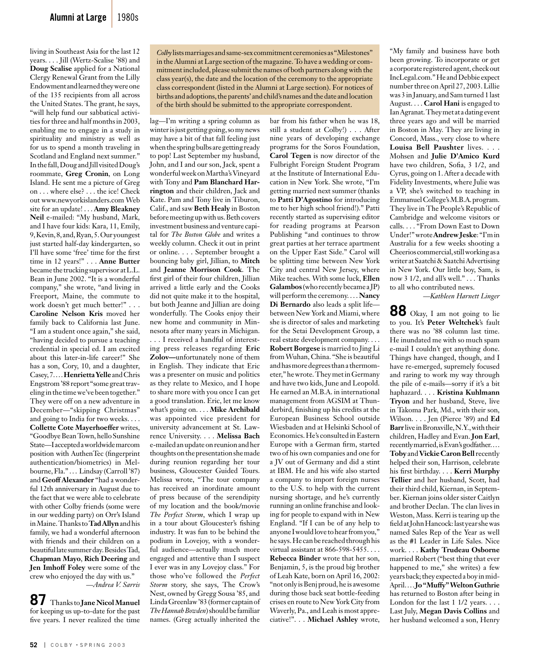living in Southeast Asia for the last 12 years. . . . Jill (Wertz-Scalise '88) and **Doug Scalise** applied for a National Clergy Renewal Grant from the Lilly Endowment and learned they were one of the 135 recipients from all across the United States. The grant, he says, "will help fund our sabbatical activities for three and half months in 2003, enabling me to engage in a study in spirituality and ministry as well as for us to spend a month traveling in Scotland and England next summer." In the fall, Doug and Jill visited Doug's roommate, **Greg Cronin**, on Long Island. He sent me a picture of Greg on . . . where else? . . . the ice! Check out www.newyorkislanders.com Web site for an update! . . . **Amy Bleakney Neil** e-mailed: "My husband, Mark, and I have four kids: Kara, 11, Emily, 9, Kevin, 8, and, Ryan, 5. Our youngest just started half-day kindergarten, so I'll have some 'free' time for the first time in 12 years!" . . . **Anne Butter** became the trucking supervisor at L.L. Bean in June 2002. "It is a wonderful company," she wrote, "and living in Freeport, Maine, the commute to work doesn't get much better!" . . . **Caroline Nelson Kris** moved her family back to California last June. "I am a student once again," she said, "having decided to pursue a teaching credential in special ed. I am excited about this later-in-life career!" She has a son, Cory, 10, and a daughter, Casey, 7. . . . **Henrietta Yelle** and Chris Engstrom '88 report "some great traveling in the time we've been together." They were off on a new adventure in December—"skipping Christmas" and going to India for two weeks. . . . **Collette Cote Mayerhoeffer** writes, "Goodbye Bean Town, hello Sunshine State—I accepted a worldwide marcom position with AuthenTec (fingerprint authentication/biometrics) in Melbourne, Fla." . . . Lindsay (Carroll '87) and **Geoff Alexander** "had a wonderful 12th anniversary in August due to the fact that we were able to celebrate with other Colby friends (some were in our wedding party) on Orr's Island in Maine. Thanks to **Tad Allyn** and his family, we had a wonderful afternoon with friends and their children on a beautiful late summer day. Besides Tad, **Chapman Mayo**, **Rich Deering** and **Jen Imhoff Foley** were some of the crew who enjoyed the day with us." *—Andrea V. Sarris*

**87** Thanks to **Jane Nicol Manuel**  for keeping us up-to-date for the past five years. I never realized the time *Colby* lists marriages and same-sex commitment ceremonies as "Milestones" in the Alumni at Large section of the magazine. To have a wedding or commitment included, please submit the names of both partners along with the class year(s), the date and the location of the ceremony to the appropriate class correspondent (listed in the Alumni at Large section). For notices of births and adoptions, the parents' and child's names and the date and location of the birth should be submitted to the appropriate correspondent.

lag—I'm writing a spring column as winter is just getting going, so my news may have a bit of that fall feeling just when the spring bulbs are getting ready to pop! Last September my husband, John, and I and our son, Jack, spent a wonderful week on Martha's Vineyard with Tony and **Pam Blanchard Harrington** and their children, Jack and Kate. Pam and Tony live in Tiburon, Calif., and saw **Beth Healy** in Boston before meeting up with us. Beth covers investment business and venture capital for *The Boston Globe* and writes a weekly column. Check it out in print or online. . . . September brought a bouncing baby girl, Jillian, to **Mitch**  and **Jeanne Morrison Cook**. The first girl of their four children, Jillian arrived a little early and the Cooks did not quite make it to the hospital, but both Jeanne and Jillian are doing wonderfully. The Cooks enjoy their new home and community in Minnesota after many years in Michigan. . . . I received a handful of interesting press releases regarding **Eric Zolov—**unfortunately none of them in English. They indicate that Eric was a presenter on music and politics as they relate to Mexico, and I hope to share more with you once I can get a good translation. Eric, let me know what's going on. . . . **Mike Archibald**  was appointed vice president for university advancement at St. Lawrence University. . . . **Melissa Bach**  e-mailed an update on reunion and her thoughts on the presentation she made during reunion regarding her tour business, Gloucester Guided Tours. Melissa wrote, "The tour company has received an inordinate amount of press because of the serendipity of my location and the book/movie *The Perfect Storm*, which I wrap up in a tour about Gloucester's fishing industry. It was fun to be behind the podium in Lovejoy, with a wonderful audience—actually much more engaged and attentive than I suspect I ever was in any Lovejoy class." For those who've followed the *Perfect Storm* story, she says, The Crow's Nest, owned by Gregg Sousa '85, and Linda Greenlaw '83 (former captain of *The Hannah Bowden*) should be familiar names. (Greg actually inherited the

bar from his father when he was 18, still a student at Colby!) . . . After nine years of developing exchange programs for the Soros Foundation, **Carol Tegen** is now director of the Fulbright Foreign Student Program at the Institute of International Education in New York. She wrote, "I'm getting married next summer (thanks to **Patti D'Agostino** for introducing me to her high school friend!)." Patti recently started as supervising editor for reading programs at Pearson Publishing "and continues to throw great parties at her terrace apartment on the Upper East Side." Carol will be splitting time between New York City and central New Jersey, where Mike teaches. With some luck, **Ellen Galambos** (who recently became a JP) will perform the ceremony. . . . **Nancy Di Bernardo** also leads a split life between New York and Miami, where she is director of sales and marketing for the Setai Development Group, a real estate development company. . . . **Robert Borgese** is married to Jing Li from Wuhan, China. "She is beautiful and has more degrees than a thermometer," he wrote. They met in Germany and have two kids, June and Leopold. He earned an M.B.A. in international management from AGSIM at Thunderbird, finishing up his credits at the European Business School outside Wiesbaden and at Helsinki School of Economics. He's consulted in Eastern Europe with a German firm, started two of his own companies and one for a JV out of Germany and did a stint at IBM. He and his wife also started a company to import foreign nurses to the U.S. to help with the current nursing shortage, and he's currently running an online franchise and looking for people to expand with in New England. "If I can be of any help to anyone I would love to hear from you," he says. He can be reached through his virtual assistant at 866-598-5455. . . . **Rebecca Binder** wrote that her son, Benjamin, 5, is the proud big brother of Leah Kate, born on April 16, 2002: "not only is Benj proud, he is awesome during those back seat bottle-feeding crises en route to New York City from Waverly, Pa., and Leah is most appreciative!". . . **Michael Ashley** wrote,

"My family and business have both been growing. To incorporate or get a corporate registered agent, check out IncLegal.com." He and Debbie expect number three on April 27, 2003. Lillie was 3 in January, and Sam turned 1 last August. . . . **Carol Hani** is engaged to Ian Agranat. They met at a dating event three years ago and will be married in Boston in May. They are living in Concord, Mass., very close to where **Louisa Bell Paushter** lives. . . . Mohsen and **Julie D'Amico Kurd**  have two children, Sofia, 3 1/2, and Cyrus, going on 1. After a decade with Fidelity Investments, where Julie was a VP, she's switched to teaching in Emmanuel College's M.B.A. program. They live in The People's Republic of Cambridge and welcome visitors or calls. . . . "From Down East to Down Under!" wrote **Andrew Jeske**: "I'm in Australia for a few weeks shooting a Cheerios commercial, still working as a writer at Saatchi & Saatchi Advertising in New York. Our little boy, Sam, is now 3 1/2, and all's well." . . . Thanks to all who contributed news.

*—Kathleen Harnett Linger* 

**88** Okay, I am not going to lie to you. It's **Peter Weltchek**'s fault there was no '88 column last time. He inundated me with so much spam e-mail I couldn't get anything done. Things have changed, though, and I have re-emerged, supremely focused and raring to work my way through the pile of e-mails—sorry if it's a bit haphazard. . . . **Kristina Kuhlmann Tryon** and her husband, Steve, live in Takoma Park, Md., with their son, Wilson. . . . Jen (Pierce '89) and **Ed Barr** live in Bronxville, N.Y., with their children, Hadley and Evan. **Jon Earl**, recently married, is Evan's godfather. . . . Toby and **Vickie Caron Bell** recently helped their son, Harrison, celebrate his first birthday. . . . **Kerri Murphy Tellier** and her husband, Scott, had their third child, Kiernan, in September. Kiernan joins older sister Caitlyn and brother Declan. The clan lives in Weston, Mass. Kerri is tearing up the field at John Hancock: last year she was named Sales Rep of the Year as well as the #1 Leader in Life Sales. Nice work. . . . **Kathy Trudeau Osborne** married Robert ("best thing that ever happened to me," she writes) a few years back; they expected a boy in mid-April. . . . **Jo "Muffy" Welton Guthrie** has returned to Boston after being in London for the last  $1 \frac{1}{2}$  years. . . . Last July, **Megan Davis Collins** and her husband welcomed a son, Henry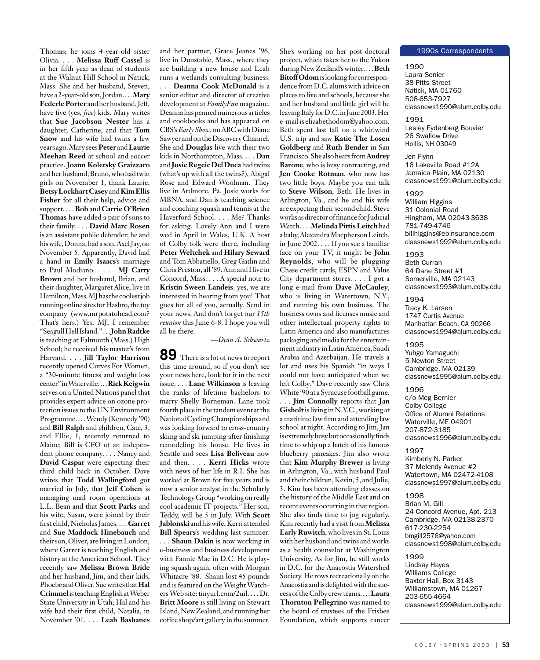Thomas; he joins 4-year-old sister Olivia. . . . **Melissa Ruff Cassel** is in her fifth year as dean of students at the Walnut Hill School in Natick, Mass. She and her husband, Steven, have a 2-year-old son, Jordan. . . . **Mary Federle Porter** and her husband, Jeff, have five (yes, *five*) kids. Mary writes that **Sue Jacobson Nester** has a daughter, Catherine, and that **Tom Snow** and his wife had twins a few years ago. Mary sees **Peter** and **Laurie Meehan Reed** at school and soccer practice. **Joann Koletsky Graizzaro**  and her husband, Bruno, who had twin girls on November 1, thank Laurie, **Betsy Lockhart Casey** and **Kim Ellis Fisher** for all their help, advice and support. . . . **Bob** and **Carrie O'Brien Thomas** have added a pair of sons to their family. . . . **David Marc Rosen**  is an assistant public defender; he and his wife, Donna, had a son, Axel Jay, on November 5. Apparently, David had a hand in **Emily Isaacs**'s marriage to Paul Modiano. . . . . **MJ Carty Brown** and her husband, Brian, and their daughter, Margaret Alice, live in Hamilton, Mass. MJ has the coolest job running online sites for Hasbro, the toy company (www.mrpotatohead.com? That's hers.) Yes, MJ, I remember "Seagull Hell Island." . . . **John Radtke**  is teaching at Falmouth (Mass.) High School; he received his master's from Harvard. . . . **Jill Taylor Harrison** recently opened Curves For Women, a "30-minute fitness and weight loss center" in Waterville. . . . **Rick Keigwin**  serves on a United Nations panel that provides expert advice on ozone protection issues to the UN Environment Programme. . . . Wendy (Kennedy '90) and **Bill Ralph** and children, Cate, 3, and Ellie, 1, recently returned to Maine; Bill is CFO of an independent phone company. . . . Nancy and **David Caspar** were expecting their third child back in October. Dave writes that **Todd Wallingford** got married in July, that **Jeff Cohen** is managing mail room operations at L.L. Bean and that **Scott Parks** and his wife, Susan, were joined by their first child, Nicholas James. . . . **Garret**  and **Sue Maddock Hinebauch** and their son, Oliver, are living in London, where Garret is teaching English and history at the American School. They recently saw **Melissa Brown Bride**  and her husband, Jim, and their kids, Phoebe and Oliver. Sue writes that **Hal Crimmel** is teaching English at Weber State University in Utah; Hal and his wife had their first child, Natalia, in November '01. . . . **Leah Basbanes** 

and her partner, Grace Jeanes '96, live in Dunstable, Mass., where they are building a new house and Leah runs a wetlands consulting business. . . . **Deanna Cook McDonald** is a senior editor and director of creative development at *FamilyFun* magazine. Deanna has penned numerous articles and cookbooks and has appeared on CBS's *Early Show*, on ABC with Diane Sawyer and on the Discovery Channel. She and **Douglas** live with their two kids in Northampton, Mass. . . . **Dan**  and **Josie Regeic Del Duca** had twins (what's up with all the twins?), Abigal Rose and Edward Woolman. They live in Ardmore, Pa. Josie works for MBNA, and Dan is teaching science and coaching squash and tennis at the Haverford School. . . . Me? Thanks for asking. Lovely Ann and I were wed in April in Wales, U.K. A host of Colby folk were there, including **Peter Weltchek** and **Hilary Seward**  and Tom Abbatiello, Greg Gatlin and Chris Preston, all '89. Ann and I live in Concord, Mass. . . . A special note to **Kristin Sween Landeis**: yes, we are interested in hearing from you! That goes for all of you, actually. Send in your news. And don't forget our *15th reunion* this June 6-8. I hope you will all be there.

#### *—Dean A. Schwartz*

**89** There is a lot of news to report this time around, so if you don't see your news here, look for it in the next issue. . . . **Lane Wilkinson** is leaving the ranks of lifetime bachelors to marry Shelly Borneman. Lane took fourth place in the tandem event at the National Cycling Championships and was looking forward to cross-country skiing and ski jumping after finishing remodeling his house. He lives in Seattle and sees **Lisa Beliveau** now and then. . . . **Kerri Hicks** wrote with news of her life in R.I. She has worked at Brown for five years and is now a senior analyst in the Scholarly Technology Group "working on really cool academic IT projects." Her son, Teddy, will be 5 in July. With **Scott Jablonski** and his wife, Kerri attended **Bill Spears**'s wedding last summer.

. . . **Shaun Dakin** is now working in e-business and business development with Fannie Mae in D.C. He is playing squash again, often with Morgan Whitacre '88. Shaun lost 45 pounds and is featured on the Weight Watchers Web site: tinyurl.com/2uil. . . . Dr. **Britt Moore** is still living on Stewart Island, New Zealand, and running her coffee shop/art gallery in the summer.

She's working on her post-doctoral project, which takes her to the Yukon during New Zealand's winter. . . . **Beth Bitoff Odom** is looking for correspondence from D.C. alums with advice on places to live and schools, because she and her husband and little girl will be leaving Italy for D.C. in June 2003. Her e-mail is elizabethodom@yahoo.com. Beth spent last fall on a whirlwind U.S. trip and saw **Katie The Losen Goldberg** and **Ruth Bender** in San Francisco. She also hears from **Audrey Barone**, who is busy contracting, and **Jen Cooke Rotman**, who now has two little boys. Maybe you can talk to **Steve Wilson**, Beth. He lives in Arlington, Va., and he and his wife are expecting their second child. Steve works as director of finance for Judicial Watch. . . . **Melinda Pittis Leitch** had a baby, Alexandra Macpherson Leitch, in June 2002. . . . If you see a familiar face on your TV, it might be **John Reynolds**, who will be plugging Chase credit cards, ESPN and Value City department stores. . . . I got a long e-mail from **Dave McCauley**, who is living in Watertown, N.Y., and running his own business. The business owns and licenses music and other intellectual property rights to Latin America and also manufactures packaging and media for the entertainment industry in Latin America, Saudi Arabia and Azerbaijan. He travels a lot and uses his Spanish "in ways I could not have anticipated when we left Colby." Dave recently saw Chris White '90 at a Syracuse football game.

. . . **Jim Connolly** reports that **Jan Gisholt** is living in N.Y.C., working at a maritime law firm and attending law school at night. According to Jim, Jan is extremely busy but occasionally finds time to whip up a batch of his famous blueberry pancakes. Jim also wrote that **Kim Murphy Brewer** is living in Arlington, Va., with husband Paul and their children, Kevin, 5, and Julie, 3. Kim has been attending classes on the history of the Middle East and on recent events occurring in that region. She also finds time to jog regularly. Kim recently had a visit from **Melissa Early Ruwitch**, who lives in St. Louis with her husband and twins and works as a health counselor at Washington University. As for Jim, he still works in D.C. for the Anacostia Watershed Society. He rows recreationally on the Anacostia and is delighted with the success of the Colby crew teams. . . . **Laura Thornton Pellegrino** was named to the board of trustees of the Frisbee Foundation, which supports cancer

#### 1990s Correspondents

1990 Laura Senier 38 Pitts Street Natick, MA 01760 508-653-7927 classnews1990@alum.colby.edu

1991 Lesley Eydenberg Bouvier 26 Swallow Drive Hollis, NH 03049

Jen Flynn 16 Lakeville Road #12A Jamaica Plain, MA 02130 classnews1991@alum.colby.edu

1992 William Higgins 31 Colonial Road Hingham, MA 02043-3638 781-749-4746 billhiggins@ebinsurance.com classnews1992@alum.colby.edu

1993 Beth Curran 64 Dane Street #1 Somerville, MA 02143 classnews1993@alum.colby.edu

1994 Tracy K. Larsen 1747 Curtis Avenue Manhattan Beach, CA 90266 classnews1994@alum.colby.edu

1995 Yuhgo Yamaguchi 5 Newton Street Cambridge, MA 02139 classnews1995@alum.colby.edu

1996 c/o Meg Bernier Colby College Office of Alumni Relations Waterville, ME 04901 207-872-3185 classnews1996@alum.colby.edu

1997 Kimberly N. Parker 37 Melendy Avenue #2 Watertown, MA 02472-4108 classnews1997@alum.colby.edu

1998 Brian M. Gill 24 Concord Avenue, Apt. 213 Cambridge, MA 02138-2370 617-230-2254 bmgill2576@yahoo.com classnews1998@alum.colby.edu

### 1999

Lindsay Hayes Williams College Baxter Hall, Box 3143 Williamstown, MA 01267 203-655-4664 classnews1999@alum.colby.edu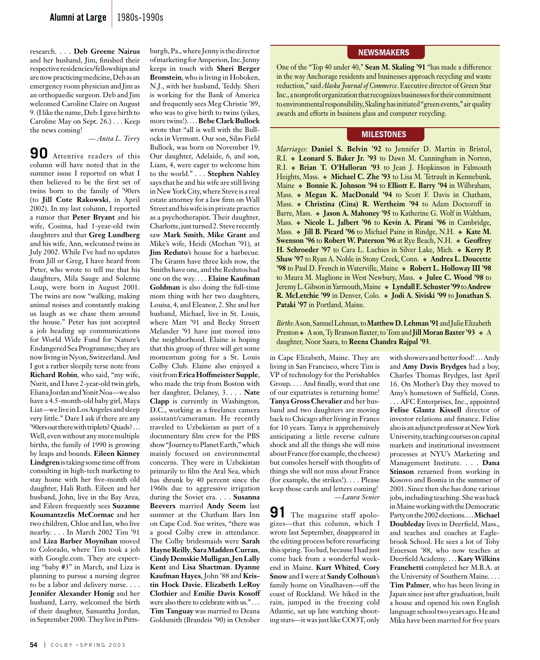research. . . . **Deb Greene Nairus**  and her husband, Jim, finished their respective residencies/fellowships and are now practicing medicine, Deb as an emergency room physician and Jim as an orthopaedic surgeon. Deb and Jim welcomed Caroline Claire on August 9. (I like the name, Deb: I gave birth to Caroline May on Sept. 26.) . . . Keep the news coming!

*— Anita L. Terry* 

**90** Attentive readers of this column will have noted that in the summer issue I reported on what I then believed to be the first set of twins born to the family of '90ers (to **Jill Cote Rakowski**, in April 2002). In my last column, I reported a rumor that **Peter Bryant** and his wife, Cosima, had 1-year-old twin daughters and that **Greg Lundberg** and his wife, Ann, welcomed twins in July 2002. While I've had no updates from Jill or Greg, I have heard from Peter, who wrote to tell me that his daughters, Mila Sauge and Solenne Loup, were born in August 2001. The twins are now "walking, making animal noises and constantly making us laugh as we chase them around the house." Peter has just accepted a job heading up communications for World Wide Fund for Nature's Endangered Sea Programme; they are now living in Nyon, Switzerland. And I got a rather sleepily terse note from **Richard Robin**, who said, "my wife, Nurit, and I have 2-year-old twin girls, Eliana Jordan and Yonit Noa—we also have a 4.5-month-old baby girl, Maya Liat—we live in Los Angeles and sleep very little." Dare I ask if there are any '90ers out there with triplets? Quads? . . . Well, even without any more multiple births, the family of 1990 is growing by leaps and bounds. **Eileen Kinney Lindgren** is taking some time off from consulting in high-tech marketing to stay home with her five-month old daughter, Hali Ruth. Eileen and her husband, John, live in the Bay Area, and Eileen frequently sees **Suzanne Koumantzelis McCormac** and her two children, Chloe and Ian, who live nearby. . . . In March 2002 Tim '91 and **Liza Barber Moynihan** moved to Colorado, where Tim took a job with Google.com. They are expecting "baby #3" in March, and Liza is planning to pursue a nursing degree to be a labor and delivery nurse. . . . **Jennifer Alexander Honig** and her husband, Larry, welcomed the birth of their daughter, Samantha Jordan, in September 2000. They live in Pittsburgh, Pa., where Jenny is the director of marketing for Amperion, Inc. Jenny keeps in touch with **Sheri Berger Bronstein**, who is living in Hoboken, N.J., with her husband, Teddy. Sheri is working for the Bank of America and frequently sees Meg Christie '89, who was to give birth to twins (yikes, more twins!). . . . **Bebe Clark Bullock** wrote that "all is well with the Bullocks in Vermont. Our son, Silas Field Bullock, was born on November 19. Our daughter, Adelaide, 6, and son, Liam, 4, were eager to welcome him to the world." . . . **Stephen Nahley** says that he and his wife are still living in New York City, where Steve is a real estate attorney for a law firm on Wall Street and his wife is in private practice as a psychotherapist. Their daughter, Charlotte, just turned 2. Steve recently saw **Mark Smith**, **Mike Grant** and Mike's wife, Heidi (Meehan '91), at **Jim Reduto**'s house for a barbecue. The Grants have three kids now, the Smiths have one, and the Redutos had one on the way. . . . **Elaine Kaufman Goldman** is also doing the full-time mom thing with her two daughters, Louisa, 4, and Eleanor, 2. She and her husband, Michael, live in St. Louis, where Matt '91 and Becky Streett Melander '91 have just moved into the neighborhood. Elaine is hoping that this group of three will get some momentum going for a St. Louis Colby Club. Elaine also enjoyed a visit from **Erica Hoffmeister Supple**, who made the trip from Boston with her daughter, Delaney, 3. . . . **Nate Clapp** is currently in Washington, D.C., working as a freelance camera assistant/cameraman. He recently traveled to Uzbekistan as part of a documentary film crew for the PBS show "Journey to Planet Earth," which mainly focused on environmental concerns. They were in Uzbekistan primarily to film the Aral Sea, which has shrunk by 40 percent since the 1960s due to aggressive irrigation during the Soviet era. . . . **Susanna Beevers** married **Andy Seem** last summer at the Chatham Bars Inn on Cape Cod. Sue writes, "there was a good Colby crew in attendance. The Colby bridesmaids were **Sarah Hayne Reilly**, **Sara Madden Curran**, **Cindy Demskie Mulligan**, **Jen Lally Kent** and **Lisa Shactman**. **Dyanne Kaufman Hayes**, John '88 and **Kristin Hock Davie**, **Elizabeth LeRoy Clothier** and **Emilie Davis Kosoff** were also there to celebrate with us." . . . **Tim Tanguay** was married to Deana Goldsmith (Brandeis '90) in October

#### **NEWSMAKERS**

One of the "Top 40 under 40," **Sean M. Skaling '91** "has made a difference in the way Anchorage residents and businesses approach recycling and waste reduction," said *Alaska Journal of Commerce*. Executive director of Green Star Inc., a nonprofit organization that recognizes businesses for their commitment to environmental responsibility, Skaling has initiated "green events," air quality awards and efforts in business glass and computer recycling.

### **MILESTONES**

*Marriages:* **Daniel S. Belvin '92** to Jennifer D. Martin in Bristol, R.I. **Leonard S. Baker Jr. '93** to Dawn M. Cunningham in Norton, R.I. **Brian T. O'Halloran '93** to Jean J. Hopkinson in Falmouth Heights, Mass. **Michael C. Zhe '93** to Lisa M. Tetrault in Kennebunk, Maine  $\triangle$  **Bonnie K. Johnson '94** to **Elliott E. Barry '94** in Wilbraham, Mass. **Megan K. MacDonald '94** to Scott F. Davis in Chatham, Mass. **Christina (Cina) R. Wertheim '94** to Adam Doctoroff in Barre, Mass.  $\bullet$  Jason A. Mahoney '95 to Katherine G. Wolf in Waltham, Mass. **Nicole L. Jalbert '96** to **Kevin A. Pirani '96** in Cambridge, Mass.  $\bullet$  **Jill B. Picard '96** to Michael Paine in Rindge, N.H.  $\bullet$  Kate M. **Swenson '96** to Robert W. Paterson '96 at Rye Beach, N.H.  $\bullet$  Geoffrey **H. Schroeder '97** to Cara L. Luchies in Silver Lake, Mich.  $\bullet$  Kerry P. **Shaw '97** to Ryan A. Noble in Stony Creek, Conn. **Andrea L. Doucette '98** to Paul D. French in Waterville, Maine **Robert L. Holloway III '98** to Maura M. Maglione in West Newbury, Mass. **Julee C. Wood '98** to Jeremy L. Gibson in Yarmouth, Maine **Lyndall E. Schuster '99** to **Andrew R. McLetchie '99** in Denver, Colo. **Jodi A. Siviski '99** to **Jonathan S. Pataki '97** in Portland, Maine.

*Births*: A son, Samuel Lehman, to **Matthew D. Lehman '91** and Julie Elizabeth Preston  $\triangle$  A son, Ty Branson Baxter, to Tom and **Jill Moran Baxter '93**  $\triangle$  A daughter, Noor Saara, to **Reena Chandra Rajpal '93**.

in Cape Elizabeth, Maine. They are living in San Francisco, where Tim is VP of technology for the Perishables Group. . . . And finally, word that one of our expatriates is returning home! **Tanya Gross Chevalier** and her husband and two daughters are moving back to Chicago after living in France for 10 years. Tanya is apprehensively anticipating a little reverse culture shock and all the things she will miss about France (for example, the cheese) but consoles herself with thoughts of things she will not miss about France (for example, the strikes!). . . . Please keep those cards and letters coming!

*—Laura Senier*

**91** The magazine staff apologizes—that this column, which I wrote last September, disappeared in the editing process before resurfacing this spring. Too bad, because I had just come back from a wonderful weekend in Maine. **Kurt Whited**, **Cory Snow** and I were at **Sandy Colhoun**'s family home on Vinalhaven—off the coast of Rockland. We hiked in the rain, jumped in the freezing cold Atlantic, sat up late watching shooting stars—it was just like COOT, only

with showers and better food! . . . Andy and **Amy Davis Brydges** had a boy, Charles Thomas Brydges, last April 16. On Mother's Day they moved to Amy's hometown of Suffield, Conn. . . . AFC Enterprises, Inc., appointed **Felise Glantz Kissell** director of investor relations and finance. Felise also is an adjunct professor at New York University, teaching courses on capital markets and institutional investment processes at NYU's Marketing and Management Institute. . . . **Dana Stinson** returned from working in Kosovo and Bosnia in the summer of 2001. Since then she has done various jobs, including teaching. She was back in Maine working with the Democratic Party on the 2002 elections. . . . **Michael Doubleday** lives in Deerfield, Mass., and teaches and coaches at Eaglebrook School. He sees a lot of Toby Emerson '88, who now teaches at Deerfield Academy. . . . **Kary Wilkins Franchetti** completed her M.B.A. at the University of Southern Maine. . . . **Tim Palmer**, who has been living in Japan since just after graduation, built a house and opened his own English language school two years ago. He and Mika have been married for five years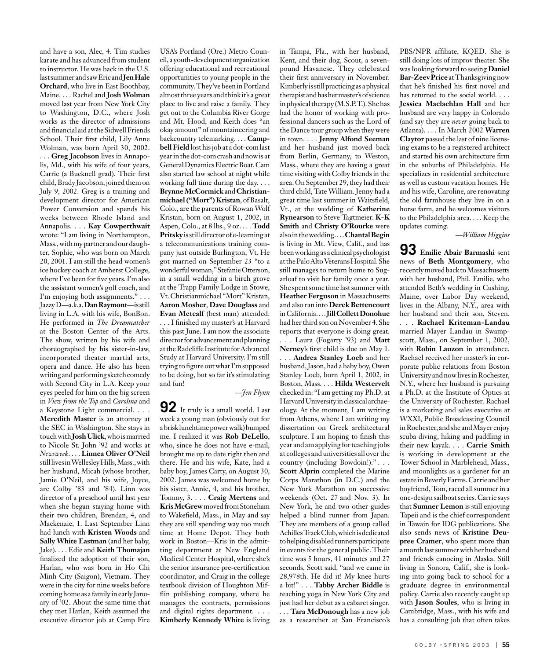and have a son, Alec, 4. Tim studies karate and has advanced from student to instructor. He was back in the U.S. last summer and saw Eric and **Jen Hale Orchard**, who live in East Boothbay, Maine. . . . Rachel and **Josh Wolman** moved last year from New York City to Washington, D.C., where Josh works as the director of admissions and financial aid at the Sidwell Friends School. Their first child, Lily Anne Wolman, was born April 30, 2002. . . . **Greg Jacobson** lives in Annapolis, Md., with his wife of four years, Carrie (a Bucknell grad). Their first child, Brady Jacobson, joined them on July 9, 2002. Greg is a training and development director for American Power Conversion and spends his weeks between Rhode Island and Annapolis. . . . **Kay Cowperthwait**  wrote: "I am living in Northampton, Mass., with my partner and our daughter, Sophie, who was born on March 20, 2001. I am still the head women's ice hockey coach at Amherst College, where I've been for five years. I'm also the assistant women's golf coach, and I'm enjoying both assignments." . . . Jazzy D—a.k.a. **Dan Raymont**—is still living in L.A. with his wife, BonBon. He performed in *The Dreamcatcher* at the Boston Center of the Arts. The show, written by his wife and choreographed by his sister-in-law, incorporated theater martial arts, opera and dance. He also has been writing and performing sketch comedy with Second City in L.A. Keep your eyes peeled for him on the big screen

a Keystone Light commercial. . . . **Meredith Master** is an attorney at the SEC in Washington. She stays in touch with **Josh Ulick**, who is married to Nicole St. John '92 and works at *Newsweek*. . . . **Linnea Oliver O'Neil** still lives in Wellesley Hills, Mass., with her husband, Micah (whose brother, Jamie O'Neil, and his wife, Joyce, are Colby '83 and '84). Linn was director of a preschool until last year when she began staying home with their two children, Brendan, 4, and Mackenzie, 1. Last September Linn had lunch with **Kristen Woods** and **Sally White Eastman** (and her baby, Jake). . . . Edie and **Keith Thomajan**  finalized the adoption of their son, Harlan, who was born in Ho Chi Minh City (Saigon), Vietnam. They were in the city for nine weeks before coming home as a family in early January of '02. About the same time that they met Harlan, Keith assumed the executive director job at Camp Fire

in *View from the Top* and *Carolina* and

USA's Portland (Ore.) Metro Council, a youth-development organization offering educational and recreational opportunities to young people in the community. They've been in Portland almost three years and think it's a great place to live and raise a family. They get out to the Columbia River Gorge and Mt. Hood, and Keith does "an okay amount" of mountaineering and backcountry telemarking. . . . **Campbell Field** lost his job at a dot-com last year in the dot-com crash and now is at General Dynamics Electric Boat. Cam also started law school at night while working full time during the day. . . . **Brynne McCormick** and **Christianmichael ("Mort") Kristan**, of Basalt, Colo., are the parents of Rowan Wolf Kristan, born on August 1, 2002, in Aspen, Colo., at 8 lbs., 9 oz. . . . **Todd Pritsky** is still director of e-learning at a telecommunications training company just outside Burlington, Vt. He got married on September 23 "to a wonderful woman," Stefanie Otterson, in a small wedding in a birch grove at the Trapp Family Lodge in Stowe, Vt. Christianmichael "Mort" Kristan, **Aaron Mosher**, **Dave Douglass** and Evan Metcalf (best man) attended. . . . I finished my master's at Harvard

this past June. I am now the associate director for advancement and planning at the Radcliffe Institute for Advanced Study at Harvard University. I'm still trying to figure out what I'm supposed to be doing, but so far it's stimulating and fun!

#### *—Jen Flynn*

**92** It truly is a small world. Last week a young man (obviously out for a brisk lunchtime power walk) bumped me. I realized it was **Rob DeLello**, who, since he does not have e-mail, brought me up to date right then and there. He and his wife, Kate, had a baby boy, James Carty, on August 30, 2002. James was welcomed home by his sister, Annie, 4, and his brother, Tommy, 3. . . . **Craig Mertens** and **Kris McGrew** moved from Stoneham to Wakefield, Mass., in May and say they are still spending way too much time at Home Depot. They both work in Boston—Kris in the admitting department at New England Medical Center Hospital, where she's the senior insurance pre-certification coordinator, and Craig in the college textbook division of Houghton Mifflin publishing company, where he manages the contracts, permissions and digital rights department. . . . **Kimberly Kennedy White** is living

in Tampa, Fla., with her husband, Kent, and their dog, Scout, a sevenpound Havanese. They celebrated their first anniversary in November. Kimberly is still practicing as a physical therapist and has her master's of science in physical therapy (M.S.P.T.). She has had the honor of working with professional dancers such as the Lord of the Dance tour group when they were in town. . . . **Jenny Alfond Seeman** and her husband just moved back from Berlin, Germany, to Weston, Mass., where they are having a great time visiting with Colby friends in the area. On September 29, they had their third child, Tate William. Jenny had a great time last summer in Waitsfield, Vt., at the wedding of **Katherine Rynearson** to Steve Tagtmeier. **K-K Smith** and **Christy O'Rourke** were also in the wedding. . . . **Chantal Begin** is living in Mt. View, Calif., and has been working as a clinical psychologist at the Palo Alto Veterans Hospital. She still manages to return home to Sugarloaf to visit her family once a year. She spent some time last summer with **Heather Ferguson** in Massachusetts and also ran into **Derek Bettencourt** in California. . . . **Jill Collett Donohue** had her third son on November 4. She reports that everyone is doing great. . . . Laura (Fogarty '93) and **Matt Nerney**'s first child is due on May 1. . . . **Andrea Stanley Loeb** and her husband, Jason, had a baby boy, Owen Stanley Loeb, born April 1, 2002, in Boston, Mass. . . . **Hilda Westervelt** checked in: "I am getting my Ph.D. at Harvard University in classical archaeology. At the moment, I am writing from Athens, where I am writing my dissertation on Greek architectural sculpture. I am hoping to finish this year and am applying for teaching jobs at colleges and universities all over the country (including Bowdoin!)." . . . **Scott Alprin** completed the Marine Corps Marathon (in D.C.) and the New York Marathon on successive weekends (Oct. 27 and Nov. 3). In New York, he and two other guides helped a blind runner from Japan. They are members of a group called Achilles Track Club, which is dedicated to helping disabled runners participate in events for the general public. Their time was 5 hours, 41 minutes and 27 seconds, Scott said, "and we came in 28,978th. He did it! My knee hurts a bit!" . . . **Tabby Archer Biddle** is teaching yoga in New York City and just had her debut as a cabaret singer. . . . **Tara McDonough** has a new job as a researcher at San Francisco's

PBS/NPR affiliate, KQED. She is still doing lots of improv theater. She was looking forward to seeing **Daniel Bar-Zeev Price** at Thanksgiving now that he's finished his first novel and has returned to the social world. . . . **Jessica Maclachlan Hall** and her husband are very happy in Colorado (and say they are *never* going back to Atlanta). . . . In March 2002 **Warren Claytor** passed the last of nine licensing exams to be a registered architect and started his own architecture firm in the suburbs of Philadelphia. He specializes in residential architecture as well as custom vacation homes. He and his wife, Caroline, are renovating the old farmhouse they live in on a horse farm, and he welcomes visitors to the Philadelphia area. . . . Keep the updates coming.

*—William Higgins*

**93 Emilie Abair Barmashi** sent news of **Beth Montgomery**, who recently moved back to Massachusetts with her husband, Phil. Emilie, who attended Beth's wedding in Cushing, Maine, over Labor Day weekend, lives in the Albany, N.Y., area with her husband and their son, Steven. . . . **Rachael Kriteman-Landau**  married Mayer Landau in Swampscott, Mass., on September 1, 2002, with **Robin Lauzon** in attendance. Rachael received her master's in corporate public relations from Boston University and now lives in Rochester, N.Y., where her husband is pursuing a Ph.D. at the Institute of Optics at the University of Rochester. Rachael is a marketing and sales executive at WXXI, Public Broadcasting Council in Rochester, and she and Mayer enjoy scuba diving, hiking and paddling in their new kayak. . . . **Carrie Smith**  is working in development at the Tower School in Marblehead, Mass., and moonlights as a gardener for an estate in Beverly Farms. Carrie and her boyfriend, Tom, raced all summer in a one-design sailboat series. Carrie says that **Sumner Lemon** is still enjoying Tapeii and is the chief correspondent in Tawain for IDG publications. She also sends news of **Kristine Deupree Cramer**, who spent more than a month last summer with her husband and friends canoeing in Alaska. Still living in Sonora, Calif., she is looking into going back to school for a graduate degree in environmental policy. Carrie also recently caught up with **Jason Soules**, who is living in Cambridge, Mass., with his wife and has a consulting job that often takes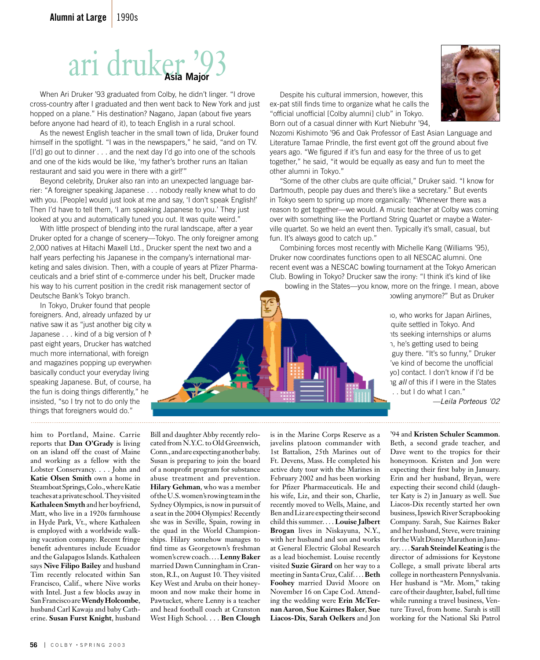# ari druker '93 **Asia Major**

 When Ari Druker '93 graduated from Colby, he didn't linger. "I drove cross-country after I graduated and then went back to New York and just hopped on a plane." His destination? Nagano, Japan (about five years before anyone had heard of it), to teach English in a rural school.

 As the newest English teacher in the small town of Iida, Druker found himself in the spotlight. "I was in the newspapers," he said, "and on TV. [I'd] go out to dinner . . . and the next day I'd go into one of the schools and one of the kids would be like, 'my father's brother runs an Italian restaurant and said you were in there with a girl!'"

 Beyond celebrity, Druker also ran into an unexpected language barrier: "A foreigner speaking Japanese . . . nobody really knew what to do with you. [People] would just look at me and say, 'I don't speak English!' Then I'd have to tell them, 'I am speaking Japanese to you.' They just looked at you and automatically tuned you out. It was quite weird."

 With little prospect of blending into the rural landscape, after a year Druker opted for a change of scenery—Tokyo. The only foreigner among 2,000 natives at Hitachi Maxell Ltd., Drucker spent the next two and a half years perfecting his Japanese in the company's international marketing and sales division. Then, with a couple of years at Pfizer Pharmaceuticals and a brief stint of e-commerce under his belt, Drucker made his way to his current position in the credit risk management sector of Deutsche Bank's Tokyo branch.

In Tokyo, Druker found that people foreigners. And, already unfazed by ur native saw it as "just another big city where the Japanese . . . kind of a big version of  $\uparrow$ past eight years, Drucker has watched much more international, with foreign and magazines popping up everywher basically conduct your everyday living speaking Japanese. But, of course, half the fun is doing things differently," he insisted, "so I try not to do only the things that foreigners would do."

him to Portland, Maine. Carrie reports that **Dan O'Grady** is living on an island off the coast of Maine and working as a fellow with the Lobster Conservancy. . . . John and **Katie Olsen Smith** own a home in Steamboat Springs, Colo., where Katie teaches at a private school. They visited **Kathaleen Smyth** and her boyfriend, Matt, who live in a 1920s farmhouse in Hyde Park, Vt., where Kathaleen is employed with a worldwide walking vacation company. Recent fringe benefit adventures include Ecuador and the Galapagos Islands. Kathaleen says **Nive Filipo Bailey** and husband Tim recently relocated within San Francisco, Calif., where Nive works with Intel. Just a few blocks away in San Francisco are **Wendy Holcombe**, husband Carl Kawaja and baby Catherine. **Susan Furst Knight**, husband

Bill and daughter Abby recently relocated from N.Y.C. to Old Greenwich, Conn., and are expecting another baby. Susan is preparing to join the board of a nonprofit program for substance abuse treatment and prevention. **Hilary Gehman**, who was a member of the U.S. women's rowing team in the Sydney Olympics, is now in pursuit of a seat in the 2004 Olympics! Recently she was in Seville, Spain, rowing in the quad in the World Championships. Hilary somehow manages to find time as Georgetown's freshman women's crew coach. . . . **Lenny Baker**  married Dawn Cunningham in Cranston, R.I., on August 10. They visited Key West and Aruba on their honeymoon and now make their home in Pawtucket, where Lenny is a teacher and head football coach at Cranston West High School. . . . **Ben Clough** 

is in the Marine Corps Reserve as a javelins platoon commander with 1st Battalion, 25th Marines out of Ft. Devens, Mass. He completed his active duty tour with the Marines in February 2002 and has been working for Pfizer Pharmaceuticals. He and his wife, Liz, and their son, Charlie, recently moved to Wells, Maine, and Ben and Liz are expecting their second child this summer. . . . **Louise Jalbert Brogan** lives in Niskayuna, N.Y., with her husband and son and works at General Electric Global Research as a lead biochemist. Louise recently visited **Suzie Girard** on her way to a meeting in Santa Cruz, Calif. . . . **Beth Foohey** married David Moore on November 16 on Cape Cod. Attending the wedding were **Erin McTernan Aaron**, **Sue Kairnes Baker**, **Sue Liacos-Dix**, **Sarah Oelkers** and Jon

'94 and **Kristen Schuler Scammon**. Beth, a second grade teacher, and Dave went to the tropics for their honeymoon. Kristen and Jon were expecting their first baby in January. Erin and her husband, Bryan, were expecting their second child (daughter Katy is 2) in January as well. Sue Liacos-Dix recently started her own business, Ipswich River Scrapbooking Company. Sarah, Sue Kairnes Baker and her husband, Steve, were training for the Walt Disney Marathon in January. . . . **Sarah Steindel Keating** is the director of admissions for Keystone College, a small private liberal arts college in northeastern Pennyslvania. Her husband is "Mr. Mom," taking care of their daughter, Isabel, full time while running a travel business, Venture Travel, from home. Sarah is still working for the National Ski Patrol



 Despite his cultural immersion, however, this ex-pat still finds time to organize what he calls the "official unofficial [Colby alumni] club" in Tokyo. Born out of a casual dinner with Kurt Niebuhr '94,

Nozomi Kishimoto '96 and Oak Professor of East Asian Language and Literature Tamae Prindle, the first event got off the ground about five years ago. "We figured if it's fun and easy for the three of us to get together," he said, "it would be equally as easy and fun to meet the other alumni in Tokyo."

 "Some of the other clubs are quite official," Druker said. "I know for Dartmouth, people pay dues and there's like a secretary." But events in Tokyo seem to spring up more organically: "Whenever there was a reason to get together—we would. A music teacher at Colby was coming over with something like the Portland String Quartet or maybe a Waterville quartet. So we held an event then. Typically it's small, casual, but fun. It's always good to catch up."

 Combining forces most recently with Michelle Kang (Williams '95), Druker now coordinates functions open to all NESCAC alumni. One recent event was a NESCAC bowling tournament at the Tokyo American Club. Bowling in Tokyo? Drucker saw the irony: "I think it's kind of like

bowling in the States—you know, more on the fringe. I mean, above bowling anymore?" But as Druker

> Io, who works for Japan Airlines, quite settled in Tokyo. And its seeking internships or alums 1, he's getting used to being guy there. "It's so funny," Druker 've kind of become the unofficial vol contact. I don't know if I'd be 1g *all* of this if I were in the States . . but I do what I can."

*—Leila Porteous '02*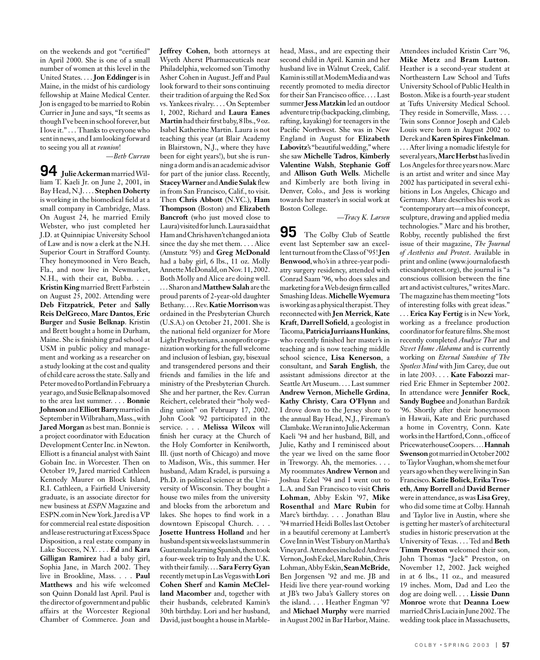on the weekends and got "certified" in April 2000. She is one of a small number of women at this level in the United States. . . . **Jon Eddinger** is in Maine, in the midst of his cardiology fellowship at Maine Medical Center. Jon is engaged to be married to Robin Currier in June and says, "It seems as though I've been in school forever, but I love it." . . . Thanks to everyone who sent in news, and I am looking forward to seeing you all at *reunion*!

*—Beth Curran*

**94 Julie Ackerman** married William T. Kaeli Jr. on June 2, 2001, in Bay Head, N.J. . . . **Stephen Doherty**  is working in the biomedical field at a small company in Cambridge, Mass. On August 24, he married Emily Webster, who just completed her J.D. at Quinnipiac University School of Law and is now a clerk at the N.H. Superior Court in Strafford County. They honeymooned in Vero Beach, Fla., and now live in Newmarket, N.H., with their cat, Bubba. . . . **Kristin King** married Brett Farbstein on August 25, 2002. Attending were **Deb Fitzpatrick**, **Peter** and **Sally Reis DelGreco**, **Marc Dantos**, **Eric Burger** and **Susie Belknap**. Kristin and Brett bought a home in Durham, Maine. She is finishing grad school at USM in public policy and management and working as a researcher on a study looking at the cost and quality of child care across the state. Sally and Peter moved to Portland in February a year ago, and Susie Belknap also moved to the area last summer. . . . **Bonnie Johnson** and **Elliott Barry** married in September in Wilbraham, Mass., with **Jared Morgan** as best man. Bonnie is a project coordinator with Education Development Center Inc. in Newton. Elliott is a financial analyst with Saint Gobain Inc. in Worcester. Then on October 19, Jared married Cathleen Kennedy Maurer on Block Island, R.I. Cathleen, a Fairfield University graduate, is an associate director for new business at *ESPN* Magazine and ESPN.com in New York. Jared is a VP for commercial real estate disposition and lease restructuring at Excess Space Disposition, a real estate company in Lake Success, N.Y. . . . **Ed** and **Kara Gilligan Ramirez** had a baby girl, Sophia Jane, in March 2002. They live in Brookline, Mass. . . . **Paul Matthews** and his wife welcomed son Quinn Donald last April. Paul is the director of government and public affairs at the Worcester Regional Chamber of Commerce. Joan and **Jeffrey Cohen**, both attorneys at Wyeth Aherst Pharmaceuticals near Philadelphia, welcomed son Timothy Asher Cohen in August. Jeff and Paul look forward to their sons continuing their tradition of arguing the Red Sox vs. Yankees rivalry. . . . On September 1, 2002, Richard and **Laura Eanes Martin** had their first baby, 8 lbs., 9 oz. Isabel Katherine Martin. Laura is not teaching this year (at Blair Academy in Blairstown, N.J., where they have been for eight years!), but she is running a dorm and is an academic advisor for part of the junior class. Recently, **Stacey Warner** and **Andie Sulak** flew in from San Francisco, Calif., to visit. Then **Chris Abbott** (N.YC.), **Ham Thompson** (Boston) and **Elizabeth Bancroft** (who just moved close to Laura) visited for lunch. Laura said that Ham and Chris haven't changed an iota since the day she met them. . . . Alice (Amstutz '95) and **Greg McDonald**  had a baby girl, 6 lbs., 11 oz. Molly Annette McDonald, on Nov. 11, 2002. Both Molly and Alice are doing well. . . . Sharon and **Matthew Salah** are the proud parents of 2-year-old daughter Bethany. . . . Rev. **Katie Morrison** was ordained in the Presbyterian Church (U.S.A.) on October 21, 2001. She is the national field organizer for More Light Presbyterians, a nonprofit organization working for the full welcome and inclusion of lesbian, gay, bisexual and transgendered persons and their friends and families in the life and ministry of the Presbyterian Church. She and her partner, the Rev. Curran Reichert, celebrated their "holy wedding union" on February 17, 2002. John Cook '92 participated in the service. . . . **Melissa Wilcox** will finish her curacy at the Church of the Holy Comforter in Kenilworth, Ill. (just north of Chicago) and move to Madison, Wis., this summer. Her husband, Adam Kradel, is pursuing a Ph.D. in political science at the University of Wisconsin. They bought a house two miles from the university and blocks from the arboretum and lakes. She hopes to find work in a downtown Episcopal Church. . . . **Josette Huntress Holland** and her husband spent six weeks last summer in Guatemala learning Spanish, then took a four-week trip to Italy and the U.K. with their family. . . . **Sara Ferry Gyan**  recently met up in Las Vegas with **Lori Cohen Sherf** and **Kamin McClelland Macomber** and, together with their husbands, celebrated Kamin's 30th birthday. Lori and her husband, David, just bought a house in Marblehead, Mass., and are expecting their second child in April. Kamin and her husband live in Walnut Creek, Calif. Kamin is still at ModemMedia and was recently promoted to media director for their San Francisco office. . . . Last summer **Jess Matzkin** led an outdoor adventure trip (backpacking, climbing, rafting, kayaking) for teenagers in the Pacific Northwest. She was in New England in August for **Elizabeth Labovitz**'s "beautiful wedding," where she saw **Michelle Tadros**, **Kimberly Valentine Walsh**, **Stephanie Goff**  and **Allison Guth Wells**. Michelle and Kimberly are both living in Denver, Colo., and Jess is working towards her master's in social work at Boston College.

*—Tracy K. Larsen*

**95** The Colby Club of Seattle event last September saw an excellent turnout from the Class of '95! **Jen Benwood**, who's in a three-year podiatry surgery residency, attended with Conrad Saam '96, who does sales and marketing for a Web design firm called Smashing Ideas. **Michelle Wyemura**  is working as a physical therapist. They reconnected with **Jen Merrick**, **Kate Kraft**, **Darrell Sofield**, a geologist in Tacoma, **Patricia Jurriaans Hunkins**, who recently finished her master's in teaching and is now teaching middle school science, **Lisa Kenerson**, a consultant, and **Sarah English**, the assistant admissions director at the Seattle Art Museum. . . . Last summer **Andrew Vernon**, **Michelle Grdina**, **Kathy Christy**, **Cara O'Flynn** and I drove down to the Jersey shore to the annual Bay Head, N.J., Fireman's Clambake. We ran into Julie Ackerman Kaeli '94 and her husband, Bill, and Julie, Kathy and I reminisced about the year we lived on the same floor in Treworgy. Ah, the memories. . . . My roommates **Andrew Vernon** and Joshua Eckel '94 and I went out to L.A. and San Francisco to visit **Chris Lohman**, Abby Eskin '97, **Mike Rosenthal** and **Marc Rubin** for Marc's birthday. . . . Jonathan Blau '94 married Heidi Bolles last October in a beautiful ceremony at Lambert's Cove Inn in West Tisbury on Martha's Vineyard. Attendees included Andrew Vernon, Josh Eckel, Marc Rubin, Chris Lohman, Abby Eskin, **Sean McBride**, Ben Jorgensen '92 and me. JB and Heidi live there year-round working at JB's two Jaba's Gallery stores on the island. . . . Heather Engman '97 and **Michael Murphy** were married in August 2002 in Bar Harbor, Maine.

**Mike Metz** and **Bram Lutton**. Heather is a second-year student at Northeastern Law School and Tufts University School of Public Health in Boston. Mike is a fourth-year student at Tufts University Medical School. They reside in Somerville, Mass. . . . Twin sons Connor Joseph and Caleb Louis were born in August 2002 to Derek and **Karen Spires Finkelman**. . . . After living a nomadic lifestyle for several years, **Marc Herbst** has lived in Los Angeles for three years now. Marc is an artist and writer and since May 2002 has participated in several exhibitions in Los Angeles, Chicago and Germany. Marc describes his work as "contemporary art—a mix of concept, sculpture, drawing and applied media technologies." Marc and his brother, Robby, recently published the first issue of their magazine, *The Journal of Aesthetics and Protest*. Available in print and online (www.journalofaesth eticsandprotest.org), the journal is "a conscious collision between the fine art and activist cultures," writes Marc. The magazine has them meeting "lots of interesting folks with great ideas." . . . **Erica Kay Fertig** is in New York,

Attendees included Kristin Carr '96,

working as a freelance production coordinator for feature films. She most recently completed *Analyze That* and *Sweet Home Alabama* and is currently working on *Eternal Sunshine of The Spotless Mind* with Jim Carey, due out in late 2003. . . . **Kate Fabozzi** married Eric Ehmer in September 2002. In attendance were **Jennifer Rock**, **Sandy Bugbee** and Jonathan Bardzik '96. Shortly after their honeymoon in Hawaii, Kate and Eric purchased a home in Coventry, Conn. Kate works in the Hartford, Conn., office of PricewaterhouseCoopers. . . . **Hannah Swenson** got married in October 2002 to Taylor Vaughan, whom she met four years ago when they were living in San Francisco. **Katie Bolick**, **Erika Troseth**, **Amy Borrell** and **David Berner**  were in attendance, as was **Lisa Grey**, who did some time at Colby. Hannah and Taylor live in Austin, where she is getting her master's of architectural studies in historic preservation at the University of Texas. . . . Ted and **Beth Timm Preston** welcomed their son, John Thomas "Jack" Preston, on November 12, 2002. Jack weighed in at 6 lbs., 11 oz., and measured 19 inches. Mom, Dad and Leo the dog are doing well. . . . **Lissie Dunn Monroe** wrote that **Deanna Loew**  married Chris Lucia in June 2002. The wedding took place in Massachusetts,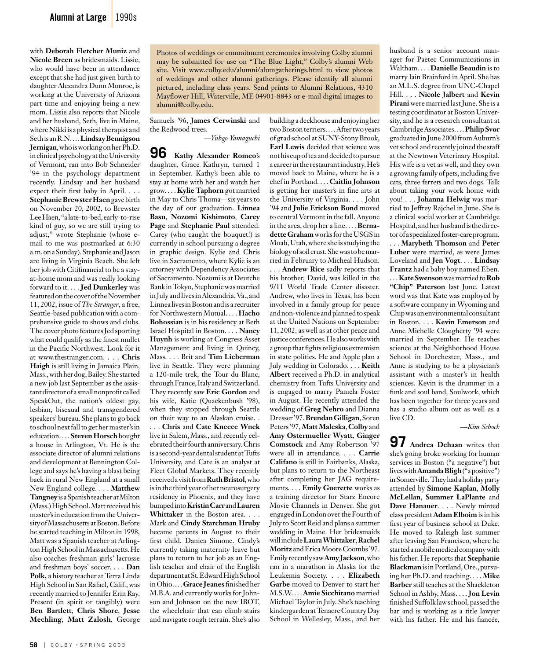with **Deborah Fletcher Muniz** and **Nicole Breen** as bridesmaids. Lissie, who would have been in attendance except that she had just given birth to daughter Alexandra Dunn Monroe, is working at the University of Arizona part time and enjoying being a new mom. Lissie also reports that Nicole and her husband, Seth, live in Maine, where Nikki is a physical therapist and Seth is an R.N. . . . **Lindsay Bennigson Jernigan**, who is working on her Ph.D. in clinical psychology at the University of Vermont, ran into Bob Schneider '94 in the psychology department recently. Lindsay and her husband expect their first baby in April. . . . **Stephanie Brewster Haen** gave birth on November 20, 2002, to Brewster Lee Haen, "a late-to-bed, early-to-rise kind of guy, so we are still trying to adjust," wrote Stephanie (whose email to me was postmarked at 6:30 a.m. on a Sunday). Stephanie and Jason are living in Virginia Beach. She left her job with Citifinancial to be a stayat-home mom and was really looking forward to it. . . . **Jed Dunkerley** was featured on the cover of the November 11, 2002, issue of *The Stranger*, a free, Seattle-based publication with a comprehensive guide to shows and clubs. The cover photo features Jed sporting what could qualify as the finest mullet in the Pacific Northwest. Look for it at www.thestranger.com. . . . **Chris Haigh** is still living in Jamaica Plain, Mass., with her dog, Bailey. She started a new job last September as the assistant director of a small nonprofit called SpeakOut, the nation's oldest gay, lesbian, bisexual and transgendered speakers' bureau. She plans to go back to school next fall to get her master's in education. . . . **Steven Horsch** bought a house in Arlington, Vt. He is the associate director of alumni relations and development at Bennington College and says he's having a blast being back in rural New England at a small New England college. . . . **Matthew Tangney** is a Spanish teacher at Milton (Mass.) High School. Matt received his master's in education from the University of Massachusetts at Boston. Before he started teaching in Milton in 1998, Matt was a Spanish teacher at Arlington High School in Massachusetts. He also coaches freshman girls' lacrosse and freshman boys' soccer. . . . **Dan Polk,** a history teacher at Terra Linda High School in San Rafael, Calif., was recently married to Jennifer Erin Ray. Present (in spirit or tangibly) were **Ben Bartlett**, **Chris Shore**, **Jesse Mechling**, **Matt Zalosh**, George

Photos of weddings or commitment ceremonies involving Colby alumni may be submitted for use on "The Blue Light," Colby's alumni Web site. Visit www.colby.edu/alumni/alumgatherings.html to view photos of weddings and other alumni gatherings. Please identify all alumni pictured, including class years. Send prints to Alumni Relations, 4310 Mayflower Hill, Waterville, ME 04901-8843 or e-mail digital images to alumni@colby.edu.

Samuels '96, **James Cerwinski** and the Redwood trees.

*—Yuhgo Yamaguchi*

**96 Kathy Alexander Romeo**'s daughter, Grace Kathryn, turned 1 in September. Kathy's been able to stay at home with her and watch her grow. . . . **Kylie Taphorn** got married in May to Chris Thoma—six years to the day of our graduation. **Linnea Basu**, **Nozomi Kishimoto**, **Carey Page** and **Stephanie Paul** attended. Carey (who caught the bouquet!) is currently in school pursuing a degree in graphic design. Kylie and Chris live in Sacramento, where Kylie is an attorney with Dependency Associates of Sacramento. Nozomi is at Deutche Bank in Tokyo, Stephanie was married in July and lives in Alexandria, Va., and Linnea lives in Boston and is a recruiter for Northwestern Mutual. . . . **Hacho Bohossian** is in his residency at Beth Israel Hospital in Boston. . . . **Nancy Huynh** is working at Congress Asset Management and living in Quincy, Mass. . . . Brit and **Tim Lieberman**  live in Seattle. They were planning a 120-mile trek, the Tour du Blanc, through France, Italy and Switzerland. They recently saw **Eric Gordon** and his wife, Katie (Quackenbush '98), when they stopped through Seattle on their way to an Alaskan cruise. .

. . . **Chris** and **Cate Kneece Wnek**  live in Salem, Mass., and recently celebrated their fourth anniversary. Chris is a second-year dental student at Tufts University, and Cate is an analyst at Fleet Global Markets. They recently received a visit from **Ruth Bristol**, who is in the third year of her neurosurgery residency in Phoenix, and they have bumped into **Kristin Carr** and **Lauren Whittaker** in the Boston area. . . . Mark and **Cindy Starchman Hruby**  became parents in August to their first child, Danica Simone. Cindy's currently taking maternity leave but plans to return to her job as an English teacher and chair of the English department at St. Edward High School in Ohio. . . . **Grace Jeanes** finished her M.B.A. and currently works for Johnson and Johnson on the new IBOT, the wheelchair that can climb stairs and navigate rough terrain. She's also building a deckhouse and enjoying her two Boston terriers. . . . After two years of grad school at SUNY-Stony Brook, **Earl Lewis** decided that science was not his cup of tea and decided to pursue a career in the restaurant industry. He's moved back to Maine, where he is a chef in Portland. . . . **Caitlin Johnson**  is getting her master's in fine arts at the University of Virginia. . . . John '94 and **Julie Erickson Bond** moved to central Vermont in the fall. Anyone in the area, drop her a line. . . . **Bernadette Graham** works for the USGS in Moab, Utah, where she is studying the biology of soil crust. She was to be married in February to Micheal Hudson. . . . **Andrew Rice** sadly reports that his brother, David, was killed in the 9/11 World Trade Center disaster. Andrew, who lives in Texas, has been involved in a family group for peace and non-violence and planned to speak at the United Nations on September 11, 2002, as well as at other peace and justice conferences. He also works with a group that fights religious extremism in state politics. He and Apple plan a July wedding in Colorado. . . . **Keith Albert** received a Ph.D. in analytical chemistry from Tufts University and is engaged to marry Pamela Foster in August. He recently attended the wedding of **Greg Nehro** and Dianna Dresser '97. **Brendan Gilligan**, Soren Peters '97, **Matt Maleska**, **Colby** and **Amy Ostermueller Wyatt**, **Ginger Comstock** and Amy Robertson '97 were all in attendance. . . . **Carrie Califano** is still in Fairbanks, Alaska, but plans to return to the Northeast after completing her JAG requirements. . . . **Emily Guerette** works as a training director for Starz Encore Movie Channels in Denver. She got engaged in London over the Fourth of July to Scott Reid and plans a summer wedding in Maine. Her bridesmaids will include **Laura Whittaker**, **Rachel Moritz** and Erica Moore Coombs '97. Emily recently saw **Amy Jackson**, who ran in a marathon in Alaska for the Leukemia Society. . . . **Elizabeth Garbe** moved to Denver to start her M.S.W. . . . **Amie Sicchitano** married Michael Taylor in July. She's teaching kindergarden at Tenacre Country Day School in Wellesley, Mass., and her

husband is a senior account manager for Paetec Communications in Waltham. . . . **Danielle Beaudin** is to marry Iain Brainford in April. She has an M.L.S. degree from UNC-Chapel Hill. . . . **Nicole Jalbert** and **Kevin Pirani** were married last June. She is a testing coordinator at Boston University, and he is a research consultant at Cambridge Associates. . . . **Philip Svor**  graduated in June 2000 from Auburn's vet school and recently joined the staff at the Newtown Veterinary Hospital. His wife is a vet as well, and they own a growing family of pets, including five cats, three ferrets and two dogs. Talk about taking your work home with you! . . . **Johanna Helwig** was married to Jeffrey Rajchel in June. She is a clinical social worker at Cambridge Hospital, and her husband is the director of a specialized foster-care program. . . . **Marybeth Thomson** and **Peter**  Luber were married, as were James Loveland and **Jen Vogt**. . . . **Lindsay Frantz** had a baby boy named Eben. . . . **Kate Swenson** was married to **Rob "Chip" Paterson** last June. Latest word was that Kate was employed by a software company in Wyoming and Chip was an environmental consultant in Boston. . . . **Kevin Emerson** and Anne Michelle Clougherty '94 were married in September. He teaches science at the Neighborhood House School in Dorchester, Mass., and Anne is studying to be a physician's assistant with a master's in health sciences. Kevin is the drummer in a funk and soul band, Soulwork, which has been together for three years and has a studio album out as well as a live CD.

—*Kim Schock*

**97 Andrea Dehaan** writes that she's going broke working for human services in Boston ("a negative") but lives with **Amanda Bligh** ("a positive") in Somerville. They had a holiday party attended by **Simone Kaplan**, **Molly McLellan**, **Summer LaPlante** and **Dave Hanauer**. . . . Newly minted class president **Adam Elboim** is in his first year of business school at Duke. He moved to Raleigh last summer after leaving San Francisco, where he started a mobile medical company with his father. He reports that **Stephanie Blackman** is in Portland, Ore., pursuing her Ph.D. and teaching. . . . **Mike Barber** still teaches at the Shackleton School in Ashby, Mass. . . . **Jon Levin**  finished Suffolk law school, passed the bar and is working as a title lawyer with his father. He and his fiancée,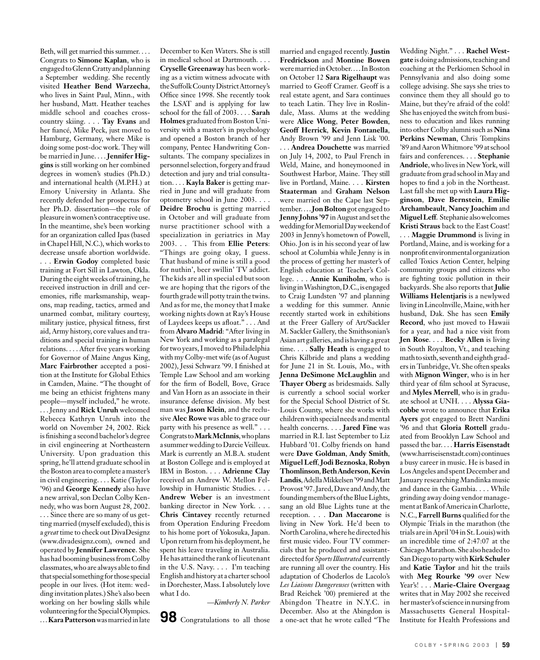Beth, will get married this summer. . . . Congrats to **Simone Kaplan**, who is engaged to Glenn Cratty and planning a September wedding. She recently visited **Heather Bend Warzecha**, who lives in Saint Paul, Minn., with her husband, Matt. Heather teaches middle school and coaches crosscountry skiing. . . . **Tay Evans** and her fiancé, Mike Peck, just moved to Hamburg, Germany, where Mike is doing some post-doc work. They will be married in June. . . . **Jennifer Higgins** is still working on her combined degrees in women's studies (Ph.D.) and international health (M.P.H.) at Emory University in Atlanta. She recently defended her prospectus for her Ph.D. dissertation—the role of pleasure in women's contraceptive use. In the meantime, she's been working for an organization called Ipas (based in Chapel Hill, N.C.), which works to decrease unsafe abortion worldwide. . . . **Erwin Godoy** completed basic training at Fort Sill in Lawton, Okla. During the eight weeks of training, he received instruction in drill and ceremonies, rifle marksmanship, weapons, map reading, tactics, armed and unarmed combat, military courtesy, military justice, physical fitness, first aid, Army history, core values and traditions and special training in human relations. . . . After five years working for Governor of Maine Angus King, **Marc Fairbrother** accepted a position at the Institute for Global Ethics in Camden, Maine. "The thought of me being an ethicist frightens many people—myself included," he wrote. . . . Jenny and **Rick Unruh** welcomed Rebecca Kathryn Unruh into the world on November 24, 2002. Rick is finishing a second bachelor's degree in civil engineering at Northeastern University. Upon graduation this spring, he'll attend graduate school in the Boston area to complete a master's in civil engineering. . . . Katie (Taylor '96) and **George Kennedy** also have a new arrival, son Declan Colby Kennedy, who was born August 28, 2002. . . . Since there are so many of us getting married (myself excluded), this is a *great* time to check out DivaDesignz (www.divadesignz.com), owned and operated by **Jennifer Lawrence**. She has had booming business from Colby classmates, who are always able to find that special something for those special people in our lives. (Hot item: wedding invitation plates.) She's also been working on her bowling skills while volunteering for the Special Olympics. . . . **Kara Patterson** was married in late December to Ken Waters. She is still in medical school at Dartmouth. . . . **Cryselle Greenaway** has been working as a victim witness advocate with the Suffolk County District Attorney's Office since 1998. She recently took the LSAT and is applying for law school for the fall of 2003. . . . **Sarah Holmes** graduated from Boston University with a master's in psychology and opened a Boston branch of her company, Pentec Handwriting Consultants. The company specializes in personnel selection, forgery and fraud detection and jury and trial consultation. . . . **Kayla Baker** is getting married in June and will graduate from optometry school in June 2003. . . . **Deidre Brochu** is getting married in October and will graduate from nurse practitioner school with a specialization in geriatrics in May 2003. . . This from **Ellie Peters**: "Things are going okay, I guess. That husband of mine is still a good for nuthin', beer swillin' TV addict. The kids are all in special ed but soon we are hoping that the rigors of the fourth grade will potty train the twins. And as for me, the money that I make working nights down at Ray's House of Laydees keeps us afloat." . . . And from **Alvaro Madrid**: "After living in New York and working as a paralegal for two years, I moved to Philadelphia with my Colby-met wife (as of August 2002), Jessi Schwarz '99. I finished at Temple Law School and am working for the firm of Bodell, Bove, Grace and Van Horn as an associate in their insurance defense division. My best man was **Jason Klein**, and the reclusive **Alec Rowe** was able to grace our party with his presence as well." . . . Congrats to **Mark McInnis**, who plans a summer wedding to Darcie Veilleux. Mark is currently an M.B.A. student at Boston College and is employed at IBM in Boston. . . . **Adrienne Clay** received an Andrew W. Mellon Fellowship in Humanistic Studies. . . . **Andrew Weber** is an investment banking director in New York. . . . **Chris Cintavey** recently returned from Operation Enduring Freedom to his home port of Yokosuka, Japan. Upon return from his deployment, he spent his leave traveling in Australia. He has attained the rank of lieutenant in the U.S. Navy. . . . I'm teaching English and history at a charter school in Dorchester, Mass. I absolutely love what I do.

*—Kimberly N. Parker*

**98** Congratulations to all those

married and engaged recently. **Justin Fredrickson** and **Montine Bowen** were married in October. . . . In Boston on October 12 **Sara Rigelhaupt** was married to Geoff Cramer. Geoff is a real estate agent, and Sara continues to teach Latin. They live in Roslindale, Mass. Alums at the wedding were **Alice Wong**, **Peter Bowden**, **Geoff Herrick**, **Kevin Fontanella**, Andy Brown '99 and Jenn Lisk '00. . . . **Andrea Douchette** was married on July 14, 2002, to Paul French in Weld, Maine, and honeymooned in Southwest Harbor, Maine. They still live in Portland, Maine. . . . **Kirsten Staaterman** and **Graham Nelson**  were married on the Cape last September. . . . **Jon Bolton**got engaged to **Jenny Johns '97** in August and set the wedding for Memorial Day weekend of 2003 in Jenny's hometown of Powell, Ohio. Jon is in his second year of law school at Columbia while Jenny is in the process of getting her master's of English education at Teacher's College. . . . **Annie Kuniholm**, who is living in Washington, D.C., is engaged to Craig Lundsten '97 and planning a wedding for this summer. Annie recently started work in exhibitions at the Freer Gallery of Art/Sackler M. Sackler Gallery, the Smithsonian's Asian art galleries, and is having a great time. . . . **Sally Heath** is engaged to Chris Kilbride and plans a wedding for June 21 in St. Louis, Mo., with **Jenna DeSimone McLaughlin** and **Thayer Oberg** as bridesmaids. Sally is currently a school social worker for the Special School District of St. Louis County, where she works with children with special needs and mental health concerns. . . . **Jared Fine** was married in R.I. last September to Liz Hubbard '01. Colby friends on hand were **Dave Goldman**, **Andy Smith**, **Miguel Leff**, **Jodi Beznoska**, **Robyn Thomlinson**, **Beth Anderson**, **Kevin Landis**, Adella Mikkelsen '99 and Matt Provost '97. Jared, Dave and Andy, the founding members of the Blue Lights, sang an old Blue Lights tune at the reception. . . . **Dan Maccarone** is living in New York. He'd been to North Carolina, where he directed his first music video. Four TV commercials that he produced and assistantdirected for *Sports Illustrated* currently are running all over the country. His adaptation of Choderlos de Lacolo's *Les Liaisons Dangereuses* (written with Brad Reichek '00) premiered at the Abingdon Theatre in N.Y.C. in December. Also at the Abingdon is a one-act that he wrote called "The

Wedding Night." . . . **Rachel Westgate** is doing admissions, teaching and coaching at the Perkiomen School in Pennsylvania and also doing some college advising. She says she tries to convince them they all should go to Maine, but they're afraid of the cold! She has enjoyed the switch from business to education and likes running into other Colby alumni such as **Nina Perkins Newman**, Chris Tompkins '89 and Aaron Whitmore '99 at school fairs and conferences. . . . **Stephanie Andriole**, who lives in New York, will graduate from grad school in May and hopes to find a job in the Northeast. Last fall she met up with **Laura Higginson**, **Dave Bernstein**, **Emilie Archambeault**, **Nancy Joachim** and **Miguel Leff**.Stephanie also welcomes **Kristi Straus** back to the East Coast! . . . **Maggie Drummond** is living in Portland, Maine, and is working for a nonprofit environmental organization called Toxics Action Center, helping community groups and citizens who are fighting toxic pollution in their backyards. She also reports that **Julie Williams Helentjaris** is a newlywed living in Lincolnville, Maine, with her husband, Dak. She has seen **Emily Record**, who just moved to Hawaii for a year, and had a nice visit from **Jen Rose**. . . . **Becky Allen** is living in South Royalton, Vt., and teaching math to sixth, seventh and eighth graders in Tunbridge, Vt. She often speaks with **Mignon Winger**, who is in her third year of film school at Syracuse, and **Myles Merrell**, who is in graduate school at UNH. . . . **Alyssa Giacobbe** wrote to announce that **Erika Ayers** got engaged to Brett Nardini '96 and that **Gloria Rottell** graduated from Brooklyn Law School and passed the bar. . . . **Harris Eisenstadt**  (www.harriseisenstadt.com) continues a busy career in music. He is based in Los Angeles and spent December and January researching Mandinka music and dance in the Gambia. . . . While grinding away doing vendor management at Bank of America in Charlotte, N.C., **Farrell Burns** qualified for the Olympic Trials in the marathon (the trials are in April '04 in St. Louis) with an incredible time of 2:47:07 at the Chicago Marathon. She also headed to San Diego to party with **Kirk Schuler** and **Katie Taylor** and hit the trails with **Meg Rourke '99** over New Year's! . . . **Marie-Claire Overgaag** writes that in May 2002 she received her master's of science in nursing from Massachusetts General Hospital-Institute for Health Professions and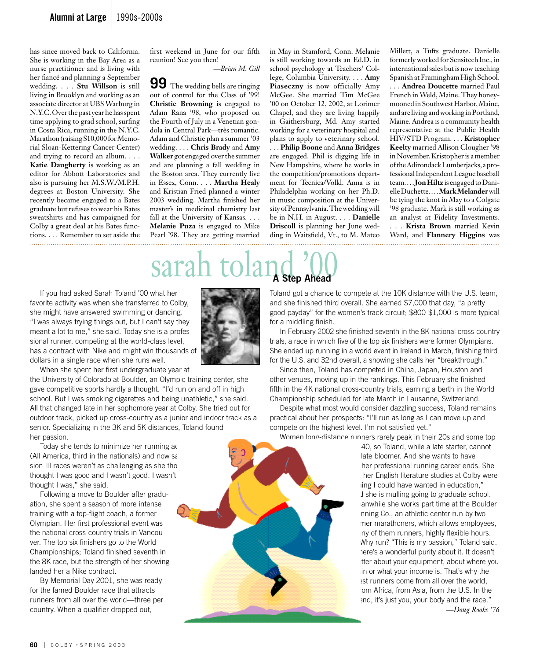has since moved back to California. She is working in the Bay Area as a nurse practitioner and is living with her fiancé and planning a September wedding. . . . **Stu Willson** is still living in Brooklyn and working as an associate director at UBS Warburg in N.Y.C. Over the past year he has spent time applying to grad school, surfing in Costa Rica, running in the N.Y.C. Marathon (raising \$10,000 for Memorial Sloan-Kettering Cancer Center) and trying to record an album. . . . **Katie Daugherty** is working as an editor for Abbott Laboratories and also is pursuing her M.S.W./M.P.H. degrees at Boston University. She recently became engaged to a Bates graduate but refuses to wear his Bates sweatshirts and has campaigned for Colby a great deal at his Bates functions. . . . Remember to set aside the first weekend in June for our fifth reunion! See you then! *—Brian M. Gill*

**99** The wedding bells are ringing out of control for the Class of '99! **Christie Browning** is engaged to Adam Rana '98, who proposed on the Fourth of July in a Venetian gondola in Central Park—très romantic. Adam and Christie plan a summer '03 wedding. . . . **Chris Brady** and **Amy Walker** got engaged over the summer and are planning a fall wedding in the Boston area. They currently live in Essex, Conn. . . . **Martha Healy** and Kristian Fried planned a winter 2003 wedding. Martha finished her master's in medicinal chemistry last fall at the University of Kansas. . . . **Melanie Puza** is engaged to Mike Pearl '98. They are getting married in May in Stamford, Conn. Melanie is still working towards an Ed.D. in school psychology at Teachers' College, Columbia University. . . . **Amy Piaseczny** is now officially Amy McGee. She married Tim McGee '00 on October 12, 2002, at Lorimer Chapel, and they are living happily in Gaithersburg, Md. Amy started working for a veterinary hospital and plans to apply to veterinary school. . . . **Philip Boone** and **Anna Bridges** are engaged. Phil is digging life in New Hampshire, where he works in the competition/promotions department for Tecnica/Volkl. Anna is in Philadelphia working on her Ph.D. in music composition at the University of Pennsylvania. The wedding will be in N.H. in August. . . . **Danielle Driscoll** is planning her June wedding in Waitsfield, Vt., to M. Mateo

Millett, a Tufts graduate. Danielle formerly worked for Sensitech Inc., in international sales but is now teaching Spanish at Framingham High School. . . . **Andrea Doucette** married Paul French in Weld, Maine. They honeymooned in Southwest Harbor, Maine, and are living and working in Portland, Maine. Andrea is a community health representative at the Public Health HIV/STD Program. . . . **Kristopher Keelty** married Allison Clougher '98 in November. Kristopher is a member of the Adirondack Lumberjacks, a professional Independent League baseball team. . . . **Jon Hiltz** is engaged to Danielle Duchette. . . . **Mark Melander** will be tying the knot in May to a Colgate '98 graduate. Mark is still working as an analyst at Fidelity Investments. . . . **Krista Brown** married Kevin Ward, and **Flannery Higgins** was 

## sarah toland (*Q*)

 If you had asked Sarah Toland '00 what her favorite activity was when she transferred to Colby, she might have answered swimming or dancing. "I was always trying things out, but I can't say they meant a lot to me," she said. Today she is a professional runner, competing at the world-class level, has a contract with Nike and might win thousands of dollars in a single race when she runs well.

When she spent her first undergraduate year at

the University of Colorado at Boulder, an Olympic training center, she gave competitive sports hardly a thought. "I'd run on and off in high school. But I was smoking cigarettes and being unathletic," she said. All that changed late in her sophomore year at Colby. She tried out for outdoor track, picked up cross-country as a junior and indoor track as a senior. Specializing in the 3K and 5K distances, Toland found her passion.

Today she tends to minimize her running achievem (All America, third in the nationals) and now say sion III races weren't as challenging as she tho thought I was good and I wasn't good. I wasn't thought I was," she said.

 Following a move to Boulder after graduation, she spent a season of more intense training with a top-flight coach, a former Olympian. Her first professional event was the national cross-country trials in Vancouver. The top six finishers go to the World Championships; Toland finished seventh in the 8K race, but the strength of her showing landed her a Nike contract.

 By Memorial Day 2001, she was ready for the famed Boulder race that attracts runners from all over the world—three per country. When a qualifier dropped out,



Toland got a chance to compete at the 10K distance with the U.S. team, and she finished third overall. She earned \$7,000 that day, "a pretty good payday" for the women's track circuit; \$800-\$1,000 is more typical for a middling finish.

 In February 2002 she finished seventh in the 8K national cross-country trials, a race in which five of the top six finishers were former Olympians. She ended up running in a world event in Ireland in March, finishing third for the U.S. and 32nd overall, a showing she calls her "breakthrough."

 Since then, Toland has competed in China, Japan, Houston and other venues, moving up in the rankings. This February she finished fifth in the 4K national cross-country trials, earning a berth in the World Championship scheduled for late March in Lausanne, Switzerland.

 Despite what most would consider dazzling success, Toland remains practical about her prospects: "I'll run as long as I can move up and compete on the highest level. I'm not satisfied yet."

 Women long-distance runners rarely peak in their 20s and some top 40, so Toland, while a late starter, cannot late bloomer. And she wants to have

her professional running career ends. She her English literature studies at Colby were ling I could have wanted in education," I she is mulling going to graduate school. anwhile she works part time at the Boulder nning Co., an athletic center run by two ner marathoners, which allows employees, ny of them runners, highly flexible hours. Why run? "This is my passion," Toland said. ere's a wonderful purity about it. It doesn't tter about your equipment, about where you in or what your income is. That's why the est runners come from all over the world, om Africa, from Asia, from the U.S. In the end, it's just you, your body and the race."

*—Doug Rooks '76*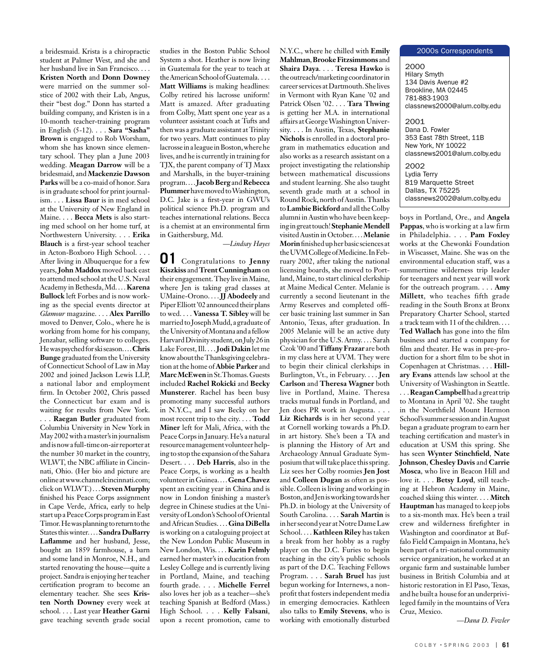a bridesmaid. Krista is a chiropractic student at Palmer West, and she and her husband live in San Francisco. . . . **Kristen North** and **Donn Downey**  were married on the summer solstice of 2002 with their Lab, Angus, their "best dog." Donn has started a building company, and Kristen is in a 10-month teacher-training program in English (5-12). . . . **Sara "Sasha" Brown** is engaged to Rob Worsham, whom she has known since elementary school. They plan a June 2003 wedding. **Meagan Darrow** will be a bridesmaid, and **Mackenzie Dawson Parks** will be a co-maid of honor. Sara is in graduate school for print journalism. . . . **Lissa Baur** is in med school at the University of New England in Maine. . . . **Becca Mets** is also starting med school on her home turf, at Northwestern University. . . . **Erika Blauch** is a first-year school teacher in Acton-Boxboro High School. . . . After living in Albuquerque for a few years, **John Maddox** moved back east to attend med school at the U.S. Naval Academy in Bethesda, Md. . . . **Karena Bullock** left Forbes and is now working as the special events director at *Glamour* magazine. . . . **Alex Parrillo**  moved to Denver, Colo., where he is working from home for his company, Jenzabar, selling software to colleges. He was psyched for ski season. . . . **Chris Bunge** graduated from the University of Connecticut School of Law in May 2002 and joined Jackson Lewis LLP, a national labor and employment firm. In October 2002, Chris passed the Connecticut bar exam and is waiting for results from New York. . . . **Raegan Butler** graduated from Columbia University in New York in May 2002 with a master's in journalism and is now a full-time on-air reporter at the number 30 market in the country, WLWT, the NBC affiliate in Cincinnati, Ohio. (Her bio and picture are online at www.channelcincinnati.com; click on WLWT.) . . . **Steven Murphy** finished his Peace Corps assignment in Cape Verde, Africa, early to help start up a Peace Corps program in East Timor. He was planning to return to the States this winter. . . . **Sandra DuBarry Laflamme** and her husband, Jesse, bought an 1859 farmhouse, a barn and some land in Monroe, N.H., and started renovating the house—quite a project. Sandra is enjoying her teacher certification program to become an elementary teacher. She sees **Kris-**

**ten North Downey** every week at school. . . . Last year **Heather Garni** gave teaching seventh grade social

studies in the Boston Public School System a shot. Heather is now living in Guatemala for the year to teach at the American School of Guatemala. . . . **Matt Williams** is making headlines: Colby retired his lacrosse uniform! Matt is amazed. After graduating from Colby, Matt spent one year as a volunteer assistant coach at Tufts and then was a graduate assistant at Trinity for two years. Matt continues to play lacrosse in a league in Boston, where he lives, and he is currently in training for TJX, the parent company of TJ Maxx and Marshalls, in the buyer-training program. . . . **Jacob Berg** and **Rebecca Plummer** have moved to Washington, D.C. Jake is a first-year in GWU's political science Ph.D. program and teaches international relations. Becca is a chemist at an environmental firm in Gaithersburg, Md.

*—Lindsay Hayes*

**01** Congratulations to **Jenny Kiszkiss** and **Trent Cunningham** on their engagement. They live in Maine, where Jen is taking grad classes at UMaine-Orono. . . . **JJ Abodeely** and Piper Elliott '02 announced their plans to wed. . . . **Vanessa T. Sibley** will be married to Joseph Mudd, a graduate of the University of Montana and a fellow Harvard Divinity student, on July 26 in Lake Forest, Ill. . . . **Jodi Dakin** let me know about the Thanksgiving celebration at the home of **Abbie Parker** and **Marc McEwen** in St.Thomas. Guests included **Rachel Rokicki** and **Becky Munsterer**. Rachel has been busy promoting many successful authors in N.Y.C., and I saw Becky on her most recent trip to the city. . . . **Todd Miner** left for Mali, Africa, with the Peace Corps in January. He's a natural resource management volunteer helping to stop the expansion of the Sahara Desert. . . . **Deb Harris**, also in the Peace Corps, is working as a health volunteer in Guinea. . . . **Gena Chavez** spent an exciting year in China and is now in London finishing a master's degree in Chinese studies at the University of London's School of Oriental and African Studies. . . . **Gina DiBella** is working on a cataloguing project at the New London Public Museum in New London, Wis. . . . **Karin Felmly** earned her master's in education from Lesley College and is currently living in Portland, Maine, and teaching fourth grade. . . . **Michelle Ferrel** also loves her job as a teacher—she's teaching Spanish at Bedford (Mass.) High School. . . . **Kelly Falsani**, upon a recent promotion, came to

N.Y.C., where he chilled with **Emily Mahlman**, **Brooke Fitzsimmons** and **Shaira Daya**. . . . **Teresa Hawko** is the outreach/marketing coordinator in career services at Dartmouth. She lives in Vermont with Ryan Kane '02 and Patrick Olsen '02. . . . **Tara Thwing**  is getting her M.A. in international affairs at George Washington University. . . . In Austin, Texas, **Stephanie Nichols** is enrolled in a doctoral program in mathematics education and also works as a research assistant on a project investigating the relationship between mathematical discussions and student learning. She also taught seventh grade math at a school in Round Rock, north of Austin. Thanks to **Lambie Bickford** and all the Colby alumni in Austin who have been keeping in great touch! **Stephanie Mendell** visited Austin in October. . . . **Melanie Morin**finished up her basic sciences at the UVM College of Medicine. In February 2002, after taking the national licensing boards, she moved to Portland, Maine, to start clinical clerkship at Maine Medical Center. Melanie is currently a second lieutenant in the Army Reserves and completed officer basic training last summer in San Antonio, Texas, after graduation. In 2005 Melanie will be an active duty physician for the U.S. Army. . . . Sarah Czok '00 and **Tiffany Frazar** are both in my class here at UVM. They were to begin their clinical clerkships in Burlington, Vt., in February. . . . **Jen Carlson** and **Theresa Wagner** both live in Portland, Maine. Theresa tracks mutual funds in Portland, and Jen does PR work in Augusta. . . . **Liz Richards** is in her second year at Cornell working towards a Ph.D. in art history. She's been a TA and is planning the History of Art and Archaeology Annual Graduate Symposium that will take place this spring. Liz sees her Colby roomies **Jen Jost** and **Colleen Dugan** as often as possible. Colleen is living and working in Boston, and Jen is working towards her Ph.D. in biology at the University of South Carolina. . . . **Sarah Martin** is in her second year at Notre Dame Law School. . . . **Kathleen Riley** has taken a break from her hobby as a rugby player on the D.C. Furies to begin teaching in the city's public schools as part of the D.C. Teaching Fellows Program. . . . **Sarah Bruel** has just begun working for Internews, a nonprofit that fosters independent media in emerging democracies. Kathleen also talks to **Emily Stevens**, who is working with emotionally disturbed

#### 2000s Correspondents

2000 Hilary Smyth 134 Davis Avenue #2 Brookline, MA 02445 781-883-1903 classnews2000@alum.colby.edu

2001 Dana D. Fowler 353 East 78th Street, 11B New York, NY 10022 classnews2001@alum.colby.edu 2002

Lydia Terry 819 Marquette Street Dallas, TX 75225 classnews2002@alum.colby.edu

boys in Portland, Ore., and **Angela Pappas**, who is working at a law firm in Philadelphia. . . . **Pam Foxley** works at the Chewonki Foundation in Wiscasset, Maine. She was on the environmental education staff, was a summertime wilderness trip leader for teenagers and next year will work for the outreach program. . . . **Amy Millett**, who teaches fifth grade reading in the South Bronx at Bronx Preparatory Charter School, started a track team with 11 of the children. . . . **Ted Wallach** has gone into the film business and started a company for film and theater. He was in pre-production for a short film to be shot in Copenhagen at Christmas. . . . **Hillary Evans** attends law school at the University of Washington in Seattle. . . . **Reagan Campbell** had a great trip to Montana in April '02. She taught in the Northfield Mount Hermon School's summer session and in August began a graduate program to earn her teaching certification and master's in education at USM this spring. She has seen **Wynter Stinchfield**, **Nate Johnson**, **Chesley Davis** and **Carrie Mosca**, who live in Beacon Hill and love it. . . . **Betsy Loyd**, still teaching at Hebron Academy in Maine, coached skiing this winter. . . . **Mitch Hauptman** has managed to keep jobs to a six-month max. He's been a trail crew and wilderness firefighter in Washington and coordinator at Buffalo Field Campaign in Montana, he's been part of a tri-national community service organization, he worked at an organic farm and sustainable lumber business in British Columbia and at historic restoration in El Paso, Texas, and he built a house for an underprivileged family in the mountains of Vera Cruz, Mexico.

*—Dana D. Fowler*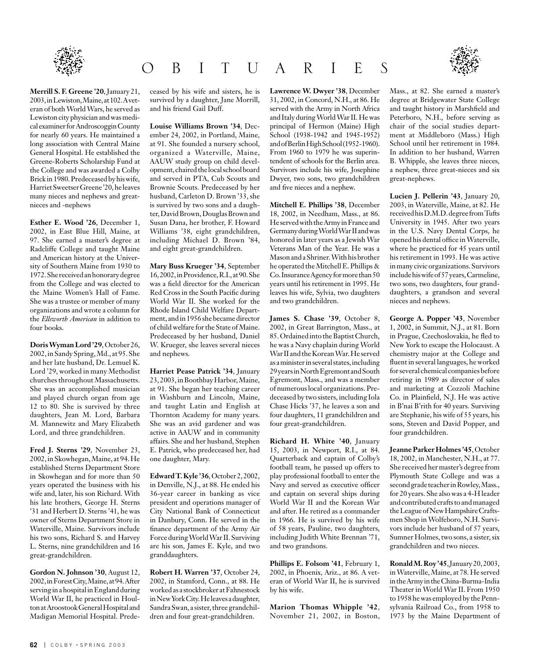

**Merrill S. F. Greene '20**, January 21, 2003, in Lewiston, Maine, at 102. A veteran of both World Wars, he served as Lewiston city physician and was medical examiner for Androscoggin County for nearly 60 years. He maintained a long association with Central Maine General Hospital. He established the Greene-Roberts Scholarship Fund at the College and was awarded a Colby Brick in 1980. Predeceased by his wife, Harriet Sweetser Greene '20, he leaves many nieces and nephews and greatnieces and -nephews

**Esther E. Wood '26**, December 1, 2002, in East Blue Hill, Maine, at 97. She earned a master's degree at Radcliffe College and taught Maine and American history at the University of Southern Maine from 1930 to 1972. She received an honorary degree from the College and was elected to the Maine Women's Hall of Fame. She was a trustee or member of many organizations and wrote a column for the *Ellsworth American* in addition to four books.

**Doris Wyman Lord '29**, October 26, 2002, in Sandy Spring, Md., at 95. She and her late husband, Dr. Lemuel K. Lord '29, worked in many Methodist churches throughout Massachusetts. She was an accomplished musician and played church organ from age 12 to 80. She is survived by three daughters, Jean M. Lord, Barbara M. Mannewitz and Mary Elizabeth Lord, and three grandchildren.

**Fred J. Sterns '29**, November 23, 2002, in Skowhegan, Maine, at 94. He established Sterns Department Store in Skowhegan and for more than 50 years operated the business with his wife and, later, his son Richard. With his late brothers, George H. Sterns '31 and Herbert D. Sterns '41, he was owner of Sterns Department Store in Waterville, Maine. Survivors include his two sons, Richard S. and Harvey L. Sterns, nine grandchildren and 16 great-grandchildren.

**Gordon N. Johnson '30**, August 12, 2002, in Forest City, Maine, at 94. After serving in a hospital in England during World War II, he practiced in Houlton at Aroostook General Hospital and Madigan Memorial Hospital. Prede-

**62** | COLBY • SPRING 2003

ceased by his wife and sisters, he is survived by a daughter, Jane Morrill, and his friend Gail Duff.

O B I T U A R I E S

**Louise Williams Brown '34**, December 24, 2002, in Portland, Maine, at 91. She founded a nursery school, organized a Waterville, Maine, AAUW study group on child development, chaired the local school board and served in PTA, Cub Scouts and Brownie Scouts. Predeceased by her husband, Carleton D. Brown '33, she is survived by two sons and a daughter, David Brown, Douglas Brown and Susan Dana, her brother, F. Howard Williams '38, eight grandchildren, including Michael D. Brown '84, and eight great-grandchildren.

**Mary Buss Krueger '34**, September 16, 2002, in Providence, R.I., at 90. She was a field director for the American Red Cross in the South Pacific during World War II. She worked for the Rhode Island Child Welfare Department, and in 1956 she became director of child welfare for the State of Maine. Predeceased by her husband, Daniel W. Krueger, she leaves several nieces and nephews.

**Harriet Pease Patrick '34**, January 23, 2003, in Boothbay Harbor, Maine, at 91. She began her teaching career in Washburn and Lincoln, Maine, and taught Latin and English at Thornton Academy for many years. She was an avid gardener and was active in AAUW and in community affairs. She and her husband, Stephen E. Patrick, who predeceased her, had one daughter, Mary.

**Edward T. Kyle '36**, October 2, 2002, in Denville, N.J., at 88. He ended his 36-year career in banking as vice president and operations manager of City National Bank of Connecticut in Danbury, Conn. He served in the finance department of the Army Air Force during World War II. Surviving are his son, James E. Kyle, and two granddaughters.

**Robert H. Warren '37**, October 24, 2002, in Stamford, Conn., at 88. He worked as a stockbroker at Fahnestock in New York City. He leaves a daughter, Sandra Swan, a sister, three grandchildren and four great-grandchildren.

**Lawrence W. Dwyer '38**, December 31, 2002, in Concord, N.H., at 86. He served with the Army in North Africa and Italy during World War II. He was principal of Hermon (Maine) High School (1938-1942 and 1945-1952) and of Berlin High School (1952-1960). From 1960 to 1979 he was superintendent of schools for the Berlin area. Survivors include his wife, Josephine Dwyer, two sons, two grandchildren and five nieces and a nephew.

**Mitchell E. Phillips '38**, December 18, 2002, in Needham, Mass., at 86. He served with the Army in France and Germany during World War II and was honored in later years as a Jewish War Veterans Man of the Year. He was a Mason and a Shriner. With his brother he operated the Mitchell E. Phillips & Co. Insurance Agency for more than 50 years until his retirement in 1995. He leaves his wife, Sylvia, two daughters and two grandchildren.

**James S. Chase '39**, October 8, 2002, in Great Barrington, Mass., at 85. Ordained into the Baptist Church, he was a Navy chaplain during World War II and the Korean War. He served as a minister in several states, including 29 years in North Egremont and South Egremont, Mass., and was a member of numerous local organizations. Predeceased by two sisters, including Iola Chase Hicks '37, he leaves a son and four daughters, 11 grandchildren and four great-grandchildren.

**Richard H. White '40**, January 15, 2003, in Newport, R.I., at 84. Quarterback and captain of Colby's football team, he passed up offers to play professional football to enter the Navy and served as executive officer and captain on several ships during World War II and the Korean War and after. He retired as a commander in 1966. He is survived by his wife of 58 years, Pauline, two daughters, including Judith White Brennan '71, and two grandsons.

**Phillips E. Folsom '41**, February 1, 2002, in Phoenix, Ariz., at 86. A veteran of World War II, he is survived by his wife.

**Marion Thomas Whipple '42**, November 21, 2002, in Boston,



**Lucien J. Pellerin '43**, January 20, 2003, in Waterville, Maine, at 82. He received his D.M.D. degree from Tufts University in 1945. After two years in the U.S. Navy Dental Corps, he opened his dental office in Waterville, where he practiced for 45 years until his retirement in 1993. He was active in many civic organizations. Survivors include his wife of 57 years, Carmeline, two sons, two daughters, four granddaughters, a grandson and several nieces and nephews.

**George A. Popper '43**, November 1, 2002, in Summit, N.J., at 81. Born in Prague, Czechoslovakia, he fled to New York to escape the Holocaust. A chemistry major at the College and fluent in several languages, he worked for several chemical companies before retiring in 1989 as director of sales and marketing at Cozzoli Machine Co. in Plainfield, N.J. He was active in B'nai B'rith for 40 years. Surviving are Stephanie, his wife of 55 years, his sons, Steven and David Popper, and four grandchildren.

**Jeanne Parker Holmes '45**, October 18, 2002, in Manchester, N.H., at 77. She received her master's degree from Plymouth State College and was a second grade teacher in Rowley, Mass., for 20 years. She also was a 4-H leader and contributed crafts to and managed the League of New Hampshire Craftsmen Shop in Wolfeboro, N.H. Survivors include her husband of 57 years, Sumner Holmes, two sons, a sister, six grandchildren and two nieces.

**Ronald M. Roy '45**, January 20, 2003, in Waterville, Maine, at 78. He served in the Army in the China-Burma-India Theater in World War II. From 1950 to 1958 he was employed by the Pennsylvania Railroad Co., from 1958 to 1973 by the Maine Department of